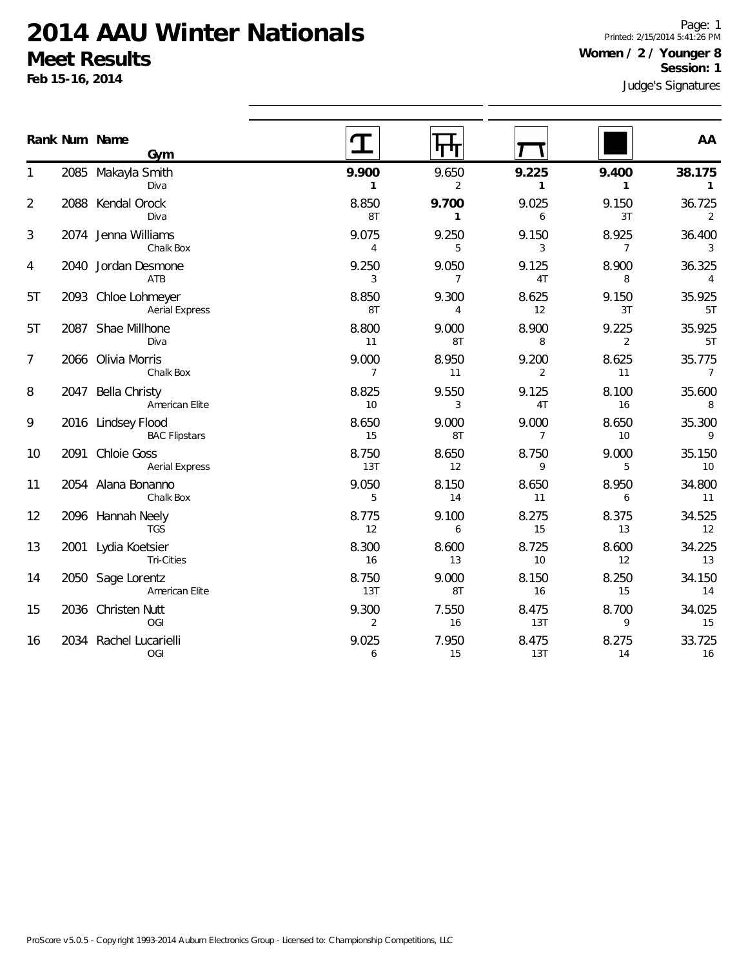**Feb 15-16, 2014**

Page: 1 Printed: 2/15/2014 5:41:26 PM **Women / 2 / Younger 8 Session: 1**

|                | Rank Num Name<br>Gym                         |                         | पाग                     |                         |                         | AA                        |
|----------------|----------------------------------------------|-------------------------|-------------------------|-------------------------|-------------------------|---------------------------|
|                | 2085 Makayla Smith<br>Diva                   | 9.900<br>$\mathbf{1}$   | 9.650<br>$\overline{2}$ | 9.225<br>$\mathbf{1}$   | 9.400<br>$\mathbf{1}$   | 38.175<br>$\mathbf{1}$    |
| $\overline{2}$ | 2088 Kendal Orock<br>Diva                    | 8.850<br>8T             | 9.700<br>$\mathbf{1}$   | 9.025<br>6              | 9.150<br>3T             | 36.725<br>2               |
| 3              | 2074 Jenna Williams<br>Chalk Box             | 9.075<br>4              | 9.250<br>5              | 9.150<br>3              | 8.925<br>$\overline{7}$ | 36.400<br>3               |
| 4              | 2040 Jordan Desmone<br>ATB                   | 9.250<br>3              | 9.050<br>$\overline{7}$ | 9.125<br>4T             | 8.900<br>8              | 36.325<br>4               |
| 5T             | 2093 Chloe Lohmeyer<br><b>Aerial Express</b> | 8.850<br>8T             | 9.300<br>4              | 8.625<br>12             | 9.150<br>3T             | 35.925<br>5T              |
| 5T             | 2087 Shae Millhone<br>Diva                   | 8.800<br>11             | 9.000<br>8T             | 8.900<br>8              | 9.225<br>2              | 35.925<br>5T              |
| 7              | 2066 Olivia Morris<br>Chalk Box              | 9.000<br>$\overline{7}$ | 8.950<br>11             | 9.200<br>2              | 8.625<br>11             | 35.775<br>$7\overline{ }$ |
| 8              | 2047 Bella Christy<br>American Elite         | 8.825<br>10             | 9.550<br>3              | 9.125<br>4T             | 8.100<br>16             | 35.600<br>8               |
| 9              | 2016 Lindsey Flood<br><b>BAC Flipstars</b>   | 8.650<br>15             | 9.000<br>8T             | 9.000<br>$\overline{7}$ | 8.650<br>10             | 35.300<br>9               |
| 10             | 2091 Chloie Goss<br><b>Aerial Express</b>    | 8.750<br>13T            | 8.650<br>12             | 8.750<br>9              | 9.000<br>5              | 35.150<br>10              |
| 11             | 2054 Alana Bonanno<br>Chalk Box              | 9.050<br>5              | 8.150<br>14             | 8.650<br>11             | 8.950<br>6              | 34.800<br>11              |
| 12             | 2096 Hannah Neely<br><b>TGS</b>              | 8.775<br>12             | 9.100<br>6              | 8.275<br>15             | 8.375<br>13             | 34.525<br>12              |
| 13             | 2001 Lydia Koetsier<br><b>Tri-Cities</b>     | 8.300<br>16             | 8.600<br>13             | 8.725<br>10             | 8.600<br>12             | 34.225<br>13              |
| 14             | 2050 Sage Lorentz<br>American Elite          | 8.750<br>13T            | 9.000<br>8T             | 8.150<br>16             | 8.250<br>15             | 34.150<br>14              |
| 15             | 2036 Christen Nutt<br>OGI                    | 9.300<br>2              | 7.550<br>16             | 8.475<br>13T            | 8.700<br>9              | 34.025<br>15              |
| 16             | 2034 Rachel Lucarielli<br>OGI                | 9.025<br>6              | 7.950<br>15             | 8.475<br>13T            | 8.275<br>14             | 33.725<br>16              |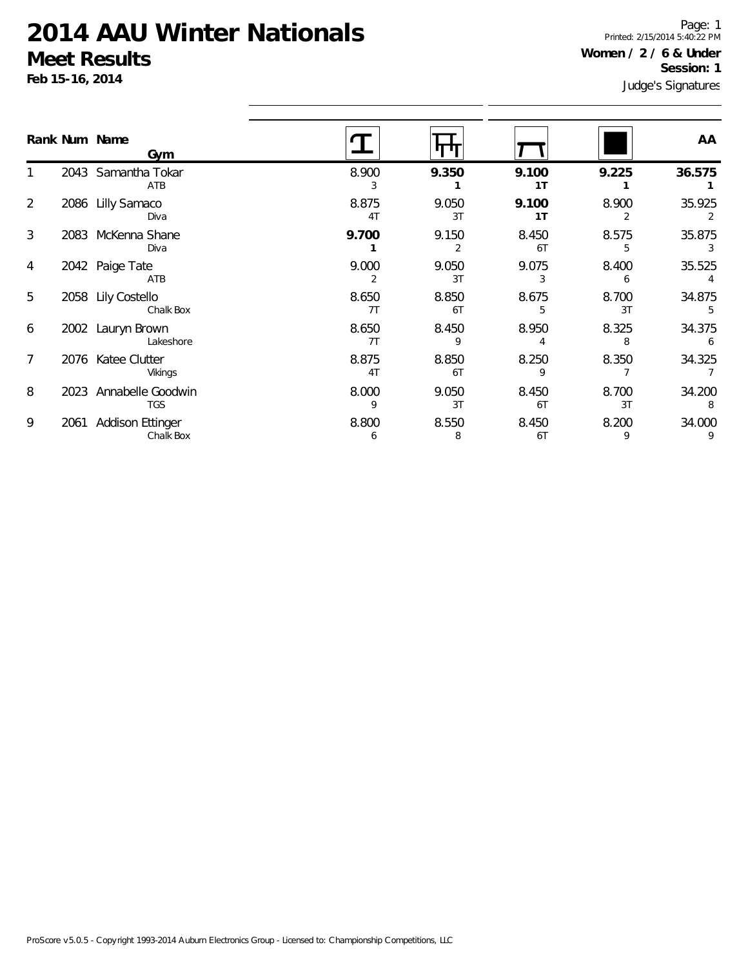**Feb 15-16, 2014**

1

2

3

4

5

6

7

8

9

Judge's Signatures Page: 1 Printed: 2/15/2014 5:40:22 PM **Women / 2 / 6 & Under Session: 1**

|                |      | Rank Num Name<br>Gym                 |                         |             |             |             | AA          |
|----------------|------|--------------------------------------|-------------------------|-------------|-------------|-------------|-------------|
|                |      | 2043 Samantha Tokar<br>ATB           | 8.900<br>3              | 9.350       | 9.100<br>1T | 9.225       | 36.575      |
| $\overline{2}$ |      | 2086 Lilly Samaco<br>Diva            | 8.875<br>4T             | 9.050<br>3T | 9.100<br>1T | 8.900<br>2  | 35.925<br>2 |
| 3              |      | 2083 McKenna Shane<br>Diva           | 9.700                   | 9.150<br>2  | 8.450<br>6T | 8.575<br>5  | 35.875      |
| 4              |      | 2042 Paige Tate<br>ATB               | 9.000<br>$\overline{2}$ | 9.050<br>3T | 9.075<br>3  | 8.400<br>6  | 35.525      |
| 5              |      | 2058 Lily Costello<br>Chalk Box      | 8.650<br>7T             | 8.850<br>6T | 8.675<br>5  | 8.700<br>3T | 34.875<br>5 |
| 6              |      | 2002 Lauryn Brown<br>Lakeshore       | 8.650<br>7T             | 8.450<br>9  | 8.950       | 8.325<br>8  | 34.375<br>6 |
| 7              |      | 2076 Katee Clutter<br>Vikings        | 8.875<br>4T             | 8.850<br>6T | 8.250<br>9  | 8.350       | 34.325      |
| 8              |      | 2023 Annabelle Goodwin<br><b>TGS</b> | 8.000<br>9              | 9.050<br>3T | 8.450<br>6T | 8.700<br>3T | 34.200<br>8 |
| 9              | 2061 | <b>Addison Ettinger</b><br>Chalk Box | 8.800<br>6              | 8.550<br>8  | 8.450<br>6T | 8.200<br>9  | 34.000<br>9 |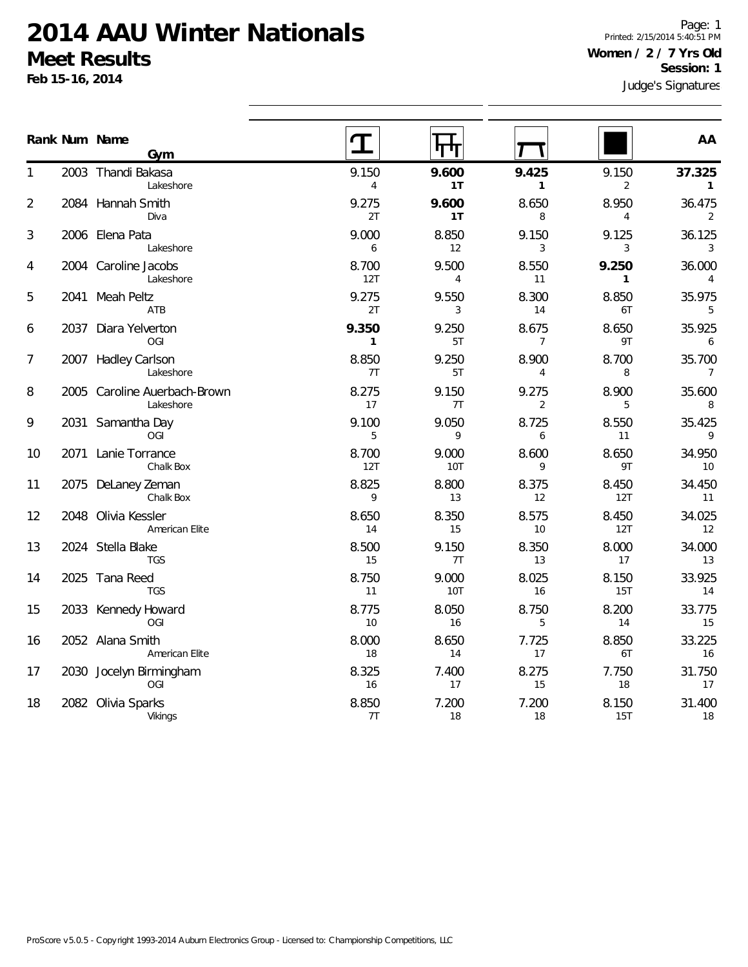**Feb 15-16, 2014**

Page: 1 Printed: 2/15/2014 5:40:51 PM **Women / 2 / 7 Yrs Old Session: 1**

|    |      | Rank Num Name<br>Gym                      |                         |              |                         |                         | AA                       |
|----|------|-------------------------------------------|-------------------------|--------------|-------------------------|-------------------------|--------------------------|
| 1  |      | 2003 Thandi Bakasa<br>Lakeshore           | 9.150<br>$\overline{4}$ | 9.600<br>1T  | 9.425<br>$\mathbf{1}$   | 9.150<br>$\overline{2}$ | 37.325<br>$\mathbf{1}$   |
| 2  |      | 2084 Hannah Smith<br>Diva                 | 9.275<br>2T             | 9.600<br>1T  | 8.650<br>8              | 8.950<br>$\overline{4}$ | 36.475<br>2              |
| 3  |      | 2006 Elena Pata<br>Lakeshore              | 9.000<br>6              | 8.850<br>12  | 9.150<br>3              | 9.125<br>3              | 36.125<br>3              |
| 4  |      | 2004 Caroline Jacobs<br>Lakeshore         | 8.700<br>12T            | 9.500<br>4   | 8.550<br>11             | 9.250<br>$\mathbf{1}$   | 36.000<br>$\overline{4}$ |
| 5  |      | 2041 Meah Peltz<br>ATB                    | 9.275<br>2T             | 9.550<br>3   | 8.300<br>14             | 8.850<br>6T             | 35.975<br>5              |
| 6  | 2037 | Diara Yelverton<br><b>OGI</b>             | 9.350<br>$\mathbf{1}$   | 9.250<br>5T  | 8.675<br>$\overline{7}$ | 8.650<br>9T             | 35.925<br>6              |
| 7  |      | 2007 Hadley Carlson<br>Lakeshore          | 8.850<br>7T             | 9.250<br>5T  | 8.900<br>4              | 8.700<br>8              | 35.700<br>$\overline{7}$ |
| 8  |      | 2005 Caroline Auerbach-Brown<br>Lakeshore | 8.275<br>17             | 9.150<br>7T  | 9.275<br>2              | 8.900<br>5              | 35.600<br>8              |
| 9  | 2031 | Samantha Day<br>OGI                       | 9.100<br>5              | 9.050<br>9   | 8.725<br>6              | 8.550<br>11             | 35.425<br>9              |
| 10 |      | 2071 Lanie Torrance<br>Chalk Box          | 8.700<br>12T            | 9.000<br>10T | 8.600<br>9              | 8.650<br>9T             | 34.950<br>10             |
| 11 | 2075 | DeLaney Zeman<br>Chalk Box                | 8.825<br>9              | 8.800<br>13  | 8.375<br>12             | 8.450<br>12T            | 34.450<br>11             |
| 12 |      | 2048 Olivia Kessler<br>American Elite     | 8.650<br>14             | 8.350<br>15  | 8.575<br>10             | 8.450<br>12T            | 34.025<br>12             |
| 13 |      | 2024 Stella Blake<br><b>TGS</b>           | 8.500<br>15             | 9.150<br>7T  | 8.350<br>13             | 8.000<br>17             | 34.000<br>13             |
| 14 |      | 2025 Tana Reed<br><b>TGS</b>              | 8.750<br>11             | 9.000<br>10T | 8.025<br>16             | 8.150<br>15T            | 33.925<br>14             |
| 15 |      | 2033 Kennedy Howard<br>OGI                | 8.775<br>10             | 8.050<br>16  | 8.750<br>5              | 8.200<br>14             | 33.775<br>15             |
| 16 |      | 2052 Alana Smith<br>American Elite        | 8.000<br>18             | 8.650<br>14  | 7.725<br>17             | 8.850<br>6T             | 33.225<br>16             |
| 17 |      | 2030 Jocelyn Birmingham<br>OGI            | 8.325<br>16             | 7.400<br>17  | 8.275<br>15             | 7.750<br>18             | 31.750<br>17             |
| 18 | 2082 | Olivia Sparks<br>Vikings                  | 8.850<br>7T             | 7.200<br>18  | 7.200<br>18             | 8.150<br>15T            | 31.400<br>18             |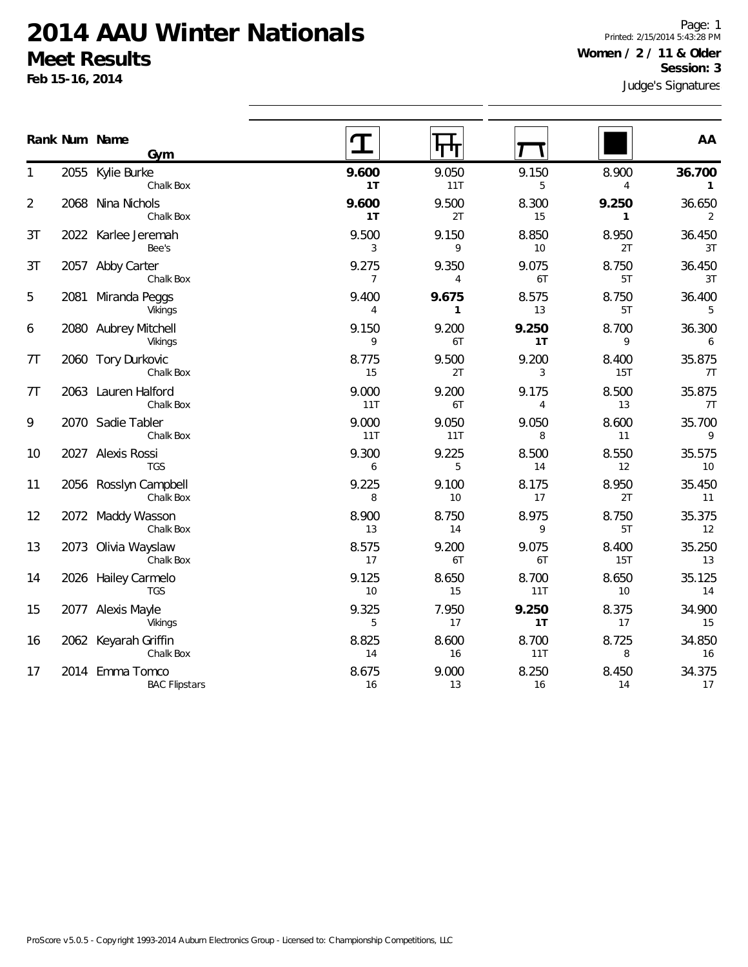**Feb 15-16, 2014**

Page: 1 Printed: 2/15/2014 5:43:28 PM **Women / 2 / 11 & Older Session: 3**

|    |      | Rank Num Name                           |                         |                         |              |                         | AA                     |
|----|------|-----------------------------------------|-------------------------|-------------------------|--------------|-------------------------|------------------------|
|    |      | Gym                                     |                         |                         |              |                         |                        |
| 1  |      | 2055 Kylie Burke<br>Chalk Box           | 9.600<br>1T             | 9.050<br>11T            | 9.150<br>5   | 8.900<br>$\overline{4}$ | 36.700<br>$\mathbf{1}$ |
| 2  |      | 2068 Nina Nichols<br>Chalk Box          | 9.600<br>1T             | 9.500<br>2T             | 8.300<br>15  | 9.250<br>$\mathbf{1}$   | 36.650<br>2            |
| 3T |      | 2022 Karlee Jeremah<br>Bee's            | 9.500<br>3              | 9.150<br>9              | 8.850<br>10  | 8.950<br>2T             | 36.450<br>3T           |
| 3T |      | 2057 Abby Carter<br>Chalk Box           | 9.275<br>$\overline{7}$ | 9.350<br>$\overline{4}$ | 9.075<br>6T  | 8.750<br>5T             | 36.450<br>3T           |
| 5  | 2081 | Miranda Peggs<br>Vikings                | 9.400<br>4              | 9.675<br>1              | 8.575<br>13  | 8.750<br>5T             | 36.400<br>5            |
| 6  |      | 2080 Aubrey Mitchell<br>Vikings         | 9.150<br>9              | 9.200<br>6T             | 9.250<br>1T  | 8.700<br>9              | 36.300<br>6            |
| 7T |      | 2060 Tory Durkovic<br>Chalk Box         | 8.775<br>15             | 9.500<br>2T             | 9.200<br>3   | 8.400<br>15T            | 35.875<br>7T           |
| 7T |      | 2063 Lauren Halford<br>Chalk Box        | 9.000<br>11T            | 9.200<br>6T             | 9.175<br>4   | 8.500<br>13             | 35.875<br>7T           |
| 9  |      | 2070 Sadie Tabler<br>Chalk Box          | 9.000<br>11T            | 9.050<br>11T            | 9.050<br>8   | 8.600<br>11             | 35.700<br>9            |
| 10 |      | 2027 Alexis Rossi<br><b>TGS</b>         | 9.300<br>6              | 9.225<br>5              | 8.500<br>14  | 8.550<br>12             | 35.575<br>10           |
| 11 |      | 2056 Rosslyn Campbell<br>Chalk Box      | 9.225<br>8              | 9.100<br>10             | 8.175<br>17  | 8.950<br>2T             | 35.450<br>11           |
| 12 |      | 2072 Maddy Wasson<br>Chalk Box          | 8.900<br>13             | 8.750<br>14             | 8.975<br>9   | 8.750<br>5T             | 35.375<br>12           |
| 13 |      | 2073 Olivia Wayslaw<br>Chalk Box        | 8.575<br>17             | 9.200<br>6T             | 9.075<br>6T  | 8.400<br><b>15T</b>     | 35.250<br>13           |
| 14 |      | 2026 Hailey Carmelo<br><b>TGS</b>       | 9.125<br>10             | 8.650<br>15             | 8.700<br>11T | 8.650<br>10             | 35.125<br>14           |
| 15 |      | 2077 Alexis Mayle<br>Vikings            | 9.325<br>5              | 7.950<br>17             | 9.250<br>1T  | 8.375<br>17             | 34.900<br>15           |
| 16 |      | 2062 Keyarah Griffin<br>Chalk Box       | 8.825<br>14             | 8.600<br>16             | 8.700<br>11T | 8.725<br>8              | 34.850<br>16           |
| 17 |      | 2014 Emma Tomco<br><b>BAC Flipstars</b> | 8.675<br>16             | 9.000<br>13             | 8.250<br>16  | 8.450<br>14             | 34.375<br>17           |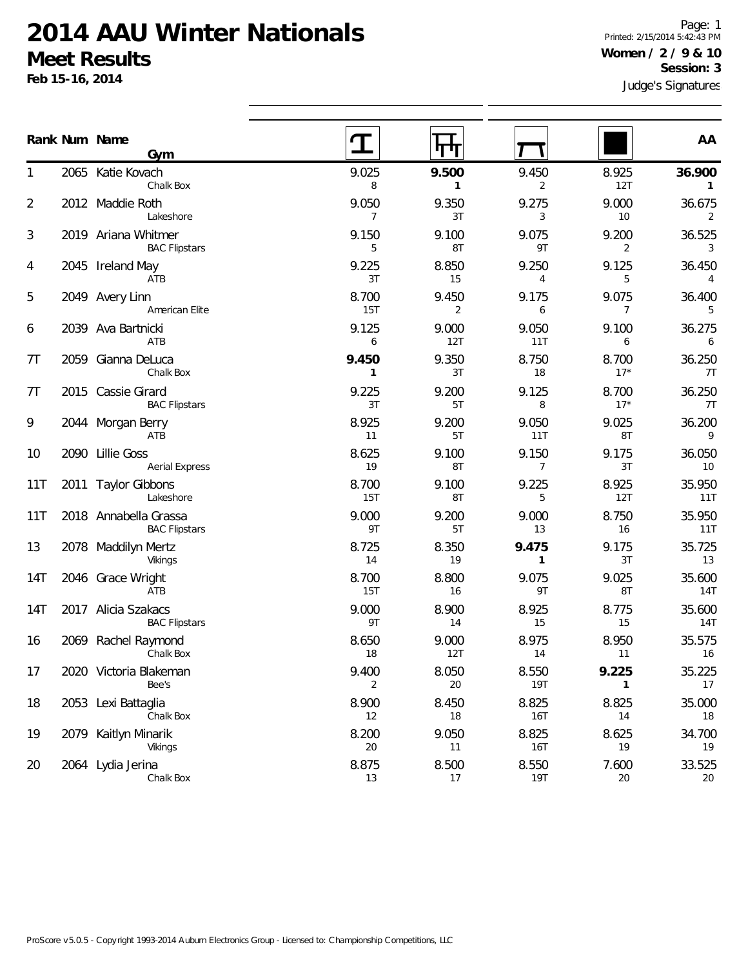**Feb 15-16, 2014**

2020 Victoria Blakeman

2053 Lexi Battaglia

2079 Kaitlyn Minarik

2064 Lydia Jerina

Bee's

Chalk Box

Chalk Box

Vikings

1

2

3

4

5

6

7T

7T

9

10

11T

13

14T

14T

16

17

18

19

20

Judge's Signatures Page: 1 Printed: 2/15/2014 5:42:43 PM **Women / 2 / 9 & 10 Session: 3**

|                |      |                                               | Judge's Signatures      |                       |                         |                |                          |  |  |  |
|----------------|------|-----------------------------------------------|-------------------------|-----------------------|-------------------------|----------------|--------------------------|--|--|--|
|                |      | Rank Num Name<br>Gym                          | T                       | पाप                   |                         |                | AA                       |  |  |  |
| 1              |      | 2065 Katie Kovach<br>Chalk Box                | 9.025<br>8              | 9.500<br>$\mathbf{1}$ | 9.450<br>2              | 8.925<br>12T   | 36.900<br>$\mathbf{1}$   |  |  |  |
| 2              |      | 2012 Maddie Roth<br>Lakeshore                 | 9.050<br>$\overline{7}$ | 9.350<br>3T           | 9.275<br>3              | 9.000<br>$10$  | 36.675<br>2              |  |  |  |
| 3              |      | 2019 Ariana Whitmer<br><b>BAC Flipstars</b>   | 9.150<br>5              | 9.100<br>8T           | 9.075<br>9T             | 9.200<br>2     | 36.525<br>3              |  |  |  |
| 4              |      | 2045 Ireland May<br>ATB                       | 9.225<br>3T             | 8.850<br>15           | 9.250<br>4              | 9.125<br>5     | 36.450<br>$\overline{4}$ |  |  |  |
| 5              |      | 2049 Avery Linn<br>American Elite             | 8.700<br><b>15T</b>     | 9.450<br>2            | 9.175<br>6              | 9.075<br>7     | 36.400<br>5              |  |  |  |
| 6              | 2039 | Ava Bartnicki<br>ATB                          | 9.125<br>6              | 9.000<br>12T          | 9.050<br>11T            | 9.100<br>6     | 36.275<br>6              |  |  |  |
| 7 <sub>T</sub> | 2059 | Gianna DeLuca<br>Chalk Box                    | 9.450<br>$\mathbf{1}$   | 9.350<br>3T           | 8.750<br>18             | 8.700<br>$17*$ | 36.250<br>7T             |  |  |  |
| 7 <sub>T</sub> |      | 2015 Cassie Girard<br><b>BAC Flipstars</b>    | 9.225<br>3T             | 9.200<br>5T           | 9.125<br>8              | 8.700<br>$17*$ | 36.250<br>7T             |  |  |  |
| 9              | 2044 | Morgan Berry<br>ATB                           | 8.925<br>11             | 9.200<br>5T           | 9.050<br>11T            | 9.025<br>8T    | 36.200<br>9              |  |  |  |
| 10             | 2090 | <b>Lillie Goss</b><br><b>Aerial Express</b>   | 8.625<br>19             | 9.100<br>8T           | 9.150<br>$\overline{7}$ | 9.175<br>3T    | 36.050<br>10             |  |  |  |
| 11T            |      | 2011 Taylor Gibbons<br>Lakeshore              | 8.700<br><b>15T</b>     | 9.100<br>8T           | 9.225<br>5              | 8.925<br>12T   | 35.950<br>11T            |  |  |  |
| 11T            |      | 2018 Annabella Grassa<br><b>BAC Flipstars</b> | 9.000<br>9T             | 9.200<br>5T           | 9.000<br>13             | 8.750<br>16    | 35.950<br>11T            |  |  |  |
| 13             |      | 2078 Maddilyn Mertz<br>Vikings                | 8.725<br>14             | 8.350<br>19           | 9.475<br>$\mathbf{1}$   | 9.175<br>3T    | 35.725<br>13             |  |  |  |
| 14T            |      | 2046 Grace Wright<br>ATB                      | 8.700<br>15T            | 8.800<br>16           | 9.075<br>9T             | 9.025<br>8T    | 35.600<br>14T            |  |  |  |
| 14T            | 2017 | Alicia Szakacs<br><b>BAC Flipstars</b>        | 9.000<br>9T             | 8.900<br>14           | 8.925<br>15             | 8.775<br>15    | 35.600<br>14T            |  |  |  |
| 16             |      | 2069 Rachel Raymond<br>Chalk Box              | 8.650<br>18             | 9.000<br>12T          | 8.975<br>14             | 8.950<br>11    | 35.575<br>16             |  |  |  |

9.400 8.050 8.550 **9.225** 35.225 2 20 19T **1** 17

8.900 8.450 8.825 8.825 35.000 12 18 16T 14 18

8.200 9.050 8.825 8.625 34.700 20 11 16T 19 19

8.875 8.500 8.550 7.600 33.525 13 17 19T 20 20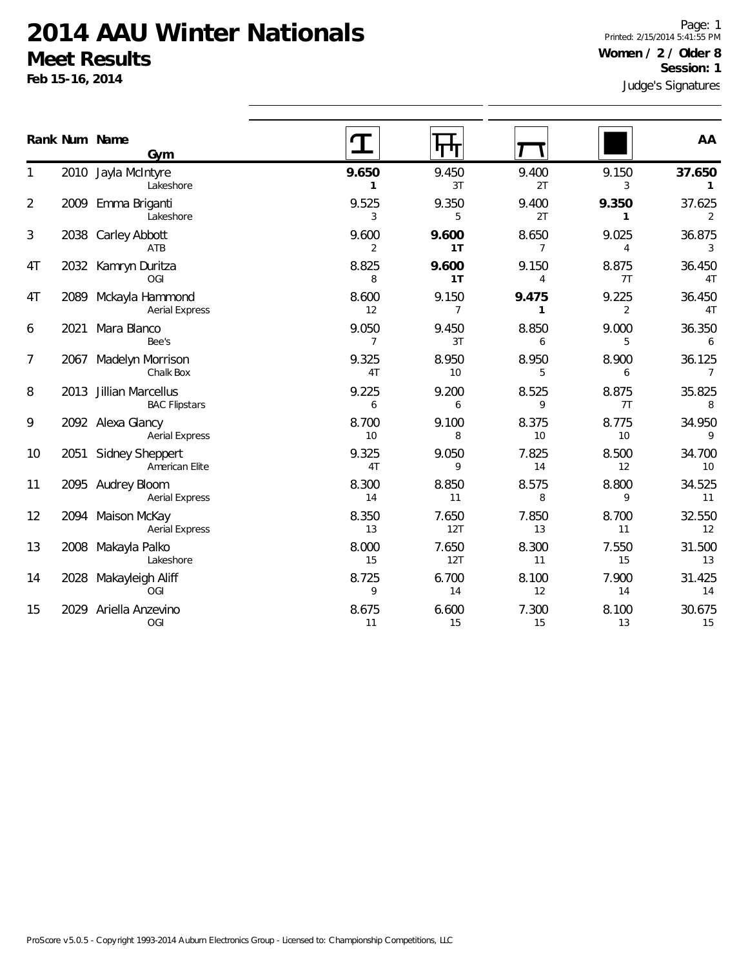**Feb 15-16, 2014**

Judge's Signatures Page: 1 Printed: 2/15/2014 5:41:55 PM **Women / 2 / Older 8 Session: 1**

|                |      | Rank Num Name<br>Gym                           |                         |                         |                         |             | AA                       |
|----------------|------|------------------------------------------------|-------------------------|-------------------------|-------------------------|-------------|--------------------------|
| 1              |      | 2010 Jayla McIntyre<br>Lakeshore               | 9.650<br>1              | 9.450<br>3T             | 9.400<br>2T             | 9.150<br>3  | 37.650<br>1              |
| 2              |      | 2009 Emma Briganti<br>Lakeshore                | 9.525<br>3              | 9.350<br>5              | 9.400<br>2T             | 9.350<br>1  | 37.625<br>2              |
| 3              |      | 2038 Carley Abbott<br>ATB                      | 9.600<br>$\overline{2}$ | 9.600<br>1T             | 8.650<br>$\overline{7}$ | 9.025<br>4  | 36.875<br>$\mathbf{3}$   |
| 4T             |      | 2032 Kamryn Duritza<br>OGI                     | 8.825<br>8              | 9.600<br>1T             | 9.150<br>4              | 8.875<br>7T | 36.450<br>4T             |
| 4T             | 2089 | Mckayla Hammond<br><b>Aerial Express</b>       | 8.600<br>12             | 9.150<br>$\overline{7}$ | 9.475<br>$\mathbf{1}$   | 9.225<br>2  | 36.450<br>4T             |
| 6              | 2021 | Mara Blanco<br>Bee's                           | 9.050<br>$\overline{7}$ | 9.450<br>3T             | 8.850<br>6              | 9.000<br>5  | 36.350<br>6              |
| $\overline{7}$ | 2067 | Madelyn Morrison<br>Chalk Box                  | 9.325<br>4T             | 8.950<br>10             | 8.950<br>5              | 8.900<br>6  | 36.125<br>$\overline{7}$ |
| 8              |      | 2013 Jillian Marcellus<br><b>BAC Flipstars</b> | 9.225<br>6              | 9.200<br>6              | 8.525<br>9              | 8.875<br>7T | 35.825<br>8              |
| 9              |      | 2092 Alexa Glancy<br><b>Aerial Express</b>     | 8.700<br>10             | 9.100<br>8              | 8.375<br>10             | 8.775<br>10 | 34.950<br>9              |
| 10             |      | 2051 Sidney Sheppert<br>American Elite         | 9.325<br>4T             | 9.050<br>9              | 7.825<br>14             | 8.500<br>12 | 34.700<br>10             |
| 11             |      | 2095 Audrey Bloom<br><b>Aerial Express</b>     | 8.300<br>14             | 8.850<br>11             | 8.575<br>8              | 8.800<br>9  | 34.525<br>11             |
| 12             |      | 2094 Maison McKay<br><b>Aerial Express</b>     | 8.350<br>13             | 7.650<br>12T            | 7.850<br>13             | 8.700<br>11 | 32.550<br>12             |
| 13             |      | 2008 Makayla Palko<br>Lakeshore                | 8.000<br>15             | 7.650<br>12T            | 8.300<br>11             | 7.550<br>15 | 31.500<br>13             |
| 14             | 2028 | Makayleigh Aliff<br>OGI                        | 8.725<br>9              | 6.700<br>14             | 8.100<br>12             | 7.900<br>14 | 31.425<br>14             |
| 15             | 2029 | Ariella Anzevino<br>OGI                        | 8.675<br>11             | 6.600<br>15             | 7.300<br>15             | 8.100<br>13 | 30.675<br>15             |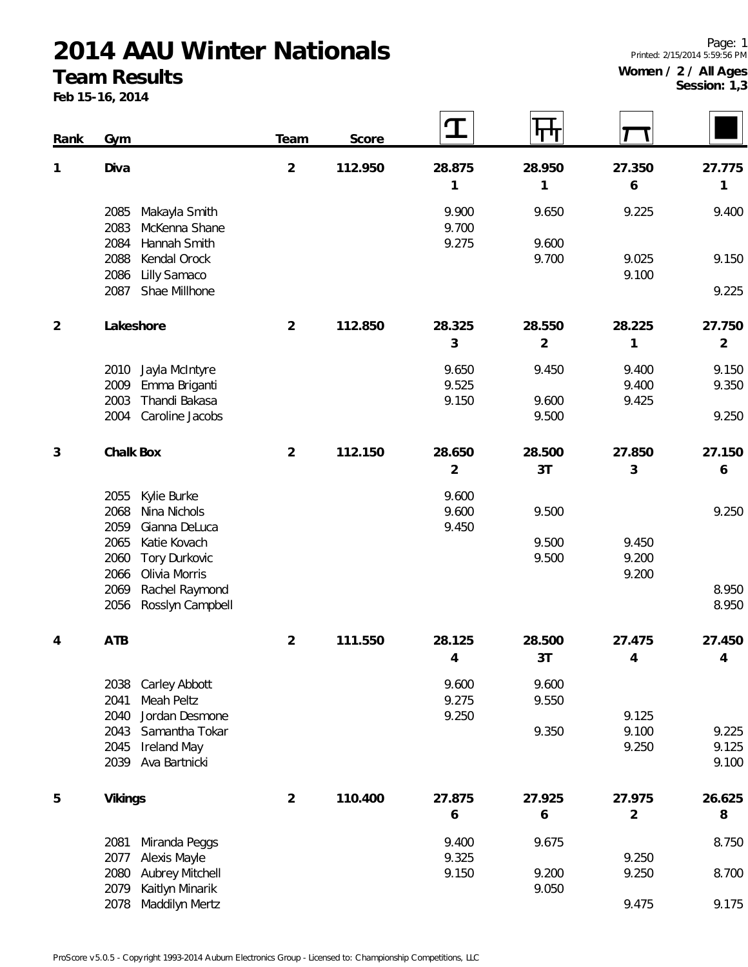#### **Team Results**

**Feb 15-16, 2014**

 $\overline{\phantom{a}}$ 

 $\overline{a}$ 

| Rank           | Gym                                                | Team           | Score   |                | पण             |                |                |
|----------------|----------------------------------------------------|----------------|---------|----------------|----------------|----------------|----------------|
| 1              | Diva                                               | $\overline{2}$ | 112.950 | 28.875         | 28.950         | 27.350         | 27.775         |
|                |                                                    |                |         | 1              | 1              | 6              | 1              |
|                | Makayla Smith<br>2085<br>2083<br>McKenna Shane     |                |         | 9.900<br>9.700 | 9.650          | 9.225          | 9.400          |
|                | 2084<br>Hannah Smith                               |                |         | 9.275          | 9.600          |                |                |
|                | 2088<br>Kendal Orock                               |                |         |                | 9.700          | 9.025          | 9.150          |
|                | Lilly Samaco<br>2086<br>Shae Millhone<br>2087      |                |         |                |                | 9.100          | 9.225          |
|                |                                                    |                |         |                |                |                |                |
| $\overline{2}$ | Lakeshore                                          | $\overline{2}$ | 112.850 | 28.325         | 28.550         | 28.225         | 27.750         |
|                |                                                    |                |         | 3              | $\overline{2}$ | 1              | $\overline{2}$ |
|                | Jayla McIntyre<br>2010                             |                |         | 9.650          | 9.450          | 9.400          | 9.150          |
|                | 2009<br>Emma Briganti                              |                |         | 9.525          |                | 9.400          | 9.350          |
|                | Thandi Bakasa<br>2003<br>Caroline Jacobs<br>2004   |                |         | 9.150          | 9.600<br>9.500 | 9.425          | 9.250          |
|                |                                                    |                |         |                |                |                |                |
| 3              | Chalk Box                                          | $\overline{2}$ | 112.150 | 28.650         | 28.500         | 27.850         | 27.150         |
|                |                                                    |                |         | $\overline{2}$ | 3T             | 3              | 6              |
|                | Kylie Burke<br>2055                                |                |         | 9.600          |                |                |                |
|                | 2068<br>Nina Nichols                               |                |         | 9.600          | 9.500          |                | 9.250          |
|                | 2059<br>Gianna DeLuca<br>2065<br>Katie Kovach      |                |         | 9.450          | 9.500          | 9.450          |                |
|                | Tory Durkovic<br>2060                              |                |         |                | 9.500          | 9.200          |                |
|                | 2066<br>Olivia Morris                              |                |         |                |                | 9.200          |                |
|                | Rachel Raymond<br>2069<br>Rosslyn Campbell<br>2056 |                |         |                |                |                | 8.950<br>8.950 |
|                |                                                    |                |         |                |                |                |                |
| 4              | ATB                                                | $\overline{2}$ | 111.550 | 28.125         | 28.500         | 27.475         | 27.450         |
|                |                                                    |                |         | $\overline{4}$ | 3T             | $\overline{4}$ | 4              |
|                | 2038<br>Carley Abbott                              |                |         | 9.600          | 9.600          |                |                |
|                | 2041<br>Meah Peltz                                 |                |         | 9.275          | 9.550          |                |                |
|                | 2040<br>Jordan Desmone<br>2043<br>Samantha Tokar   |                |         | 9.250          | 9.350          | 9.125<br>9.100 | 9.225          |
|                | 2045<br><b>Ireland May</b>                         |                |         |                |                | 9.250          | 9.125          |
|                | 2039<br>Ava Bartnicki                              |                |         |                |                |                | 9.100          |
| 5              | Vikings                                            | $\overline{2}$ | 110.400 | 27.875         | 27.925         | 27.975         | 26.625         |
|                |                                                    |                |         | 6              | 6              | $\overline{2}$ | 8              |
|                |                                                    |                |         |                |                |                |                |
|                | 2081<br>Miranda Peggs<br>2077<br>Alexis Mayle      |                |         | 9.400<br>9.325 | 9.675          | 9.250          | 8.750          |
|                | <b>Aubrey Mitchell</b><br>2080                     |                |         | 9.150          | 9.200          | 9.250          | 8.700          |
|                | 2079<br>Kaitlyn Minarik                            |                |         |                | 9.050          |                |                |

 $\overline{\phantom{a}}$ 

 $\overline{\phantom{a}}$ 

Maddilyn Mertz 9.475 9.175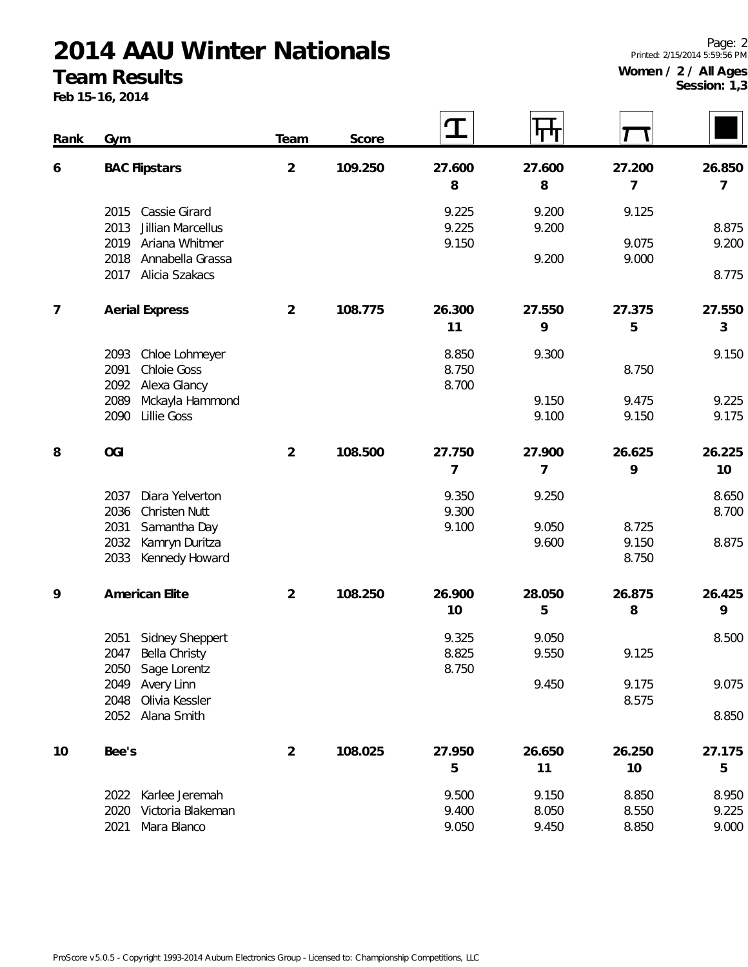#### **Team Results**

**Feb 15-16, 2014**

Page: 2 Printed: 2/15/2014 5:59:56 PM **Women / 2 / All Ages Session: 1,3**

 $\overline{\phantom{0}}$ 

 $\Gamma$ 

| Rank           | Gym                                                                          | Team           | Score   | ${\bf T}$                | पा                      |                          |                         |
|----------------|------------------------------------------------------------------------------|----------------|---------|--------------------------|-------------------------|--------------------------|-------------------------|
| 6              | <b>BAC Flipstars</b>                                                         | $\overline{2}$ | 109.250 | 27.600<br>8              | 27.600<br>8             | 27.200<br>$\overline{7}$ | 26.850<br>7             |
|                | Cassie Girard<br>2015<br>Jillian Marcellus<br>2013                           |                |         | 9.225<br>9.225           | 9.200<br>9.200          | 9.125                    | 8.875                   |
|                | Ariana Whitmer<br>2019<br>Annabella Grassa<br>2018<br>Alicia Szakacs<br>2017 |                |         | 9.150                    | 9.200                   | 9.075<br>9.000           | 9.200<br>8.775          |
| $\overline{7}$ | <b>Aerial Express</b>                                                        | $\overline{2}$ | 108.775 | 26.300<br>11             | 27.550<br>9             | 27.375<br>5              | 27.550<br>3             |
|                | Chloe Lohmeyer<br>2093<br>2091<br><b>Chloie Goss</b><br>Alexa Glancy<br>2092 |                |         | 8.850<br>8.750<br>8.700  | 9.300                   | 8.750                    | 9.150                   |
|                | Mckayla Hammond<br>2089<br><b>Lillie Goss</b><br>2090                        |                |         |                          | 9.150<br>9.100          | 9.475<br>9.150           | 9.225<br>9.175          |
| 8              | <b>OGI</b>                                                                   | $\overline{2}$ | 108.500 | 27.750<br>$\overline{7}$ | 27.900<br>7             | 26.625<br>9              | 26.225<br>10            |
|                | 2037<br>Diara Yelverton<br>2036<br>Christen Nutt                             |                |         | 9.350<br>9.300           | 9.250                   |                          | 8.650<br>8.700          |
|                | 2031<br>Samantha Day<br>Kamryn Duritza<br>2032<br>2033<br>Kennedy Howard     |                |         | 9.100                    | 9.050<br>9.600          | 8.725<br>9.150<br>8.750  | 8.875                   |
| 9              | American Elite                                                               | $\overline{2}$ | 108.250 | 26.900<br>10             | 28.050<br>5             | 26.875<br>8              | 26.425<br>9             |
|                | Sidney Sheppert<br>2051<br>2047<br>Bella Christy<br>2050 Sage Lorentz        |                |         | 9.325<br>8.825<br>8.750  | 9.050<br>9.550          | 9.125                    | 8.500                   |
|                | 2049<br>Avery Linn<br>Olivia Kessler<br>2048<br>2052 Alana Smith             |                |         |                          | 9.450                   | 9.175<br>8.575           | 9.075<br>8.850          |
|                |                                                                              |                |         |                          |                         |                          |                         |
| 10             | Bee's                                                                        | $\overline{2}$ | 108.025 | 27.950<br>5              | 26.650<br>11            | 26.250<br>10             | 27.175<br>5             |
|                | Karlee Jeremah<br>2022<br>2020<br>Victoria Blakeman<br>2021<br>Mara Blanco   |                |         | 9.500<br>9.400<br>9.050  | 9.150<br>8.050<br>9.450 | 8.850<br>8.550<br>8.850  | 8.950<br>9.225<br>9.000 |

 $\overline{1}$ 

 $\Gamma$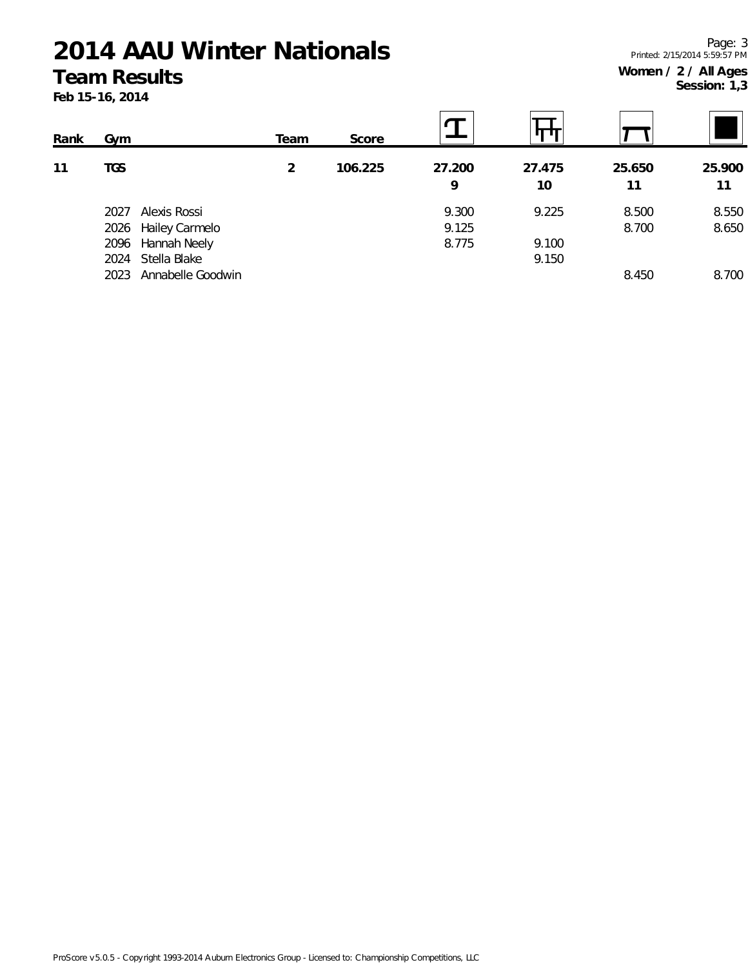#### **Team Results**

**Feb 15-16, 2014**

Page: 3 Printed: 2/15/2014 5:59:57 PM **Women / 2 / All Ages Session: 1,3**

| Rank | Gym  |                   | Team | Score   |        |        |        |        |
|------|------|-------------------|------|---------|--------|--------|--------|--------|
| 11   | TGS  |                   | 2    | 106.225 | 27.200 | 27.475 | 25.650 | 25.900 |
|      |      |                   |      |         | 9      | 10     | 11     | 11     |
|      | 2027 | Alexis Rossi      |      |         | 9.300  | 9.225  | 8.500  | 8.550  |
|      | 2026 | Hailey Carmelo    |      |         | 9.125  |        | 8.700  | 8.650  |
|      | 2096 | Hannah Neely      |      |         | 8.775  | 9.100  |        |        |
|      | 2024 | Stella Blake      |      |         |        | 9.150  |        |        |
|      | 2023 | Annabelle Goodwin |      |         |        |        | 8.450  | 8.700  |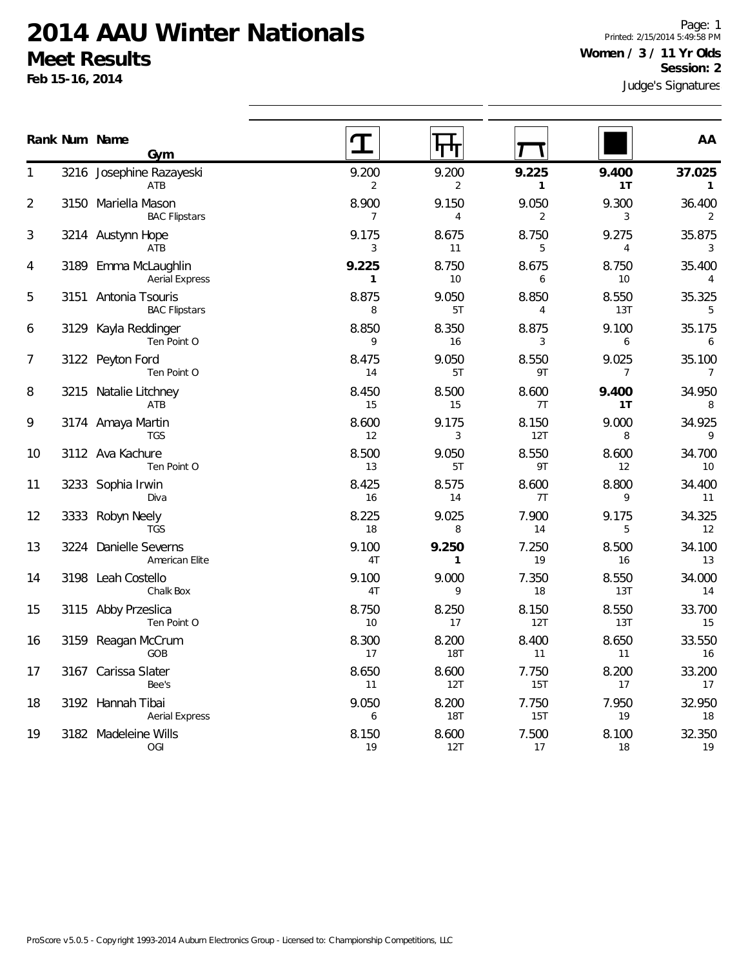**Feb 15-16, 2014**

Page: 1 Printed: 2/15/2014 5:49:58 PM **Women / 3 / 11 Yr Olds Session: 2**

|    |      | Rank Num Name<br>Gym                          |                         | П                       |                         |                         | AA                       |
|----|------|-----------------------------------------------|-------------------------|-------------------------|-------------------------|-------------------------|--------------------------|
| 1  |      | 3216 Josephine Razayeski<br>ATB               | 9.200<br>$\overline{2}$ | 9.200<br>$\overline{2}$ | 9.225<br>$\mathbf{1}$   | 9.400<br>1T             | 37.025<br>$\mathbf{1}$   |
| 2  |      | 3150 Mariella Mason<br><b>BAC Flipstars</b>   | 8.900<br>$\overline{7}$ | 9.150<br>$\overline{4}$ | 9.050<br>$\overline{2}$ | 9.300<br>3              | 36.400<br>2              |
| 3  |      | 3214 Austynn Hope<br>ATB                      | 9.175<br>3              | 8.675<br>11             | 8.750<br>5              | 9.275<br>4              | 35.875<br>3              |
| 4  |      | 3189 Emma McLaughlin<br><b>Aerial Express</b> | 9.225<br>1              | 8.750<br>10             | 8.675<br>6              | 8.750<br>10             | 35.400<br>$\overline{4}$ |
| 5  |      | 3151 Antonia Tsouris<br><b>BAC Flipstars</b>  | 8.875<br>8              | 9.050<br>5T             | 8.850<br>4              | 8.550<br>13T            | 35.325<br>5              |
| 6  | 3129 | Kayla Reddinger<br>Ten Point O                | 8.850<br>9              | 8.350<br>16             | 8.875<br>3              | 9.100<br>6              | 35.175<br>6              |
| 7  |      | 3122 Peyton Ford<br>Ten Point O               | 8.475<br>14             | 9.050<br>5T             | 8.550<br>9T             | 9.025<br>$\overline{7}$ | 35.100<br>$\overline{7}$ |
| 8  |      | 3215 Natalie Litchney<br>ATB                  | 8.450<br>15             | 8.500<br>15             | 8.600<br>7T             | 9.400<br>1T             | 34.950<br>8              |
| 9  |      | 3174 Amaya Martin<br><b>TGS</b>               | 8.600<br>12             | 9.175<br>3              | 8.150<br>12T            | 9.000<br>8              | 34.925<br>9              |
| 10 |      | 3112 Ava Kachure<br>Ten Point O               | 8.500<br>13             | 9.050<br>5T             | 8.550<br>9T             | 8.600<br>12             | 34.700<br>10             |
| 11 |      | 3233 Sophia Irwin<br>Diva                     | 8.425<br>16             | 8.575<br>14             | 8.600<br>7T             | 8.800<br>9              | 34.400<br>11             |
| 12 | 3333 | Robyn Neely<br><b>TGS</b>                     | 8.225<br>18             | 9.025<br>8              | 7.900<br>14             | 9.175<br>5              | 34.325<br>12             |
| 13 |      | 3224 Danielle Severns<br>American Elite       | 9.100<br>4T             | 9.250<br>$\mathbf{1}$   | 7.250<br>19             | 8.500<br>16             | 34.100<br>13             |
| 14 |      | 3198 Leah Costello<br>Chalk Box               | 9.100<br>4T             | 9.000<br>9              | 7.350<br>18             | 8.550<br>13T            | 34.000<br>14             |
| 15 |      | 3115 Abby Przeslica<br>Ten Point O            | 8.750<br>10             | 8.250<br>17             | 8.150<br>12T            | 8.550<br>13T            | 33.700<br>15             |
| 16 |      | 3159 Reagan McCrum<br>GOB                     | 8.300<br>17             | 8.200<br><b>18T</b>     | 8.400<br>11             | 8.650<br>11             | 33.550<br>16             |
| 17 |      | 3167 Carissa Slater<br>Bee's                  | 8.650<br>11             | 8.600<br>12T            | 7.750<br>15T            | 8.200<br>17             | 33.200<br>17             |
| 18 |      | 3192 Hannah Tibai<br><b>Aerial Express</b>    | 9.050<br>6              | 8.200<br><b>18T</b>     | 7.750<br>15T            | 7.950<br>19             | 32.950<br>18             |
| 19 |      | 3182 Madeleine Wills<br>OGI                   | 8.150<br>19             | 8.600<br>12T            | 7.500<br>17             | 8.100<br>18             | 32.350<br>19             |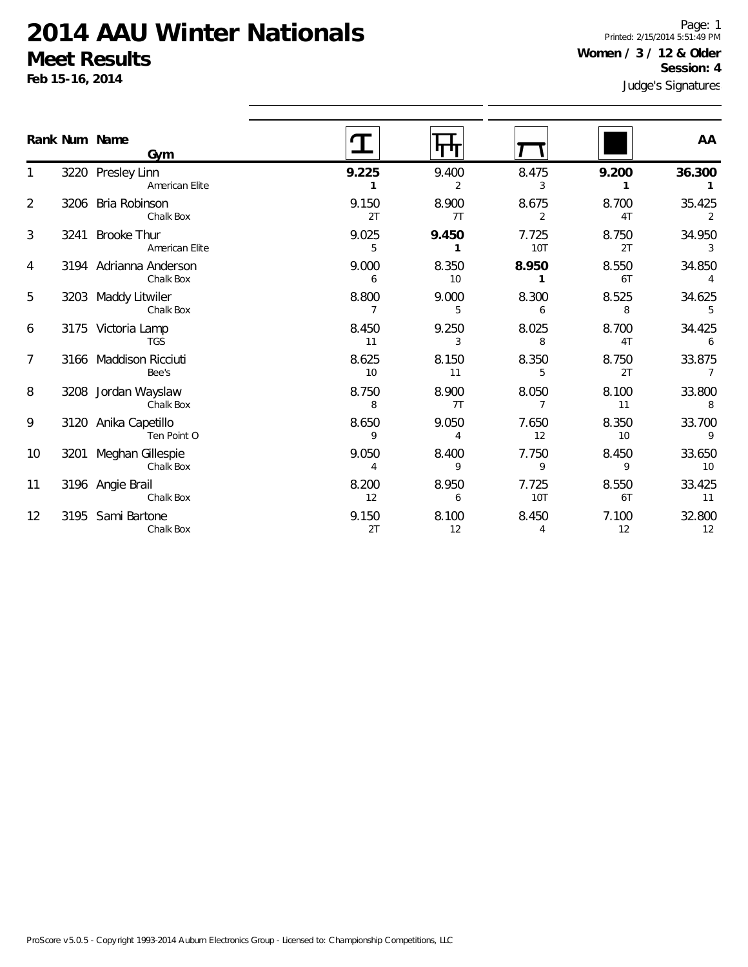**Feb 15-16, 2014**

Page: 1 Printed: 2/15/2014 5:51:49 PM **Women / 3 / 12 & Older Session: 4**

|                |      | Rank Num Name<br>Gym                 |                         |                         |                         |             | AA                       |
|----------------|------|--------------------------------------|-------------------------|-------------------------|-------------------------|-------------|--------------------------|
|                |      | 3220 Presley Linn<br>American Elite  | 9.225                   | 9.400<br>$\overline{2}$ | 8.475<br>3              | 9.200       | 36.300                   |
| $\overline{2}$ | 3206 | Bria Robinson<br>Chalk Box           | 9.150<br>2T             | 8.900<br>7T             | 8.675<br>$\overline{2}$ | 8.700<br>4T | 35.425<br>$\overline{2}$ |
| 3              | 3241 | <b>Brooke Thur</b><br>American Elite | 9.025<br>5              | 9.450<br>1              | 7.725<br><b>10T</b>     | 8.750<br>2T | 34.950<br>3              |
| 4              |      | 3194 Adrianna Anderson<br>Chalk Box  | 9.000<br>6              | 8.350<br>10             | 8.950                   | 8.550<br>6T | 34.850<br>4              |
| 5              | 3203 | Maddy Litwiler<br>Chalk Box          | 8.800<br>$\overline{7}$ | 9.000<br>5              | 8.300<br>6              | 8.525<br>8  | 34.625<br>5              |
| 6              |      | 3175 Victoria Lamp<br><b>TGS</b>     | 8.450<br>11             | 9.250<br>3              | 8.025<br>8              | 8.700<br>4T | 34.425<br>6              |
| $\overline{7}$ |      | 3166 Maddison Ricciuti<br>Bee's      | 8.625<br>10             | 8.150<br>11             | 8.350<br>5              | 8.750<br>2T | 33.875<br>7              |
| 8              |      | 3208 Jordan Wayslaw<br>Chalk Box     | 8.750<br>8              | 8.900<br>7T             | 8.050<br>7              | 8.100<br>11 | 33.800<br>8              |
| 9              |      | 3120 Anika Capetillo<br>Ten Point O  | 8.650<br>9              | 9.050<br>4              | 7.650<br>12             | 8.350<br>10 | 33.700<br>9              |
| 10             | 3201 | Meghan Gillespie<br>Chalk Box        | 9.050<br>4              | 8.400<br>9              | 7.750<br>9              | 8.450<br>9  | 33.650<br>10             |
| 11             |      | 3196 Angie Brail<br>Chalk Box        | 8.200<br>12             | 8.950<br>6              | 7.725<br>10T            | 8.550<br>6T | 33.425<br>11             |
| 12             |      | 3195 Sami Bartone<br>Chalk Box       | 9.150<br>2T             | 8.100<br>12             | 8.450<br>4              | 7.100<br>12 | 32.800<br>12             |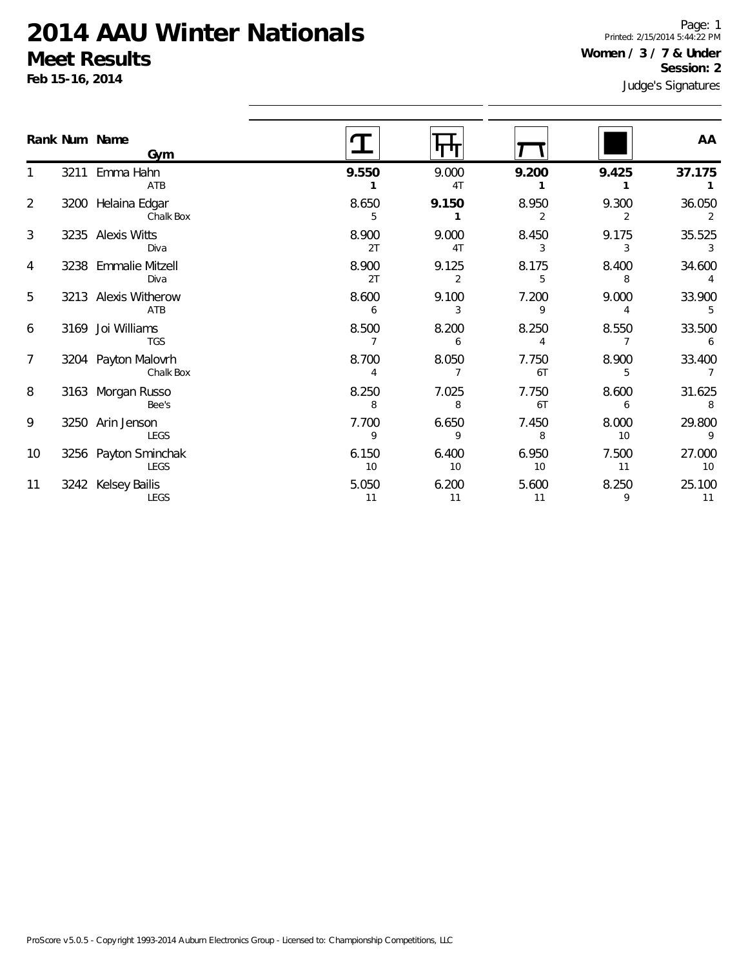LEGS

LEGS

3256 Payton Sminchak

3242 Kelsey Bailis

1

2

3

4

5

6

7

8

9

10

11

Page: 1 Printed: 2/15/2014 5:44:22 PM **Women / 3 / 7 & Under Session: 2**

|                | Feb 15-16, 2014 |                                  |             |                         |             | Session: 2<br>Judge's Signatures |             |  |  |
|----------------|-----------------|----------------------------------|-------------|-------------------------|-------------|----------------------------------|-------------|--|--|
|                |                 | Rank Num Name<br>Gym             |             |                         |             |                                  | AA          |  |  |
|                |                 | 3211 Emma Hahn<br>ATB            | 9.550       | 9.000<br>4T             | 9.200       | 9.425                            | 37.175      |  |  |
| $\overline{2}$ |                 | 3200 Helaina Edgar<br>Chalk Box  | 8.650<br>5  | 9.150                   | 8.950<br>2  | 9.300                            | 36.050      |  |  |
| 3              |                 | 3235 Alexis Witts<br>Diva        | 8.900<br>2T | 9.000<br>4 <sub>T</sub> | 8.450<br>3  | 9.175<br>3                       | 35.525      |  |  |
| 4              |                 | 3238 Emmalie Mitzell<br>Diva     | 8.900<br>2T | 9.125<br>2              | 8.175<br>5  | 8.400<br>8                       | 34.600      |  |  |
| 5              |                 | 3213 Alexis Witherow<br>ATB      | 8.600<br>6  | 9.100                   | 7.200<br>9  | 9.000                            | 33.900      |  |  |
| 6              |                 | 3169 Joi Williams<br><b>TGS</b>  | 8.500       | 8.200<br>6              | 8.250       | 8.550                            | 33.500      |  |  |
| 7              |                 | 3204 Payton Malovrh<br>Chalk Box | 8.700       | 8.050                   | 7.750<br>6T | 8.900<br>5                       | 33.400      |  |  |
| 8              |                 | 3163 Morgan Russo<br>Bee's       | 8.250<br>8  | 7.025<br>8              | 7.750<br>6T | 8.600<br>6                       | 31.625<br>8 |  |  |
| 9              | 3250            | Arin Jenson<br>LEGS              | 7.700<br>9  | 6.650<br>9              | 7.450<br>8  | 8.000<br>10                      | 29.800<br>9 |  |  |

6.150 6.400 6.950 7.500 27.000 10 10 10 11 10

5.050 6.200 5.600 8.250 25.100 11 11 11 9 11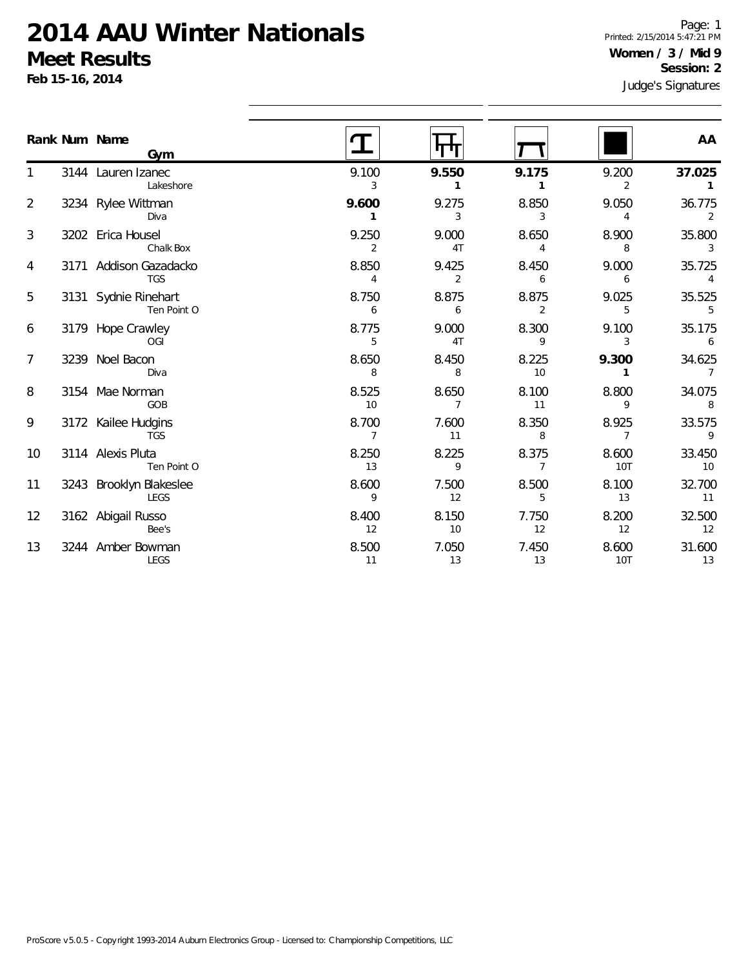**Feb 15-16, 2014**

Page: 1 Printed: 2/15/2014 5:47:21 PM **Women / 3 / Mid 9 Session: 2**

| АΑ |  |
|----|--|

 $\overline{a}$ 

|                | Rank Num Name<br>Gym                   |                         |                         |                         |              | AA                       |
|----------------|----------------------------------------|-------------------------|-------------------------|-------------------------|--------------|--------------------------|
|                | 3144 Lauren Izanec<br>Lakeshore        | 9.100<br>3              | 9.550                   | 9.175<br>1              | 9.200<br>2   | 37.025                   |
| $\overline{2}$ | 3234 Rylee Wittman<br>Diva             | 9.600                   | 9.275<br>3              | 8.850<br>3              | 9.050<br>4   | 36.775<br>2              |
| 3              | 3202 Erica Housel<br>Chalk Box         | 9.250<br>2              | 9.000<br>4T             | 8.650<br>4              | 8.900<br>8   | 35.800<br>3              |
| 4              | 3171 Addison Gazadacko<br><b>TGS</b>   | 8.850<br>4              | 9.425<br>2              | 8.450<br>6              | 9.000<br>6   | 35.725                   |
| 5              | 3131 Sydnie Rinehart<br>Ten Point O    | 8.750<br>6              | 8.875<br>6              | 8.875<br>2              | 9.025<br>5   | 35.525<br>5              |
| 6              | 3179 Hope Crawley<br>OGI               | 8.775<br>5              | 9.000<br>4T             | 8.300<br>9              | 9.100<br>3   | 35.175<br>6              |
| 7              | 3239 Noel Bacon<br>Diva                | 8.650<br>8              | 8.450<br>8              | 8.225<br>10             | 9.300        | 34.625<br>$\overline{7}$ |
| 8              | 3154 Mae Norman<br>GOB                 | 8.525<br>10             | 8.650<br>$\overline{7}$ | 8.100<br>11             | 8.800<br>9   | 34.075<br>8              |
| 9              | 3172 Kailee Hudgins<br><b>TGS</b>      | 8.700<br>$\overline{7}$ | 7.600<br>11             | 8.350<br>8              | 8.925<br>7   | 33.575<br>9              |
| 10             | 3114 Alexis Pluta<br>Ten Point O       | 8.250<br>13             | 8.225<br>9              | 8.375<br>$\overline{7}$ | 8.600<br>10T | 33.450<br>10             |
| 11             | 3243 Brooklyn Blakeslee<br><b>LEGS</b> | 8.600<br>9              | 7.500<br>12             | 8.500<br>5              | 8.100<br>13  | 32.700<br>11             |
| 12             | 3162 Abigail Russo<br>Bee's            | 8.400<br>12             | 8.150<br>10             | 7.750<br>12             | 8.200<br>12  | 32.500<br>12             |
| 13             | 3244 Amber Bowman<br>LEGS              | 8.500<br>11             | 7.050<br>13             | 7.450<br>13             | 8.600<br>10T | 31.600<br>13             |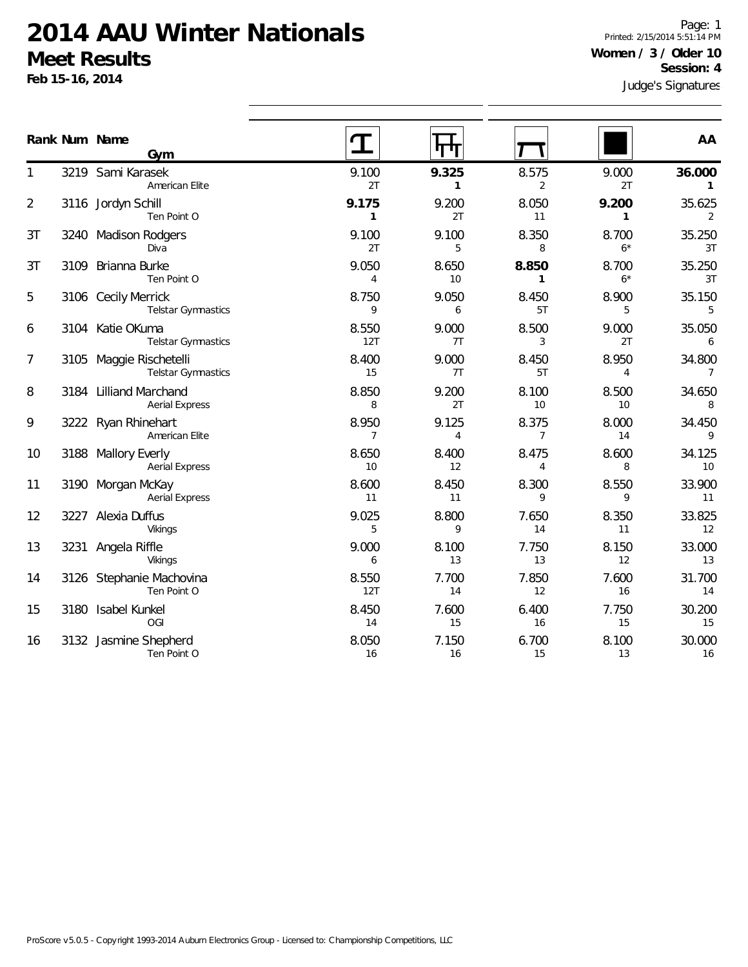Aerial Express

Vikings

Vikings

OGI

Ten Point O

Ten Point O

3190 Morgan McKay

3227 Alexia Duffus

3231 Angela Riffle

3180 Isabel Kunkel

3126 Stephanie Machovina

3132 Jasmine Shepherd

**Feb 15-16, 2014**

1

2

3T

3T

5

6

7

8

9

10

11

12

13

14

15

16

Judge's Signatures Page: 1 Printed: 2/15/2014 5:51:14 PM **Women / 3 / Older 10 Session: 4**

|                |      | Rank Num Name<br>Gym                             |              |             |             |               | AA           |
|----------------|------|--------------------------------------------------|--------------|-------------|-------------|---------------|--------------|
|                |      | 3219 Sami Karasek<br>American Elite              | 9.100<br>2T  | 9.325       | 8.575       | 9.000<br>2T   | 36.000       |
| $\overline{2}$ |      | 3116 Jordyn Schill<br>Ten Point O                | 9.175        | 9.200<br>2T | 8.050<br>11 | 9.200         | 35.625       |
| 3T             | 3240 | <b>Madison Rodgers</b><br>Diva                   | 9.100<br>2T  | 9.100<br>5  | 8.350       | 8.700<br>$6*$ | 35.250<br>3T |
| 3T             | 3109 | Brianna Burke<br>Ten Point O                     | 9.050<br>4   | 8.650<br>10 | 8.850       | 8.700<br>$6*$ | 35.250<br>3T |
| 5              |      | 3106 Cecily Merrick<br><b>Telstar Gymnastics</b> | 8.750<br>9   | 9.050<br>6  | 8.450<br>5T | 8.900<br>5    | 35.150       |
| 6              |      | 3104 Katie OKuma<br><b>Telstar Gymnastics</b>    | 8.550<br>12T | 9.000<br>7T | 8.500       | 9.000<br>2T   | 35.050       |
| 7              | 3105 | Maggie Rischetelli<br><b>Telstar Gymnastics</b>  | 8.400<br>15  | 9.000<br>7T | 8.450<br>5T | 8.950         | 34.800<br>7  |
| 8              | 3184 | Lilliand Marchand<br><b>Aerial Express</b>       | 8.850<br>8   | 9.200<br>2T | 8.100<br>10 | 8.500<br>10   | 34.650<br>8  |
| 9              |      | 3222 Ryan Rhinehart<br>American Elite            | 8.950        | 9.125       | 8.375       | 8.000<br>14   | 34.450       |
| 10             | 3188 | <b>Mallory Everly</b><br><b>Aerial Express</b>   | 8.650<br>10  | 8.400<br>12 | 8.475       | 8.600<br>8    | 34.125<br>10 |

8.600 8.450 8.300 8.550 33.900 11 11 9 9 9 11

9.025 8.800 7.650 8.350 33.825 5 9 14 11 12

9.000 8.100 7.750 8.150 33.000 6 13 13 12 13

8.550 7.700 7.850 7.600 31.700 12T 14 12 16 14

8.450 7.600 6.400 7.750 30.200 14 15 16 15 15

8.050 7.150 6.700 8.100 30.000 16 16 15 13 16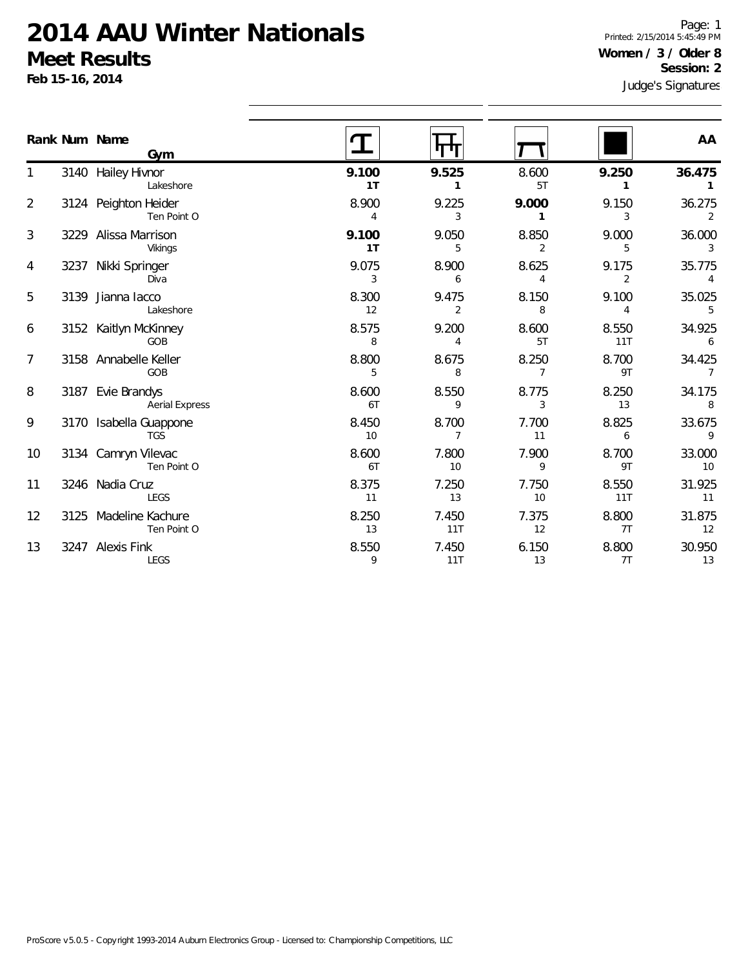**Feb 15-16, 2014**

1

2

3

4

5

6

7

8

9

10

11

12

13

Judge's Signatures Page: 1 Printed: 2/15/2014 5:45:49 PM **Women / 3 / Older 8 Session: 2**

|                | Rank Num Name<br>Gym                       |                         |                         |                         |                         | AA                       |
|----------------|--------------------------------------------|-------------------------|-------------------------|-------------------------|-------------------------|--------------------------|
| 1              | 3140 Hailey Hivnor<br>Lakeshore            | 9.100<br>1T             | 9.525<br>1              | 8.600<br>5T             | 9.250<br>1              | 36.475<br>$\mathbf{1}$   |
| $\overline{2}$ | 3124 Peighton Heider<br>Ten Point O        | 8.900<br>4              | 9.225<br>3              | 9.000<br>$\mathbf{1}$   | 9.150<br>3              | 36.275<br>2              |
| 3              | 3229 Alissa Marrison<br>Vikings            | 9.100<br>1 <sub>T</sub> | 9.050<br>5              | 8.850<br>2              | 9.000<br>5              | 36.000<br>$\overline{3}$ |
| 4              | 3237 Nikki Springer<br>Diva                | 9.075<br>3              | 8.900<br>6              | 8.625<br>4              | 9.175<br>$\overline{2}$ | 35.775<br>$\overline{4}$ |
| 5              | 3139 Jianna lacco<br>Lakeshore             | 8.300<br>12             | 9.475<br>$\overline{2}$ | 8.150<br>8              | 9.100<br>4              | 35.025<br>$5\,$          |
| 6              | 3152 Kaitlyn McKinney<br>GOB               | 8.575<br>8              | 9.200<br>$\overline{4}$ | 8.600<br>5T             | 8.550<br>11T            | 34.925<br>6              |
| 7              | 3158 Annabelle Keller<br>GOB               | 8.800<br>5              | 8.675<br>8              | 8.250<br>$\overline{7}$ | 8.700<br>9T             | 34.425<br>$\overline{7}$ |
| 8              | 3187 Evie Brandys<br><b>Aerial Express</b> | 8.600<br>6T             | 8.550<br>9              | 8.775<br>3              | 8.250<br>13             | 34.175<br>8              |
| 9              | 3170 Isabella Guappone<br><b>TGS</b>       | 8.450<br>10             | 8.700<br>$\overline{7}$ | 7.700<br>11             | 8.825<br>6              | 33.675<br>$\overline{9}$ |
| 10             | 3134 Camryn Vilevac<br>Ten Point O         | 8.600<br>6T             | 7.800<br>10             | 7.900<br>9              | 8.700<br>9T             | 33.000<br>10             |
| 11             | 3246 Nadia Cruz<br>LEGS                    | 8.375<br>11             | 7.250<br>13             | 7.750<br>10             | 8.550<br>11T            | 31.925<br>11             |
| 12             | 3125 Madeline Kachure<br>Ten Point O       | 8.250<br>13             | 7.450<br>11T            | 7.375<br>12             | 8.800<br>7T             | 31.875<br>12             |
| 13             | 3247 Alexis Fink<br>LEGS                   | 8.550<br>9              | 7.450<br>11T            | 6.150<br>13             | 8.800<br>7T             | 30.950<br>$13$           |
|                |                                            |                         |                         |                         |                         |                          |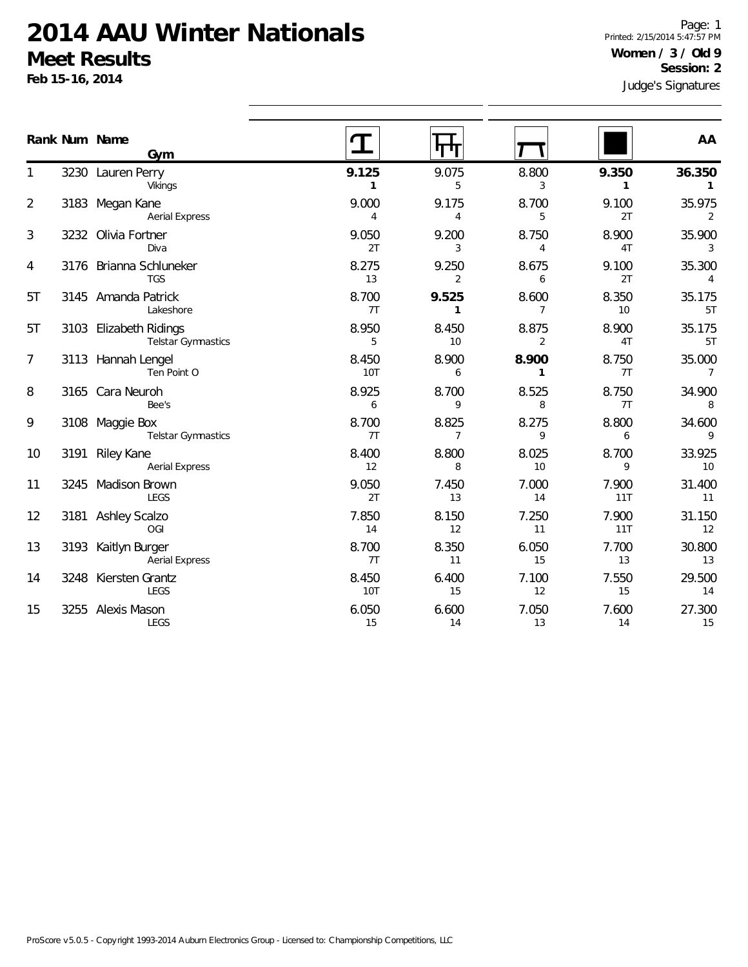Aerial Express

LEGS

LEGS

3248 Kiersten Grantz

3255 Alexis Mason

**Feb 15-16, 2014**

1

2

3

4

5T

5T

7

8

9

10

11

12

13

14

15

Judge's Signatures Page: 1 Printed: 2/15/2014 5:47:57 PM **Women / 3 / Old 9 Session: 2**

|                |      | Rank Num Name<br>Gym                                |                     |                         |             |              | AA                       |
|----------------|------|-----------------------------------------------------|---------------------|-------------------------|-------------|--------------|--------------------------|
| 1              |      | 3230 Lauren Perry<br>Vikings                        | 9.125<br>1          | 9.075<br>5              | 8.800<br>3  | 9.350        | 36.350                   |
| $\overline{2}$ |      | 3183 Megan Kane<br><b>Aerial Express</b>            | 9.000<br>4          | 9.175<br>4              | 8.700<br>5  | 9.100<br>2T  | 35.975<br>$\overline{2}$ |
| 3              |      | 3232 Olivia Fortner<br>Diva                         | 9.050<br>2T         | 9.200<br>3              | 8.750<br>4  | 8.900<br>4T  | 35.900<br>3              |
| 4              |      | 3176 Brianna Schluneker<br><b>TGS</b>               | 8.275<br>13         | 9.250<br>$\overline{2}$ | 8.675<br>6  | 9.100<br>2T  | 35.300<br>$\overline{4}$ |
| 5T             |      | 3145 Amanda Patrick<br>Lakeshore                    | 8.700<br>7T         | 9.525<br>$\mathbf{1}$   | 8.600<br>7  | 8.350<br>10  | 35.175<br>5T             |
| 5T             |      | 3103 Elizabeth Ridings<br><b>Telstar Gymnastics</b> | 8.950<br>5          | 8.450<br>10             | 8.875<br>2  | 8.900<br>4T  | 35.175<br>5T             |
| 7              |      | 3113 Hannah Lengel<br>Ten Point O                   | 8.450<br><b>10T</b> | 8.900<br>6              | 8.900       | 8.750<br>7T  | 35.000<br>$\overline{7}$ |
| 8              |      | 3165 Cara Neuroh<br>Bee's                           | 8.925<br>6          | 8.700<br>9              | 8.525<br>8  | 8.750<br>7T  | 34.900<br>8              |
| 9              | 3108 | Maggie Box<br><b>Telstar Gymnastics</b>             | 8.700<br>7T         | 8.825<br>7              | 8.275<br>9  | 8.800<br>6   | 34.600<br>9              |
| 10             | 3191 | <b>Riley Kane</b><br><b>Aerial Express</b>          | 8.400<br>12         | 8.800<br>8              | 8.025<br>10 | 8.700<br>9   | 33.925<br>10             |
| 11             |      | 3245 Madison Brown<br><b>LEGS</b>                   | 9.050<br>2T         | 7.450<br>13             | 7.000<br>14 | 7.900<br>11T | 31.400<br>11             |
| 12             |      | 3181 Ashley Scalzo<br>OGI                           | 7.850<br>14         | 8.150<br>12             | 7.250<br>11 | 7.900<br>11T | 31.150<br>12             |
| 13             |      | 3193 Kaitlyn Burger                                 | 8.700               | 8.350                   | 6.050       | 7.700        | 30.800                   |

7T 11 15 13 13

8.450 6.400 7.100 7.550 29.500 10T 15 12 15 14

6.050 6.600 7.050 7.600 27.300 15 14 13 14 15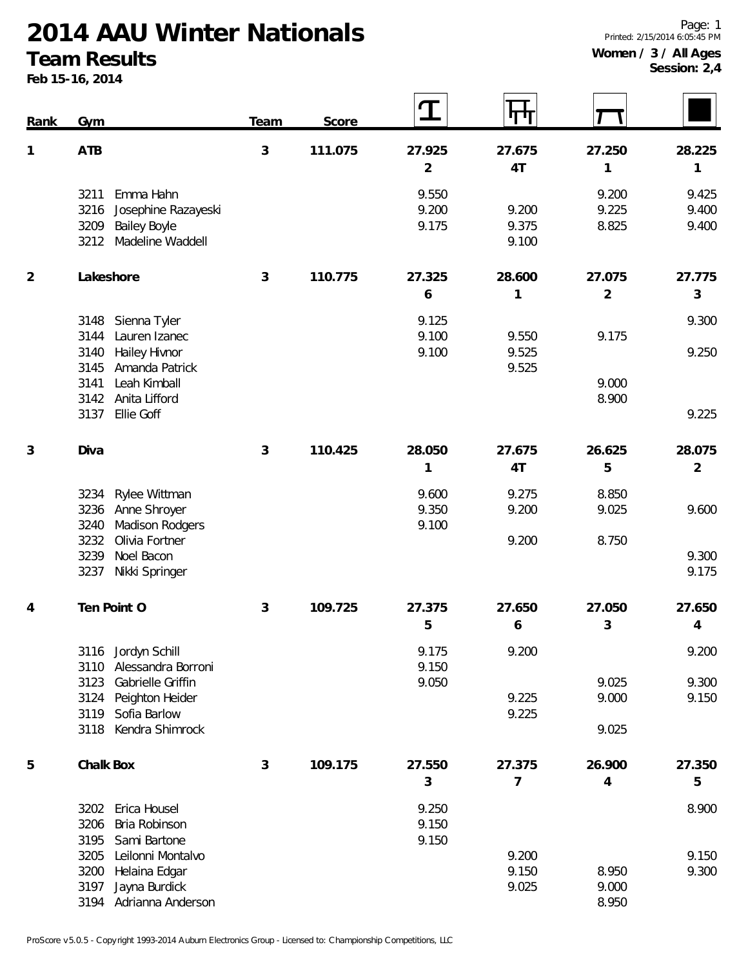**Rank Gym Team Score**

#### **Team Results**

**Feb 15-16, 2014**

**1 ATB 3 111.075 27.925 27.675 27.250 28.225 4T 1 1** Emma Hahn 9.550 9.200 9.425 Josephine Razayeski 9.200 9.200 9.225 9.400 Bailey Boyle 9.175 9.375 8.825 9.400 Madeline Waddell 9.100 **2 Lakeshore 3 110.775 27.325 28.600 27.075 27.775 1 2 3** Sienna Tyler 9.125 9.300 Lauren Izanec 9.100 9.550 9.175 Hailey Hivnor 9.100 9.525 9.250 Amanda Patrick 9.525 Leah Kimball 9.000 Anita Lifford 8.900 Ellie Goff 9.225 **3 Diva 3 110.425 28.050 27.675 26.625 28.075 4T 5 2** Rylee Wittman 9.600 9.275 8.850 Anne Shroyer 9.350 9.200 9.025 9.600 3240 Madison Rodgers 8.100 Olivia Fortner 9.200 8.750 Noel Bacon 9.300 Nikki Springer 9.175 **4 Ten Point O 3 109.725 27.375 27.650 27.050 27.650 6 3 4** Jordyn Schill 9.175 9.200 9.200 Alessandra Borroni 9.150 Gabrielle Griffin 9.050 9.025 9.300 3124 Peighton Heider 9.150 Sofia Barlow 9.225 Kendra Shimrock 9.025 **5 Chalk Box 3 109.175 27.550 27.375 26.900 27.350 7 4 5** Erica Housel 9.250 8.900 Bria Robinson 9.150 3195 Sami Bartone 9.150 Leilonni Montalvo 9.200 9.150 Helaina Edgar 9.150 8.950 9.300 Jayna Burdick 9.025 9.000 Adrianna Anderson 8.950

 $\mathbf T$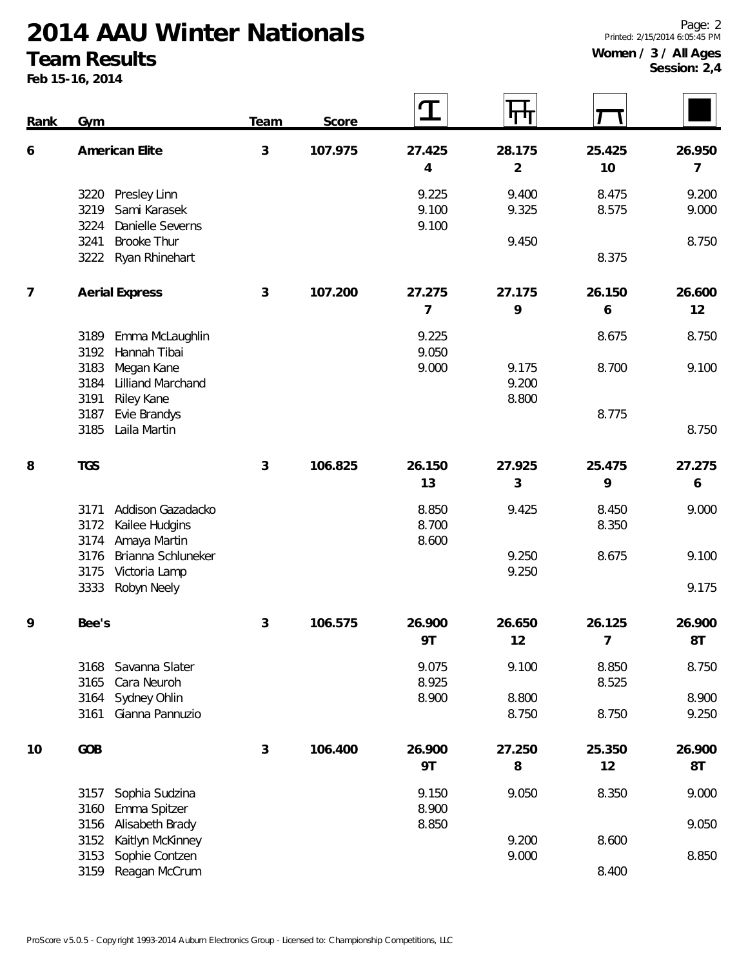#### **Team Results**

**Feb 15-16, 2014**

**Session: 2,4**

| <b>Rank</b>    | Gym                                                    | Team | Score   | $\mathbf T$              |                         |                |                |
|----------------|--------------------------------------------------------|------|---------|--------------------------|-------------------------|----------------|----------------|
| 6              | American Elite                                         | 3    | 107.975 | 27.425                   | 28.175                  | 25.425         | 26.950         |
|                |                                                        |      |         | 4                        | $\overline{2}$<br>9.400 | 10<br>8.475    | 7              |
|                | Presley Linn<br>3220<br>Sami Karasek<br>3219           |      |         | 9.225<br>9.100           | 9.325                   | 8.575          | 9.200<br>9.000 |
|                | Danielle Severns<br>3224<br><b>Brooke Thur</b><br>3241 |      |         | 9.100                    | 9.450                   |                | 8.750          |
|                | 3222 Ryan Rhinehart                                    |      |         |                          |                         | 8.375          |                |
| $\overline{7}$ | <b>Aerial Express</b>                                  | 3    | 107.200 | 27.275<br>$\overline{7}$ | 27.175<br>9             | 26.150<br>6    | 26.600<br>12   |
|                | Emma McLaughlin<br>3189<br>3192<br>Hannah Tibai        |      |         | 9.225<br>9.050           |                         | 8.675          | 8.750          |
|                | Megan Kane<br>3183<br>3184<br><b>Lilliand Marchand</b> |      |         | 9.000                    | 9.175<br>9.200          | 8.700          | 9.100          |
|                | 3191<br><b>Riley Kane</b><br>3187<br>Evie Brandys      |      |         |                          | 8.800                   | 8.775          |                |
|                | 3185<br>Laila Martin                                   |      |         |                          |                         |                | 8.750          |
| 8              | <b>TGS</b>                                             | 3    | 106.825 | 26.150<br>13             | 27.925<br>3             | 25.475<br>9    | 27.275<br>6    |
|                | Addison Gazadacko<br>3171                              |      |         | 8.850                    | 9.425                   | 8.450          | 9.000          |
|                | 3172<br>Kailee Hudgins<br>3174<br>Amaya Martin         |      |         | 8.700<br>8.600           |                         | 8.350          |                |
|                | Brianna Schluneker<br>3176<br>3175<br>Victoria Lamp    |      |         |                          | 9.250<br>9.250          | 8.675          | 9.100          |
|                | 3333<br>Robyn Neely                                    |      |         |                          |                         |                | 9.175          |
| 9              | Bee's                                                  | 3    | 106.575 | 26.900                   | 26.650                  | 26.125         | 26.900         |
|                |                                                        |      |         | <b>9T</b>                | 12                      | $\overline{7}$ | 8T             |
|                | Savanna Slater<br>3168<br>3165<br>Cara Neuroh          |      |         | 9.075<br>8.925           | 9.100                   | 8.850<br>8.525 | 8.750          |
|                | 3164<br>Sydney Ohlin                                   |      |         | 8.900                    | 8.800                   |                | 8.900          |
|                | 3161<br>Gianna Pannuzio                                |      |         |                          | 8.750                   | 8.750          | 9.250          |
| 10             | GOB                                                    | 3    | 106.400 | 26.900                   | 27.250                  | 25.350         | 26.900         |
|                |                                                        |      |         | 9T                       | 8                       | 12             | 8T             |
|                | Sophia Sudzina<br>3157<br>3160<br>Emma Spitzer         |      |         | 9.150<br>8.900           | 9.050                   | 8.350          | 9.000          |
|                | Alisabeth Brady<br>3156<br>3152<br>Kaitlyn McKinney    |      |         | 8.850                    | 9.200                   | 8.600          | 9.050          |
|                | Sophie Contzen<br>3153                                 |      |         |                          | 9.000                   |                | 8.850          |
|                | Reagan McCrum<br>3159                                  |      |         |                          |                         | 8.400          |                |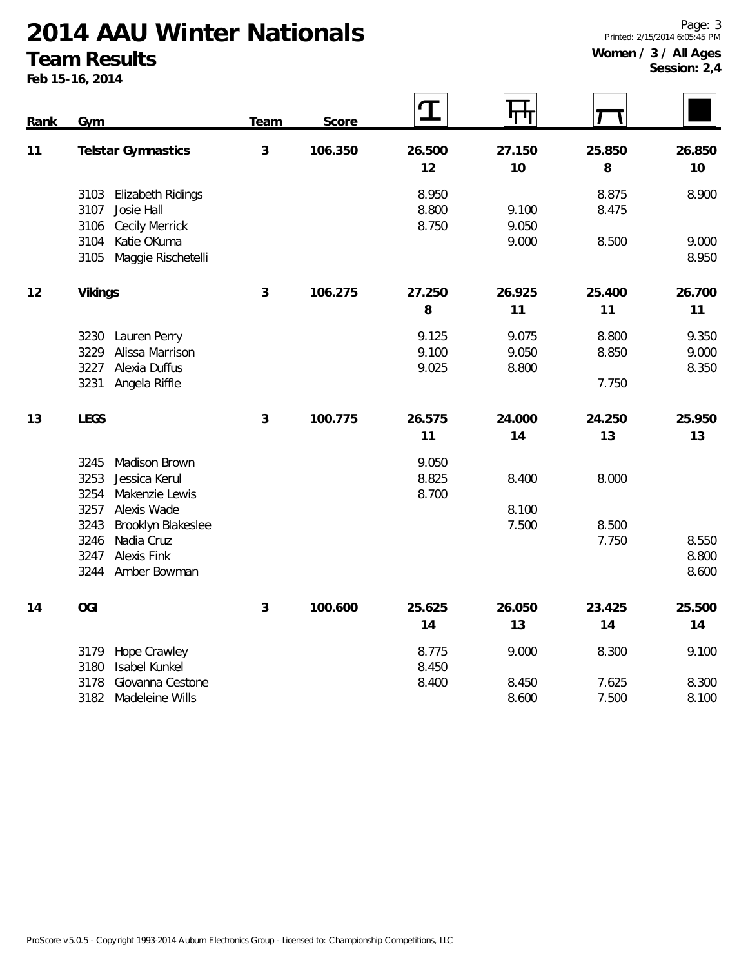#### **Team Results**

**Feb 15-16, 2014**

**Session: 2,4**

| Rank | Gym                                                                              | Team | Score   | T                       |                         |                |                         |
|------|----------------------------------------------------------------------------------|------|---------|-------------------------|-------------------------|----------------|-------------------------|
| 11   | Telstar Gymnastics                                                               | 3    | 106.350 | 26.500<br>12            | 27.150<br>10            | 25.850<br>8    | 26.850<br>$10$          |
|      | 3103<br>Elizabeth Ridings<br>3107<br>Josie Hall<br><b>Cecily Merrick</b><br>3106 |      |         | 8.950<br>8.800<br>8.750 | 9.100<br>9.050          | 8.875<br>8.475 | 8.900                   |
|      | Katie OKuma<br>3104<br>Maggie Rischetelli<br>3105                                |      |         |                         | 9.000                   | 8.500          | 9.000<br>8.950          |
| 12   | Vikings                                                                          | 3    | 106.275 | 27.250<br>8             | 26.925<br>11            | 25.400<br>11   | 26.700<br>11            |
|      | 3230 Lauren Perry<br>3229<br>Alissa Marrison<br>Alexia Duffus<br>3227            |      |         | 9.125<br>9.100<br>9.025 | 9.075<br>9.050<br>8.800 | 8.800<br>8.850 | 9.350<br>9.000<br>8.350 |
|      | 3231<br>Angela Riffle                                                            |      |         |                         |                         | 7.750          |                         |
| 13   | <b>LEGS</b>                                                                      | 3    | 100.775 | 26.575<br>11            | 24.000<br>14            | 24.250<br>13   | 25.950<br>13            |
|      | Madison Brown<br>3245<br>3253<br>Jessica Kerul<br>3254<br>Makenzie Lewis         |      |         | 9.050<br>8.825<br>8.700 | 8.400                   | 8.000          |                         |
|      | 3257<br>Alexis Wade<br>3243<br>Brooklyn Blakeslee<br>Nadia Cruz<br>3246          |      |         |                         | 8.100<br>7.500          | 8.500<br>7.750 | 8.550                   |
|      | 3247<br><b>Alexis Fink</b><br>3244<br>Amber Bowman                               |      |         |                         |                         |                | 8.800<br>8.600          |
| 14   | OGI                                                                              | 3    | 100.600 | 25.625<br>14            | 26.050<br>13            | 23.425<br>14   | 25.500<br>14            |
|      | Hope Crawley<br>3179<br>3180<br>Isabel Kunkel                                    |      |         | 8.775<br>8.450          | 9.000                   | 8.300          | 9.100                   |
|      | 3178<br>Giovanna Cestone<br>3182<br>Madeleine Wills                              |      |         | 8.400                   | 8.450<br>8.600          | 7.625<br>7.500 | 8.300<br>8.100          |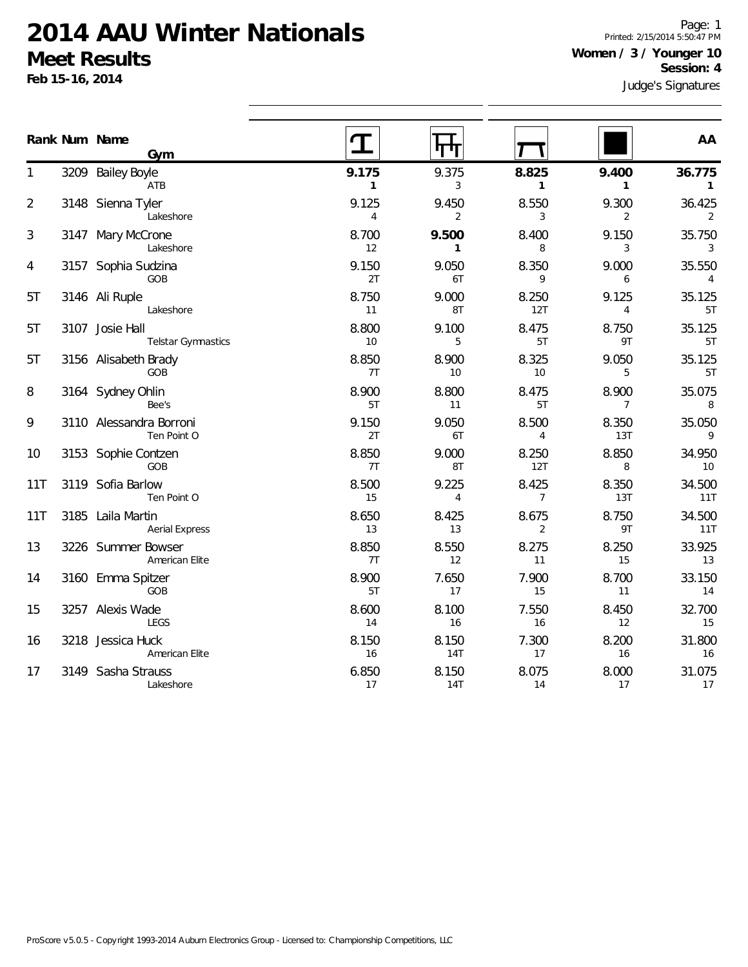**Feb 15-16, 2014**

Page: 1 Printed: 2/15/2014 5:50:47 PM **Women / 3 / Younger 10 Session: 4**

|                | Rank Num Name<br>Gym                       |                         |                         |                         |                         | AA                       |
|----------------|--------------------------------------------|-------------------------|-------------------------|-------------------------|-------------------------|--------------------------|
|                | 3209 Bailey Boyle<br>ATB                   | 9.175<br>$\mathbf{1}$   | 9.375<br>3              | 8.825<br>$\mathbf{1}$   | 9.400<br>$\mathbf{1}$   | 36.775<br>$\mathbf{1}$   |
| $\overline{2}$ | 3148 Sienna Tyler<br>Lakeshore             | 9.125<br>$\overline{4}$ | 9.450<br>$\overline{2}$ | 8.550<br>3              | 9.300<br>$\overline{2}$ | 36.425<br>2              |
| 3              | 3147 Mary McCrone<br>Lakeshore             | 8.700<br>12             | 9.500<br>$\mathbf{1}$   | 8.400<br>8              | 9.150<br>3              | 35.750<br>3              |
| 4              | 3157 Sophia Sudzina<br>GOB                 | 9.150<br>2T             | 9.050<br>6T             | 8.350<br>9              | 9.000<br>6              | 35.550<br>$\overline{4}$ |
| 5T             | 3146 Ali Ruple<br>Lakeshore                | 8.750<br>11             | 9.000<br>8T             | 8.250<br>12T            | 9.125<br>4              | 35.125<br>5T             |
| 5T             | 3107 Josie Hall<br>Telstar Gymnastics      | 8.800<br>$10$           | 9.100<br>5              | 8.475<br>5T             | 8.750<br>9T             | 35.125<br>5T             |
| 5T             | 3156 Alisabeth Brady<br>GOB                | 8.850<br>7T             | 8.900<br>10             | 8.325<br>10             | 9.050<br>5              | 35.125<br>5T             |
| 8              | 3164 Sydney Ohlin<br>Bee's                 | 8.900<br>5T             | 8.800<br>11             | 8.475<br>5T             | 8.900<br>$\overline{7}$ | 35.075<br>8              |
| 9              | 3110 Alessandra Borroni<br>Ten Point O     | 9.150<br>2T             | 9.050<br>6T             | 8.500<br>$\overline{4}$ | 8.350<br>13T            | 35.050<br>9              |
| 10             | 3153 Sophie Contzen<br>GOB                 | 8.850<br>7T             | 9.000<br>8T             | 8.250<br>12T            | 8.850<br>8              | 34.950<br>10             |
| 11T            | 3119 Sofia Barlow<br>Ten Point O           | 8.500<br>15             | 9.225<br>4              | 8.425<br>$\overline{7}$ | 8.350<br>13T            | 34.500<br>11T            |
| 11T            | 3185 Laila Martin<br><b>Aerial Express</b> | 8.650<br>13             | 8.425<br>13             | 8.675<br>$\overline{2}$ | 8.750<br>9T             | 34.500<br>11T            |
| 13             | 3226 Summer Bowser<br>American Elite       | 8.850<br>7T             | 8.550<br>12             | 8.275<br>11             | 8.250<br>15             | 33.925<br>13             |
| 14             | 3160 Emma Spitzer<br>GOB                   | 8.900<br>5T             | 7.650<br>17             | 7.900<br>15             | 8.700<br>11             | 33.150<br>14             |
| 15             | 3257 Alexis Wade<br>LEGS                   | 8.600<br>14             | 8.100<br>16             | 7.550<br>16             | 8.450<br>12             | 32.700<br>15             |
| 16             | 3218 Jessica Huck<br>American Elite        | 8.150<br>16             | 8.150<br>14T            | 7.300<br>17             | 8.200<br>16             | 31.800<br>16             |
| 17             | 3149 Sasha Strauss<br>Lakeshore            | 6.850<br>17             | 8.150<br><b>14T</b>     | 8.075<br>14             | 8.000<br>17             | 31.075<br>17             |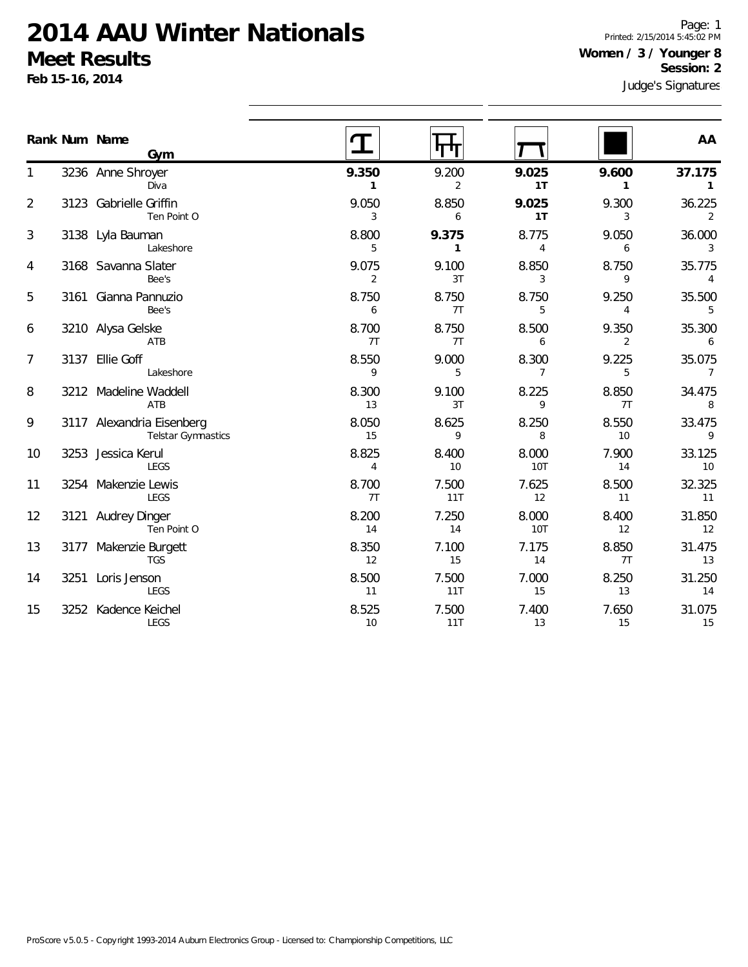**Feb 15-16, 2014**

Page: 1 Printed: 2/15/2014 5:45:02 PM **Women / 3 / Younger 8 Session: 2**

|                |      | Rank Num Name                                          |                         |                       |                         |                       | AA                     |
|----------------|------|--------------------------------------------------------|-------------------------|-----------------------|-------------------------|-----------------------|------------------------|
|                |      | Gym                                                    |                         |                       |                         |                       |                        |
| 1              |      | 3236 Anne Shroyer<br>Diva                              | 9.350<br>1              | 9.200<br>2            | 9.025<br>1T             | 9.600<br>$\mathbf{1}$ | 37.175<br>$\mathbf{1}$ |
| $\overline{2}$ |      | 3123 Gabrielle Griffin<br>Ten Point O                  | 9.050<br>3              | 8.850<br>6            | 9.025<br>1T             | 9.300<br>3            | 36.225<br>2            |
| 3              |      | 3138 Lyla Bauman<br>Lakeshore                          | 8.800<br>5              | 9.375<br>$\mathbf{1}$ | 8.775<br>$\overline{4}$ | 9.050<br>6            | 36.000<br>3            |
| 4              |      | 3168 Savanna Slater<br>Bee's                           | 9.075<br>$\overline{2}$ | 9.100<br>3T           | 8.850<br>3              | 8.750<br>9            | 35.775<br>4            |
| 5              |      | 3161 Gianna Pannuzio<br>Bee's                          | 8.750<br>6              | 8.750<br>7T           | 8.750<br>5              | 9.250<br>4            | 35.500<br>5            |
| 6              |      | 3210 Alysa Gelske<br>ATB                               | 8.700<br>7T             | 8.750<br>7T           | 8.500<br>6              | 9.350<br>2            | 35.300<br>6            |
| 7              |      | 3137 Ellie Goff<br>Lakeshore                           | 8.550<br>9              | 9.000<br>5            | 8.300<br>7              | 9.225<br>5            | 35.075<br>7            |
| 8              |      | 3212 Madeline Waddell<br>ATB                           | 8.300<br>13             | 9.100<br>3T           | 8.225<br>9              | 8.850<br>7T           | 34.475<br>8            |
| 9              |      | 3117 Alexandria Eisenberg<br><b>Telstar Gymnastics</b> | 8.050<br>15             | 8.625<br>9            | 8.250<br>8              | 8.550<br>10           | 33.475<br>9            |
| 10             |      | 3253 Jessica Kerul<br>LEGS                             | 8.825<br>$\overline{4}$ | 8.400<br>10           | 8.000<br><b>10T</b>     | 7.900<br>14           | 33.125<br>10           |
| 11             |      | 3254 Makenzie Lewis<br><b>LEGS</b>                     | 8.700<br>7T             | 7.500<br>11T          | 7.625<br>12             | 8.500<br>11           | 32.325<br>11           |
| 12             |      | 3121 Audrey Dinger<br>Ten Point O                      | 8.200<br>14             | 7.250<br>14           | 8.000<br><b>10T</b>     | 8.400<br>12           | 31.850<br>12           |
| 13             |      | 3177 Makenzie Burgett<br><b>TGS</b>                    | 8.350<br>12             | 7.100<br>15           | 7.175<br>14             | 8.850<br>7T           | 31.475<br>13           |
| 14             | 3251 | Loris Jenson<br><b>LEGS</b>                            | 8.500<br>11             | 7.500<br>11T          | 7.000<br>15             | 8.250<br>13           | 31.250<br>14           |
| 15             |      | 3252 Kadence Keichel<br>LEGS                           | 8.525<br>10             | 7.500<br>11T          | 7.400<br>13             | 7.650<br>15           | 31.075<br>15           |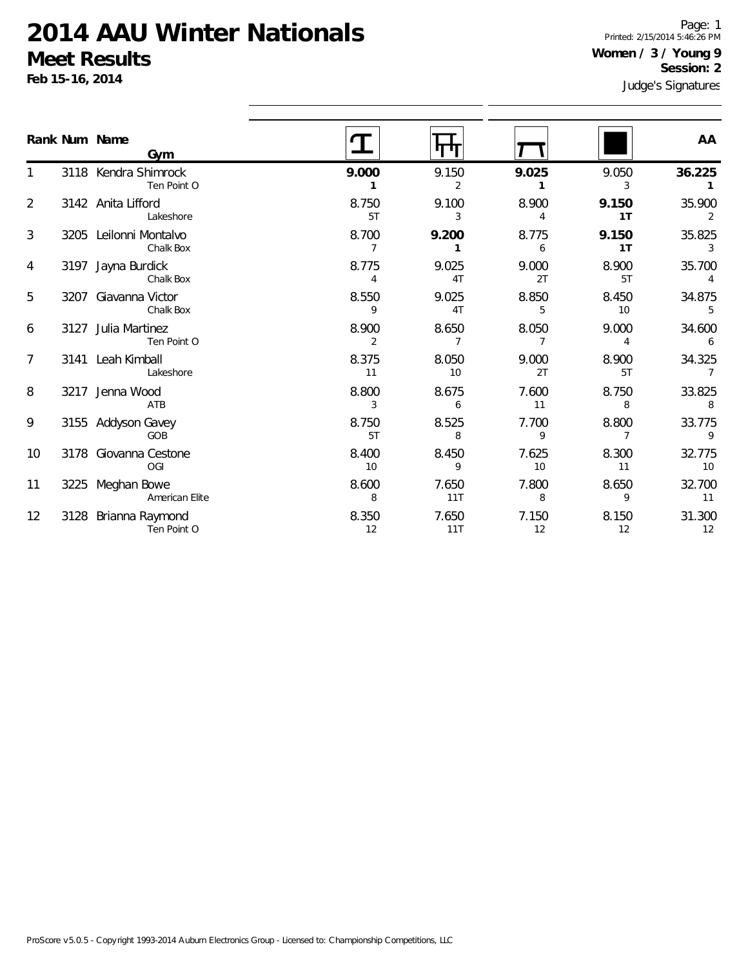**Feb 15-16, 2014**

Page: 1 Printed: 2/15/2014 5:46:26 PM **Women / 3 / Young 9 Session: 2**

|                   |      | Rank Num Name<br>Gym                |                         |              |             |                         | AA           |
|-------------------|------|-------------------------------------|-------------------------|--------------|-------------|-------------------------|--------------|
|                   |      | 3118 Kendra Shimrock                | 9.000                   | 9.150        | 9.025       | 9.050                   | 36.225       |
|                   |      | Ten Point O                         | 1                       | 2            | 1           | 3                       |              |
| 2                 |      | 3142 Anita Lifford<br>Lakeshore     | 8.750<br>5T             | 9.100<br>3   | 8.900<br>4  | 9.150<br>1T             | 35.900<br>2  |
| 3                 |      | 3205 Leilonni Montalvo<br>Chalk Box | 8.700<br>$\overline{7}$ | 9.200<br>1   | 8.775<br>6  | 9.150<br>1T             | 35.825<br>3  |
| 4                 |      | 3197 Jayna Burdick<br>Chalk Box     | 8.775<br>4              | 9.025<br>4T  | 9.000<br>2T | 8.900<br>5T             | 35.700<br>4  |
| 5                 | 3207 | Giavanna Victor<br>Chalk Box        | 8.550<br>9              | 9.025<br>4T  | 8.850<br>5  | 8.450<br>10             | 34.875<br>5  |
| 6                 |      | 3127 Julia Martinez<br>Ten Point O  | 8.900<br>$\overline{2}$ | 8.650<br>7   | 8.050<br>7  | 9.000<br>4              | 34.600<br>6  |
| 7                 |      | 3141 Leah Kimball<br>Lakeshore      | 8.375<br>11             | 8.050<br>10  | 9.000<br>2T | 8.900<br>5T             | 34.325<br>7  |
| 8                 |      | 3217 Jenna Wood<br>ATB              | 8.800<br>3              | 8.675<br>6   | 7.600<br>11 | 8.750<br>8              | 33.825<br>8  |
| 9                 |      | 3155 Addyson Gavey<br>GOB           | 8.750<br>5T             | 8.525<br>8   | 7.700<br>9  | 8.800<br>$\overline{7}$ | 33.775<br>9  |
| 10                |      | 3178 Giovanna Cestone<br>OGI        | 8.400<br>10             | 8.450<br>9   | 7.625<br>10 | 8.300<br>11             | 32.775<br>10 |
| 11                |      | 3225 Meghan Bowe<br>American Elite  | 8.600<br>8              | 7.650<br>11T | 7.800<br>8  | 8.650<br>9              | 32.700<br>11 |
| $12 \overline{ }$ |      | 3128 Brianna Raymond<br>Ten Point O | 8.350<br>12             | 7.650<br>11T | 7.150<br>12 | 8.150<br>12             | 31.300<br>12 |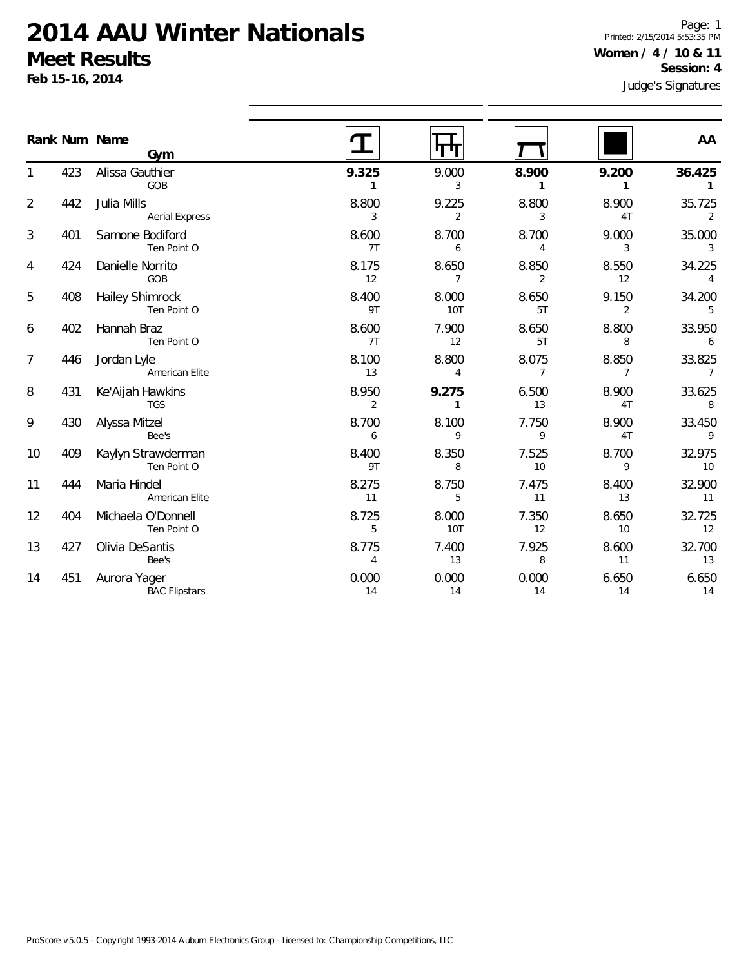**Feb 15-16, 2014**

Judge's Signatures Page: 1 Printed: 2/15/2014 5:53:35 PM **Women / 4 / 10 & 11 Session: 4**

|                |     | Rank Num Name<br>Gym                 |                         |                       |                         |                         | AA                       |
|----------------|-----|--------------------------------------|-------------------------|-----------------------|-------------------------|-------------------------|--------------------------|
|                | 423 | Alissa Gauthier<br>GOB               | 9.325<br>1              | 9.000<br>3            | 8.900<br>1              | 9.200<br>1              | 36.425<br>1              |
| $\overline{2}$ | 442 | Julia Mills<br><b>Aerial Express</b> | 8.800<br>3              | 9.225<br>2            | 8.800<br>3              | 8.900<br>4T             | 35.725<br>2              |
| 3              | 401 | Samone Bodiford<br>Ten Point O       | 8.600<br>7T             | 8.700<br>6            | 8.700<br>4              | 9.000<br>3              | 35.000<br>3              |
| 4              | 424 | Danielle Norrito<br>GOB              | 8.175<br>12             | 8.650<br>7            | 8.850<br>2              | 8.550<br>12             | 34.225<br>4              |
| 5              | 408 | Hailey Shimrock<br>Ten Point O       | 8.400<br>9T             | 8.000<br><b>10T</b>   | 8.650<br>5T             | 9.150<br>2              | 34.200<br>5              |
| 6              | 402 | Hannah Braz<br>Ten Point O           | 8.600<br>7T             | 7.900<br>12           | 8.650<br>5T             | 8.800<br>8              | 33.950<br>6              |
| 7              | 446 | Jordan Lyle<br>American Elite        | 8.100<br>13             | 8.800<br>4            | 8.075<br>$\overline{7}$ | 8.850<br>$\overline{7}$ | 33.825<br>$\overline{7}$ |
| 8              | 431 | Ke'Aijah Hawkins<br><b>TGS</b>       | 8.950<br>$\overline{2}$ | 9.275<br>$\mathbf{1}$ | 6.500<br>13             | 8.900<br>4T             | 33.625<br>8              |
| 9              | 430 | Alyssa Mitzel<br>Bee's               | 8.700<br>6              | 8.100<br>9            | 7.750<br>9              | 8.900<br>4T             | 33.450<br>9              |
| 10             | 409 | Kaylyn Strawderman<br>Ten Point O    | 8.400<br>9T             | 8.350<br>8            | 7.525<br>10             | 8.700<br>9              | 32.975<br>10             |
| 11             | 444 | Maria Hindel<br>American Elite       | 8.275<br>11             | 8.750<br>5            | 7.475<br>11             | 8.400<br>13             | 32.900<br>11             |
| 12             | 404 | Michaela O'Donnell<br>Ten Point O    | 8.725<br>5              | 8.000<br><b>10T</b>   | 7.350<br>12             | 8.650<br>10             | 32.725<br>12             |
| 13             | 427 | Olivia DeSantis<br>Bee's             | 8.775<br>$\overline{4}$ | 7.400<br>13           | 7.925<br>8              | 8.600<br>11             | 32.700<br>13             |
| 14             | 451 | Aurora Yager<br><b>BAC Flipstars</b> | 0.000<br>14             | 0.000<br>14           | 0.000<br>14             | 6.650<br>14             | 6.650<br>14              |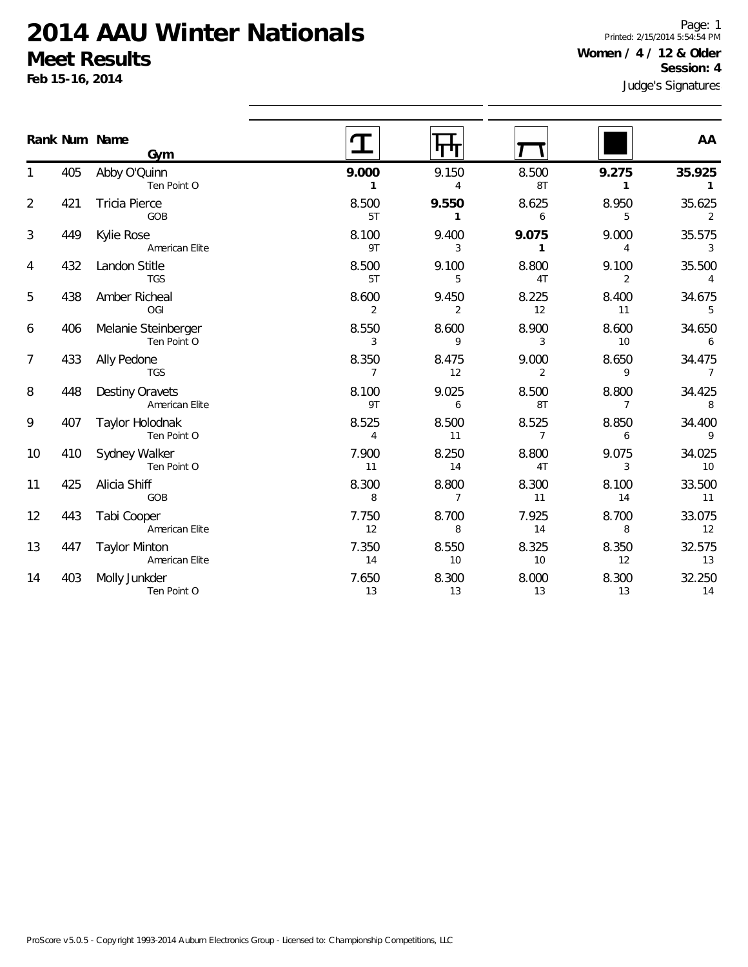**Feb 15-16, 2014**

Page: 1 Printed: 2/15/2014 5:54:54 PM **Women / 4 / 12 & Older Session: 4**

|                |     | Rank Num Name<br>Gym                   |                         | गाम                     |                         |                         | AA                       |
|----------------|-----|----------------------------------------|-------------------------|-------------------------|-------------------------|-------------------------|--------------------------|
|                | 405 | Abby O'Quinn<br>Ten Point O            | 9.000<br>$\mathbf{1}$   | 9.150<br>4              | 8.500<br>8T             | 9.275<br>$\mathbf{1}$   | 35.925<br>$\mathbf{1}$   |
| $\overline{2}$ | 421 | <b>Tricia Pierce</b><br>GOB            | 8.500<br>5T             | 9.550<br>1              | 8.625<br>6              | 8.950<br>5              | 35.625<br>2              |
| 3              | 449 | Kylie Rose<br>American Elite           | 8.100<br>9T             | 9.400<br>3              | 9.075<br>$\mathbf{1}$   | 9.000<br>$\overline{4}$ | 35.575<br>3              |
| 4              | 432 | Landon Stitle<br><b>TGS</b>            | 8.500<br>5T             | 9.100<br>5              | 8.800<br>4T             | 9.100<br>2              | 35.500<br>$\overline{4}$ |
| 5              | 438 | Amber Richeal<br>OGI                   | 8.600<br>$\overline{2}$ | 9.450<br>$\overline{2}$ | 8.225<br>12             | 8.400<br>11             | 34.675<br>5              |
| 6              | 406 | Melanie Steinberger<br>Ten Point O     | 8.550<br>3              | 8.600<br>9              | 8.900<br>3              | 8.600<br>10             | 34.650<br>6              |
| 7              | 433 | Ally Pedone<br><b>TGS</b>              | 8.350<br>$\overline{7}$ | 8.475<br>12             | 9.000<br>$\overline{2}$ | 8.650<br>9              | 34.475<br>$\overline{7}$ |
| 8              | 448 | Destiny Oravets<br>American Elite      | 8.100<br>9T             | 9.025<br>6              | 8.500<br>8T             | 8.800<br>$\overline{7}$ | 34.425<br>8              |
| 9              | 407 | Taylor Holodnak<br>Ten Point O         | 8.525<br>$\overline{4}$ | 8.500<br>11             | 8.525<br>$\overline{7}$ | 8.850<br>6              | 34.400<br>9              |
| 10             | 410 | Sydney Walker<br>Ten Point O           | 7.900<br>11             | 8.250<br>14             | 8.800<br>4T             | 9.075<br>3              | 34.025<br>10             |
| 11             | 425 | Alicia Shiff<br>GOB                    | 8.300<br>8              | 8.800<br>$\overline{7}$ | 8.300<br>11             | 8.100<br>14             | 33.500<br>11             |
| 12             | 443 | Tabi Cooper<br>American Elite          | 7.750<br>12             | 8.700<br>8              | 7.925<br>14             | 8.700<br>8              | 33.075<br>12             |
| 13             | 447 | <b>Taylor Minton</b><br>American Elite | 7.350<br>14             | 8.550<br>10             | 8.325<br>10             | 8.350<br>12             | 32.575<br>13             |
| 14             | 403 | Molly Junkder<br>Ten Point O           | 7.650<br>13             | 8.300<br>13             | 8.000<br>13             | 8.300<br>13             | 32.250<br>14             |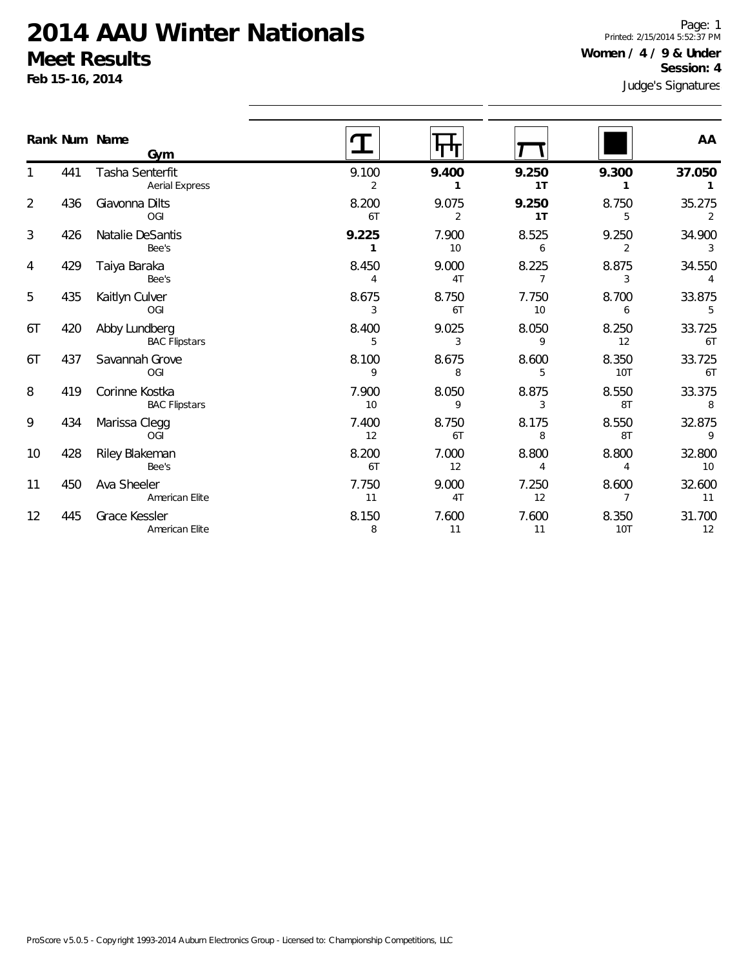**Feb 15-16, 2014**

Page: 1 Printed: 2/15/2014 5:52:37 PM **Women / 4 / 9 & Under Session: 4**

|                |     | Rank Num Name<br>Gym                     |                         |                         |                         |                         | AA           |
|----------------|-----|------------------------------------------|-------------------------|-------------------------|-------------------------|-------------------------|--------------|
|                | 441 | Tasha Senterfit<br><b>Aerial Express</b> | 9.100<br>$\overline{2}$ | 9.400<br>1              | 9.250<br>1T             | 9.300                   | 37.050       |
| $\overline{2}$ | 436 | Giavonna Dilts<br>OGI                    | 8.200<br>6T             | 9.075<br>$\overline{2}$ | 9.250<br>1T             | 8.750<br>5              | 35.275<br>2  |
| 3              | 426 | Natalie DeSantis<br>Bee's                | 9.225<br>1              | 7.900<br>10             | 8.525<br>6              | 9.250<br>$\overline{2}$ | 34.900<br>3  |
| 4              | 429 | Taiya Baraka<br>Bee's                    | 8.450<br>4              | 9.000<br>4T             | 8.225<br>$\overline{7}$ | 8.875<br>3              | 34.550<br>4  |
| 5              | 435 | Kaitlyn Culver<br>OGI                    | 8.675<br>3              | 8.750<br>6T             | 7.750<br>10             | 8.700<br>6              | 33.875<br>5  |
| 6T             | 420 | Abby Lundberg<br><b>BAC Flipstars</b>    | 8.400<br>5              | 9.025<br>3              | 8.050<br>9              | 8.250<br>12             | 33.725<br>6T |
| 6T             | 437 | Savannah Grove<br>OGI                    | 8.100<br>9              | 8.675<br>8              | 8.600<br>5              | 8.350<br><b>10T</b>     | 33.725<br>6T |
| 8              | 419 | Corinne Kostka<br><b>BAC Flipstars</b>   | 7.900<br>10             | 8.050<br>9              | 8.875<br>3              | 8.550<br>8T             | 33.375<br>8  |
| 9              | 434 | Marissa Clegg<br>OGI                     | 7.400<br>12             | 8.750<br>6T             | 8.175<br>8              | 8.550<br>8T             | 32.875<br>9  |
| 10             | 428 | Riley Blakeman<br>Bee's                  | 8.200<br>6T             | 7.000<br>12             | 8.800<br>4              | 8.800<br>4              | 32.800<br>10 |
| 11             | 450 | Ava Sheeler<br>American Elite            | 7.750<br>11             | 9.000<br>4T             | 7.250<br>12             | 8.600<br>$\overline{7}$ | 32.600<br>11 |
| 12             | 445 | Grace Kessler<br>American Elite          | 8.150<br>8              | 7.600<br>11             | 7.600<br>11             | 8.350<br>10T            | 31.700<br>12 |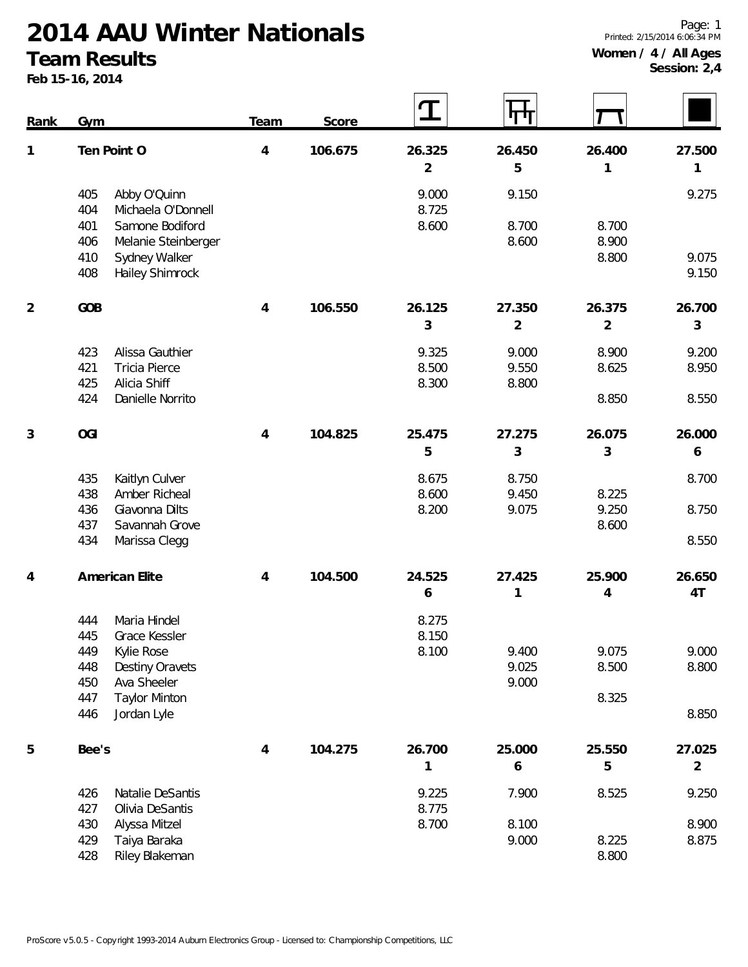#### **Team Results**

**Feb 15-16, 2014**

**Session: 2,4**

| Rank           | Gym                                                 | Team           | Score   | $\mathbf T$    | पाग            |                |                |
|----------------|-----------------------------------------------------|----------------|---------|----------------|----------------|----------------|----------------|
| 1              | Ten Point O                                         | $\overline{4}$ | 106.675 | 26.325         | 26.450         | 26.400         | 27.500         |
|                |                                                     |                |         | $\overline{2}$ | 5              | 1              | 1              |
|                | Abby O'Quinn<br>405<br>404<br>Michaela O'Donnell    |                |         | 9.000<br>8.725 | 9.150          |                | 9.275          |
|                | 401<br>Samone Bodiford                              |                |         | 8.600          | 8.700          | 8.700          |                |
|                | 406<br>Melanie Steinberger                          |                |         |                | 8.600          | 8.900<br>8.800 | 9.075          |
|                | Sydney Walker<br>410<br>Hailey Shimrock<br>408      |                |         |                |                |                | 9.150          |
| $\overline{2}$ | GOB                                                 | $\overline{4}$ | 106.550 | 26.125         | 27.350         | 26.375         | 26.700         |
|                |                                                     |                |         | 3              | $\overline{2}$ | $\overline{2}$ | 3              |
|                | Alissa Gauthier<br>423                              |                |         | 9.325          | 9.000          | 8.900          | 9.200          |
|                | <b>Tricia Pierce</b><br>421                         |                |         | 8.500          | 9.550          | 8.625          | 8.950          |
|                | Alicia Shiff<br>425<br>Danielle Norrito<br>424      |                |         | 8.300          | 8.800          | 8.850          | 8.550          |
|                |                                                     |                |         |                |                |                |                |
| 3              | <b>OGI</b>                                          | $\overline{4}$ | 104.825 | 25.475         | 27.275         | 26.075         | 26.000         |
|                |                                                     |                |         | 5              | 3              | 3              | 6              |
|                | Kaitlyn Culver<br>435                               |                |         | 8.675          | 8.750          |                | 8.700          |
|                | 438<br>Amber Richeal                                |                |         | 8.600          | 9.450          | 8.225          |                |
|                | Giavonna Dilts<br>436                               |                |         | 8.200          | 9.075          | 9.250          | 8.750          |
|                | 437<br>Savannah Grove<br>434<br>Marissa Clegg       |                |         |                |                | 8.600          | 8.550          |
|                |                                                     |                |         |                |                |                |                |
| 4              | American Elite                                      | $\overline{4}$ | 104.500 | 24.525         | 27.425         | 25.900         | 26.650         |
|                |                                                     |                |         | 6              | 1              | 4              | 4T             |
|                | Maria Hindel<br>444                                 |                |         | 8.275          |                |                |                |
|                | 445<br>Grace Kessler                                |                |         | 8.150          |                |                |                |
|                | 449<br>Kylie Rose                                   |                |         | 8.100          | 9.400          | 9.075          | 9.000          |
|                | 448<br><b>Destiny Oravets</b><br>450<br>Ava Sheeler |                |         |                | 9.025<br>9.000 | 8.500          | 8.800          |
|                | <b>Taylor Minton</b><br>447                         |                |         |                |                | 8.325          |                |
|                | Jordan Lyle<br>446                                  |                |         |                |                |                | 8.850          |
| 5              | Bee's                                               | 4              | 104.275 | 26.700         | 25.000         | 25.550         | 27.025         |
|                |                                                     |                |         | 1              | 6              | 5              | $\overline{2}$ |
|                | 426<br>Natalie DeSantis                             |                |         | 9.225          | 7.900          | 8.525          | 9.250          |
|                | 427<br>Olivia DeSantis                              |                |         | 8.775          |                |                |                |
|                | 430<br>Alyssa Mitzel                                |                |         | 8.700          | 8.100          |                | 8.900          |
|                | 429<br>Taiya Baraka<br>428<br>Riley Blakeman        |                |         |                | 9.000          | 8.225<br>8.800 | 8.875          |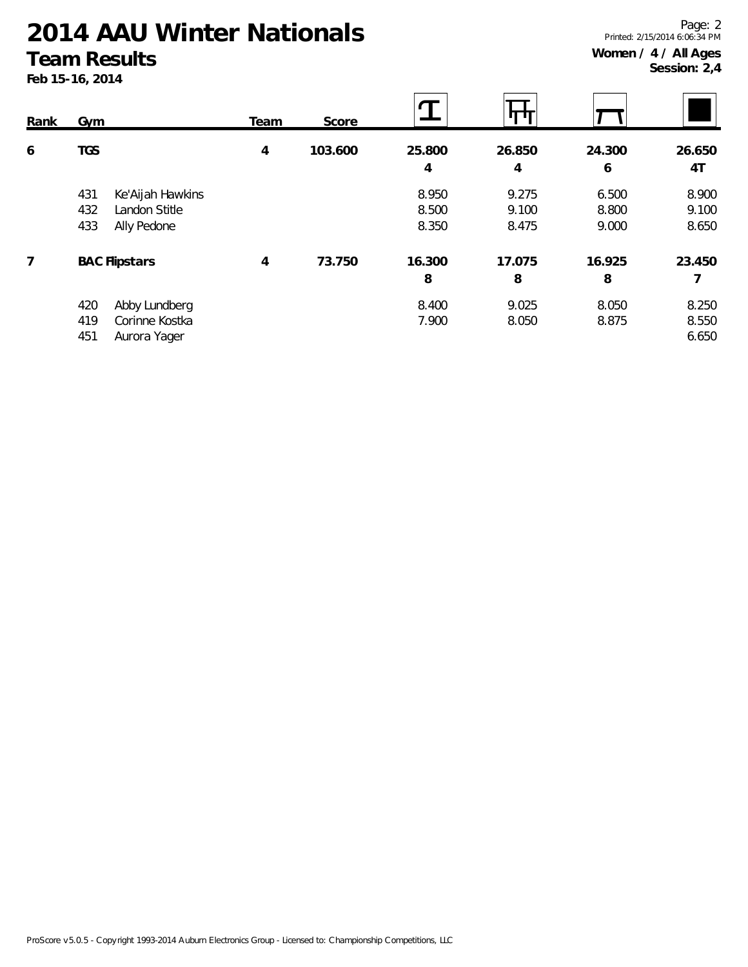#### **Team Results**

**Feb 15-16, 2014**

 $\mathbf T$ स्मि **Rank Gym Team Score 6 TGS 4 103.600 25.800 26.850 24.300 26.650 4 4 6 4T** 431 Ke'Aijah Hawkins 8.950 9.275 6.500 8.900 432 Landon Stitle 8.500 9.100 8.800 9.100 433 Ally Pedone 8.350 8.475 9.000 8.650 **7 BAC Flipstars 4 73.750 16.300 17.075 16.925 23.450 8 8 8 7** 420 Abby Lundberg 8.400 9.025 8.050 8.250 419 Corinne Kostka 7.900 8.050 8.875 8.550 451 Aurora Yager 6.650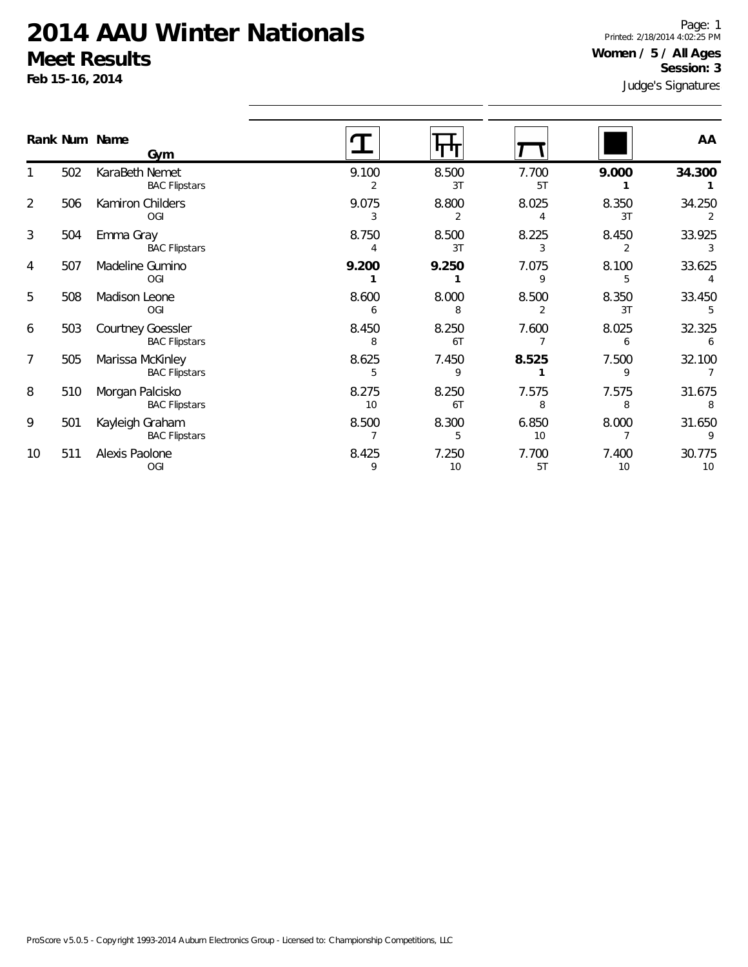**Feb 15-16, 2014**

Page: 1 Printed: 2/18/2014 4:02:25 PM **Women / 5 / All Ages Session: 3**

|                | Rank Num Name | Gym                                       |             | पाण         |             |             | AA           |
|----------------|---------------|-------------------------------------------|-------------|-------------|-------------|-------------|--------------|
|                | 502           | KaraBeth Nemet<br><b>BAC Flipstars</b>    | 9.100<br>2  | 8.500<br>3T | 7.700<br>5T | 9.000       | 34.300       |
| $\overline{2}$ | 506           | Kamiron Childers<br>OGI                   | 9.075<br>3  | 8.800       | 8.025       | 8.350<br>3T | 34.250       |
| 3              | 504           | Emma Gray<br><b>BAC Flipstars</b>         | 8.750       | 8.500<br>3T | 8.225       | 8.450       | 33.925       |
| 4              | 507           | Madeline Gumino<br>OGI                    | 9.200       | 9.250       | 7.075<br>9  | 8.100<br>5  | 33.625       |
| 5              | 508           | Madison Leone<br><b>OGI</b>               | 8.600       | 8.000<br>8  | 8.500       | 8.350<br>3T | 33.450       |
| 6              | 503           | Courtney Goessler<br><b>BAC Flipstars</b> | 8.450<br>8  | 8.250<br>6T | 7.600       | 8.025<br>6  | 32.325       |
| $\overline{7}$ | 505           | Marissa McKinley<br><b>BAC Flipstars</b>  | 8.625<br>5  | 7.450<br>9  | 8.525       | 7.500<br>9  | 32.100       |
| 8              | 510           | Morgan Palcisko<br><b>BAC Flipstars</b>   | 8.275<br>10 | 8.250<br>6T | 7.575<br>8  | 7.575<br>8  | 31.675<br>8  |
| 9              | 501           | Kayleigh Graham<br><b>BAC Flipstars</b>   | 8.500       | 8.300<br>5  | 6.850<br>10 | 8.000       | 31.650       |
| 10             | 511           | Alexis Paolone<br><b>OGI</b>              | 8.425<br>9  | 7.250<br>10 | 7.700<br>5T | 7.400<br>10 | 30.775<br>10 |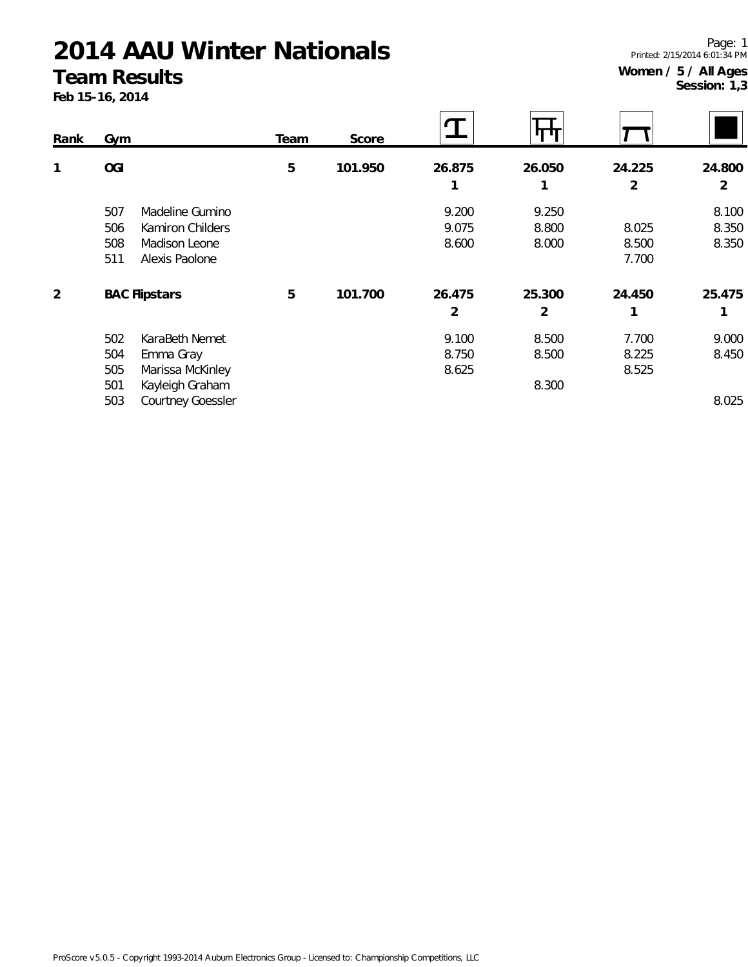#### **Team Results**

**Feb 15-16, 2014**

**Session: 1,3**

 $\overline{\phantom{0}}$ 

| Rank | Gym                      | Team | Score   |        |        |                |        |
|------|--------------------------|------|---------|--------|--------|----------------|--------|
| 1    | <b>OGI</b>               | 5    | 101.950 | 26.875 | 26.050 | 24.225         | 24.800 |
|      |                          |      |         | 1      |        | $\overline{2}$ | 2      |
|      | 507<br>Madeline Gumino   |      |         | 9.200  | 9.250  |                | 8.100  |
|      | 506<br>Kamiron Childers  |      |         | 9.075  | 8.800  | 8.025          | 8.350  |
|      | 508<br>Madison Leone     |      |         | 8.600  | 8.000  | 8.500          | 8.350  |
|      | 511<br>Alexis Paolone    |      |         |        |        | 7.700          |        |
| 2    | <b>BAC Flipstars</b>     | 5    | 101.700 | 26.475 | 25.300 | 24.450         | 25.475 |
|      |                          |      |         | 2      | 2      |                |        |
|      | 502<br>KaraBeth Nemet    |      |         | 9.100  | 8.500  | 7.700          | 9.000  |
|      | 504<br>Emma Gray         |      |         | 8.750  | 8.500  | 8.225          | 8.450  |
|      | 505<br>Marissa McKinley  |      |         | 8.625  |        | 8.525          |        |
|      | Kayleigh Graham<br>501   |      |         |        | 8.300  |                |        |
|      | Courtney Goessler<br>503 |      |         |        |        |                | 8.025  |

Page: 1 Printed: 2/15/2014 6:01:34 PM **Women / 5 / All Ages**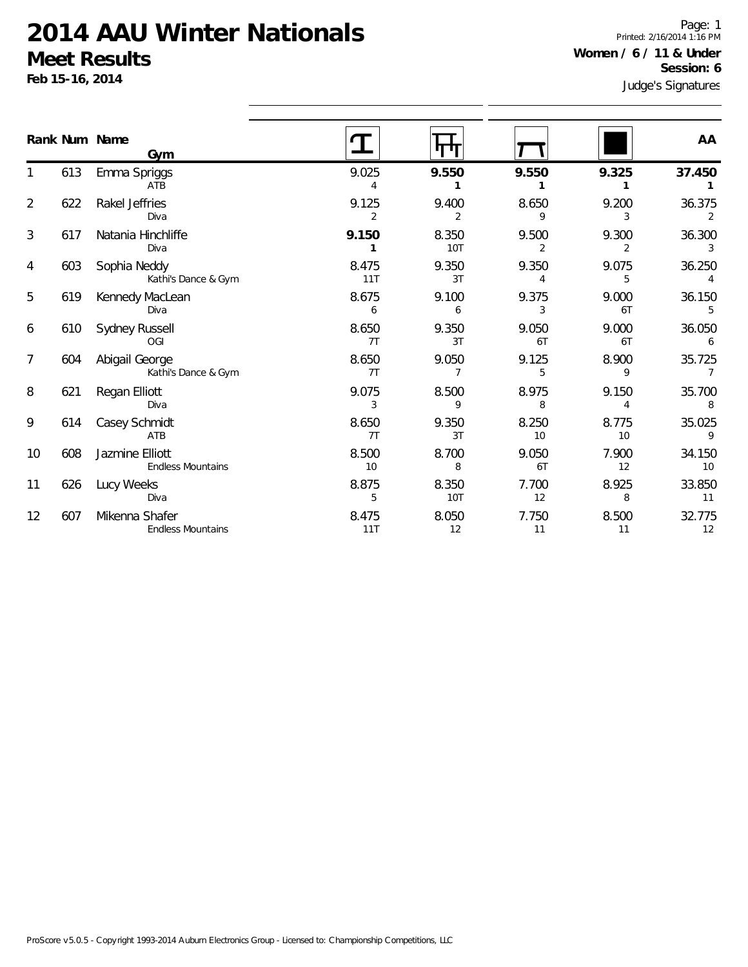Diva

ATB

Diva

Endless Mountains

Endless Mountains

621 Regan Elliott

614 Casey Schmidt

608 Jazmine Elliott

626 Lucy Weeks

607 Mikenna Shafer

1

2

3

4

5

6

7

8

9

10

11

12

Page: 1 Printed: 2/16/2014 1:16 PM **Women / 6 / 11 & Under Session: 6**

|                | Feb 15-16, 2014 |                                       |              |              |             |             | <b>PESSIOLI:</b> 0<br>Judge's Signatures |  |
|----------------|-----------------|---------------------------------------|--------------|--------------|-------------|-------------|------------------------------------------|--|
|                |                 | Rank Num Name<br>Gym                  |              |              |             |             | AA                                       |  |
|                | 613             | Emma Spriggs<br>ATB                   | 9.025        | 9.550        | 9.550       | 9.325       | 37.450                                   |  |
| $\overline{2}$ | 622             | Rakel Jeffries<br>Diva                | 9.125        | 9.400<br>2   | 8.650       | 9.200<br>3  | 36.375                                   |  |
| 3              | 617             | Natania Hinchliffe<br>Diva            | 9.150        | 8.350<br>10T | 9.500       | 9.300       | 36.300                                   |  |
| 4              | 603             | Sophia Neddy<br>Kathi's Dance & Gym   | 8.475<br>11T | 9.350<br>3T  | 9.350       | 9.075<br>5  | 36.250                                   |  |
| 5              | 619             | Kennedy MacLean<br>Diva               | 8.675<br>6   | 9.100<br>6   | 9.375       | 9.000<br>6T | 36.150                                   |  |
| 6              | 610             | Sydney Russell<br>OGI                 | 8.650<br>7T  | 9.350<br>3T  | 9.050<br>6T | 9.000<br>6T | 36.050<br>6                              |  |
| 7              | 604             | Abigail George<br>Kathi's Dance & Gym | 8.650<br>7T  | 9.050        | 9.125<br>5  | 8.900<br>9  | 35.725                                   |  |

9.075 8.500 8.975 9.150 35.700 3 9 8 4 8

8.650 9.350 8.250 8.775 35.025 7T 3T 10 10 9

8.500 8.700 9.050 7.900 34.150 10 8 6T 12 10

8.875 8.350 7.700 8.925 33.850 5 10T 12 8 11

8.475 8.050 7.750 8.500 32.775 11T 12 11 11 12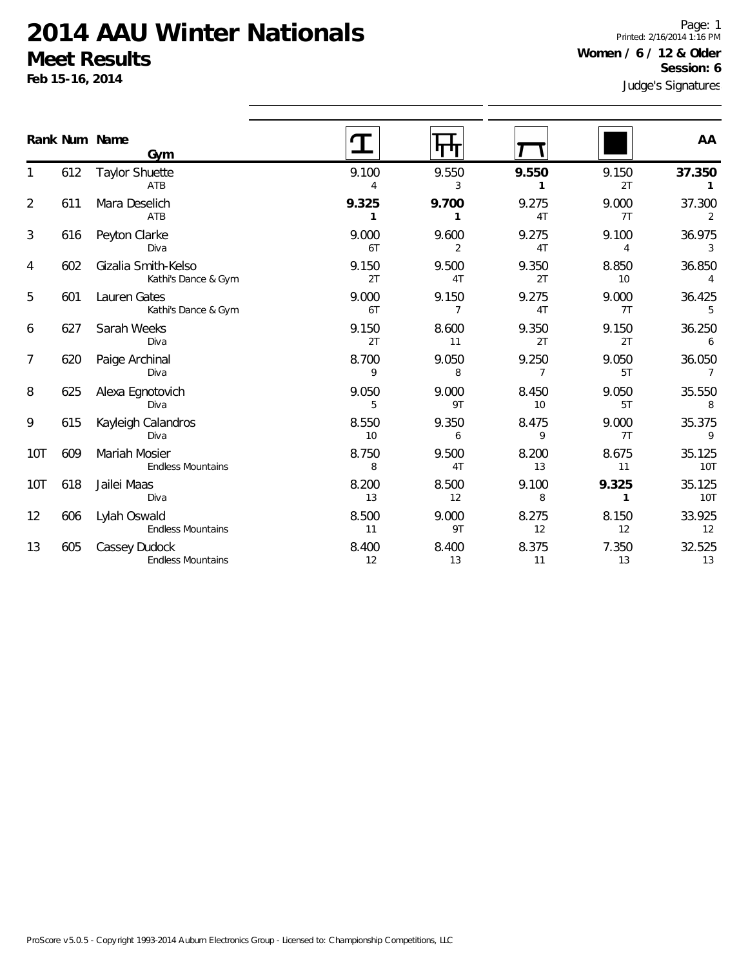**Feb 15-16, 2014**

Page: 1 Printed: 2/16/2014 1:16 PM **Women / 6 / 12 & Older Session: 6**

|                |     | Rank Num Name<br>Gym                       |             |             |             |                         | AA                       |
|----------------|-----|--------------------------------------------|-------------|-------------|-------------|-------------------------|--------------------------|
|                | 612 | <b>Taylor Shuette</b><br>ATB               | 9.100<br>4  | 9.550<br>3  | 9.550<br>1  | 9.150<br>2T             | 37.350<br>1              |
| $\overline{2}$ | 611 | Mara Deselich<br>ATB                       | 9.325       | 9.700<br>1  | 9.275<br>4T | 9.000<br>7T             | 37.300<br>$\overline{2}$ |
| 3              | 616 | Peyton Clarke<br>Diva                      | 9.000<br>6T | 9.600<br>2  | 9.275<br>4T | 9.100<br>$\overline{4}$ | 36.975<br>3              |
| 4              | 602 | Gizalia Smith-Kelso<br>Kathi's Dance & Gym | 9.150<br>2T | 9.500<br>4T | 9.350<br>2T | 8.850<br>10             | 36.850<br>4              |
| 5              | 601 | Lauren Gates<br>Kathi's Dance & Gym        | 9.000<br>6T | 9.150<br>7  | 9.275<br>4T | 9.000<br>7T             | 36.425<br>5              |
| 6              | 627 | Sarah Weeks<br>Diva                        | 9.150<br>2T | 8.600<br>11 | 9.350<br>2T | 9.150<br>2T             | 36.250<br>6              |
| 7              | 620 | Paige Archinal<br>Diva                     | 8.700<br>9  | 9.050<br>8  | 9.250<br>7  | 9.050<br>5T             | 36.050<br>$\overline{7}$ |
| 8              | 625 | Alexa Egnotovich<br>Diva                   | 9.050<br>5  | 9.000<br>9T | 8.450<br>10 | 9.050<br>5T             | 35.550<br>8              |
| 9              | 615 | Kayleigh Calandros<br>Diva                 | 8.550<br>10 | 9.350<br>6  | 8.475<br>9  | 9.000<br>7T             | 35.375<br>9              |
| 10T            | 609 | Mariah Mosier<br><b>Endless Mountains</b>  | 8.750<br>8  | 9.500<br>4T | 8.200<br>13 | 8.675<br>11             | 35.125<br>10T            |
| 10T            | 618 | Jailei Maas<br>Diva                        | 8.200<br>13 | 8.500<br>12 | 9.100<br>8  | 9.325<br>1              | 35.125<br>10T            |
| 12             | 606 | Lylah Oswald<br><b>Endless Mountains</b>   | 8.500<br>11 | 9.000<br>9T | 8.275<br>12 | 8.150<br>12             | 33.925<br>12             |
| 13             | 605 | Cassey Dudock<br><b>Endless Mountains</b>  | 8.400<br>12 | 8.400<br>13 | 8.375<br>11 | 7.350<br>13             | 32.525<br>13             |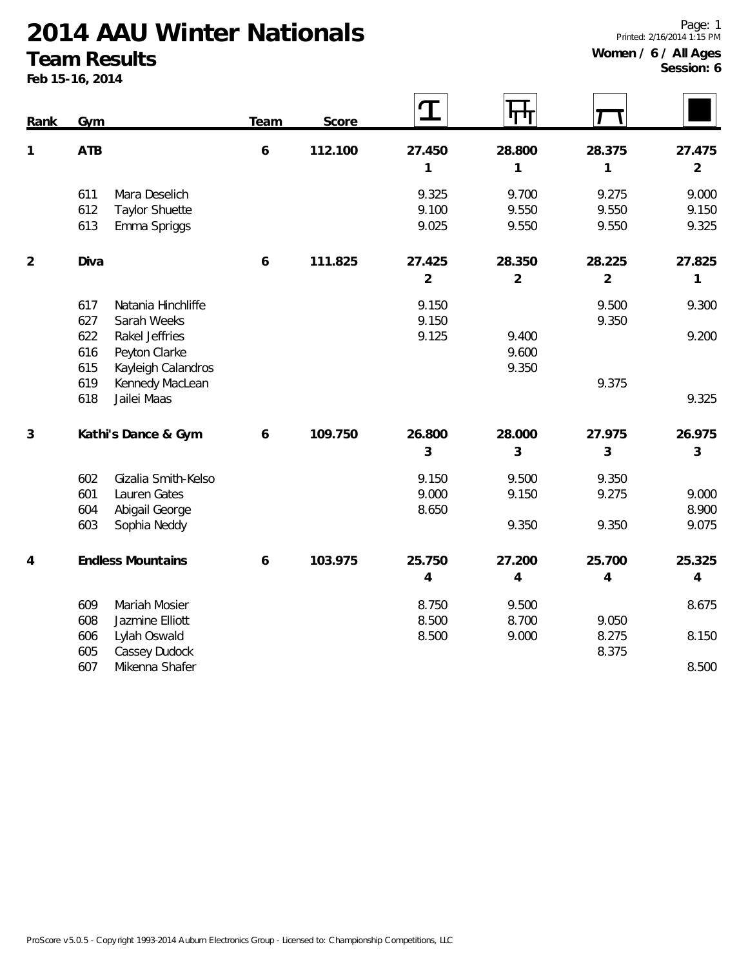#### **Team Results**

**Feb 15-16, 2014**

| Rank           | Gym                                          | Team             | Score   | I              |                |                |                |
|----------------|----------------------------------------------|------------------|---------|----------------|----------------|----------------|----------------|
| $\mathbf{1}$   | ATB                                          | $\boldsymbol{6}$ | 112.100 | 27.450         | 28.800         | 28.375         | 27.475         |
|                |                                              |                  |         | $\mathbf 1$    | 1              | $\mathbf{1}$   | $\overline{2}$ |
|                | 611<br>Mara Deselich                         |                  |         | 9.325          | 9.700          | 9.275          | 9.000          |
|                | 612<br><b>Taylor Shuette</b>                 |                  |         | 9.100          | 9.550          | 9.550          | 9.150          |
|                | 613<br>Emma Spriggs                          |                  |         | 9.025          | 9.550          | 9.550          | 9.325          |
| $\overline{2}$ | Diva                                         | $\boldsymbol{6}$ | 111.825 | 27.425         | 28.350         | 28.225         | 27.825         |
|                |                                              |                  |         | $\overline{2}$ | $\overline{2}$ | $\overline{2}$ | $\mathbf 1$    |
|                | 617<br>Natania Hinchliffe                    |                  |         | 9.150          |                | 9.500          | 9.300          |
|                | 627<br>Sarah Weeks                           |                  |         | 9.150          |                | 9.350          |                |
|                | 622<br>Rakel Jeffries                        |                  |         | 9.125          | 9.400          |                | 9.200          |
|                | 616<br>Peyton Clarke                         |                  |         |                | 9.600          |                |                |
|                | 615<br>Kayleigh Calandros                    |                  |         |                | 9.350          |                |                |
|                | 619<br>Kennedy MacLean<br>618<br>Jailei Maas |                  |         |                |                | 9.375          | 9.325          |
|                |                                              |                  |         |                |                |                |                |
| 3              | Kathi's Dance & Gym                          | 6                | 109.750 | 26.800         | 28.000         | 27.975         | 26.975         |
|                |                                              |                  |         | 3              | 3              | 3              | 3              |
|                | Gizalia Smith-Kelso<br>602                   |                  |         | 9.150          | 9.500          | 9.350          |                |
|                | 601<br>Lauren Gates                          |                  |         | 9.000          | 9.150          | 9.275          | 9.000          |
|                | Abigail George<br>604                        |                  |         | 8.650          |                |                | 8.900          |
|                | 603<br>Sophia Neddy                          |                  |         |                | 9.350          | 9.350          | 9.075          |
| $\overline{4}$ | <b>Endless Mountains</b>                     | $\boldsymbol{6}$ | 103.975 | 25.750         | 27.200         | 25.700         | 25.325         |
|                |                                              |                  |         | $\overline{4}$ | 4              | 4              | $\overline{4}$ |
|                | Mariah Mosier<br>609                         |                  |         | 8.750          | 9.500          |                | 8.675          |
|                | 608<br>Jazmine Elliott                       |                  |         | 8.500          | 8.700          | 9.050          |                |
|                | 606<br>Lylah Oswald                          |                  |         | 8.500          | 9.000          | 8.275          | 8.150          |
|                | 605<br>Cassey Dudock                         |                  |         |                |                | 8.375          |                |
|                | 607<br>Mikenna Shafer                        |                  |         |                |                |                | 8.500          |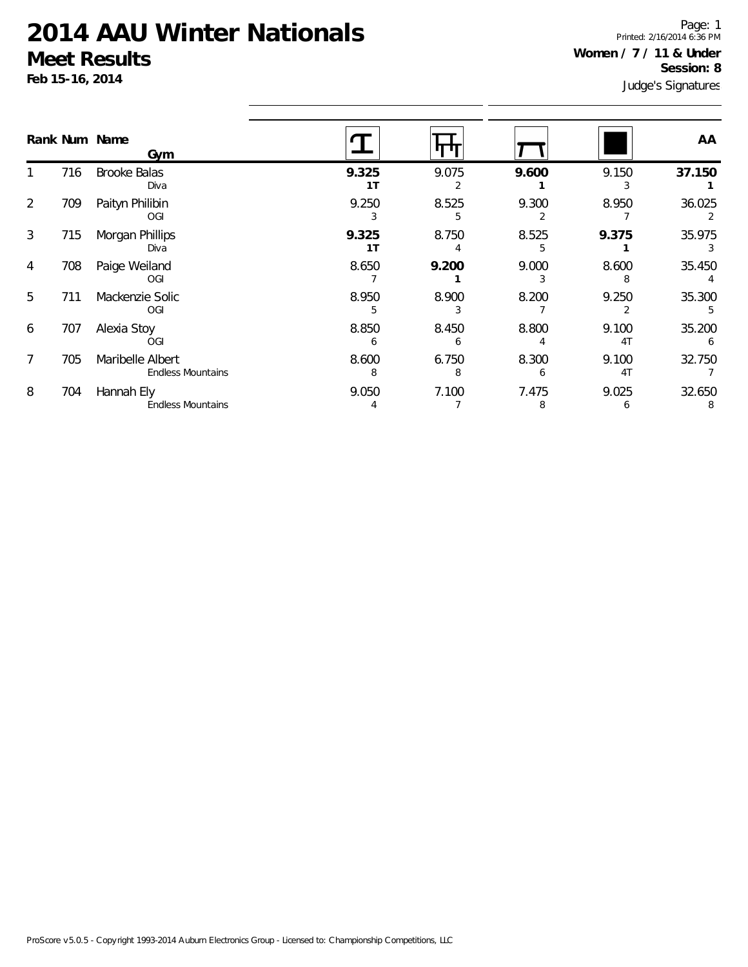**Feb 15-16, 2014**

Judge's Signatures Page: 1 Printed: 2/16/2014 6:36 PM **Women / 7 / 11 & Under Session: 8**

| Rank Num Name         | Gym                                          |                         |            |       |                         | AA          |
|-----------------------|----------------------------------------------|-------------------------|------------|-------|-------------------------|-------------|
| 716                   | <b>Brooke Balas</b><br>Diva                  | 9.325<br>1T             | 9.075      | 9.600 | 9.150                   | 37.150      |
| 2<br>709              | Paityn Philibin<br>OGI                       | 9.250                   | 8.525      | 9.300 | 8.950                   | 36.025      |
| 3<br>715              | Morgan Phillips<br>Diva                      | 9.325<br>1 <sub>T</sub> | 8.750      | 8.525 | 9.375                   | 35.975      |
| $\overline{4}$<br>708 | Paige Weiland<br>OGI                         | 8.650                   | 9.200      | 9.000 | 8.600                   | 35.450      |
| 5<br>711              | Mackenzie Solic<br>OGI                       | 8.950                   | 8.900      | 8.200 | 9.250                   | 35.300      |
| 6<br>707              | Alexia Stoy<br>OGI                           | 8.850                   | 8.450      | 8.800 | 9.100<br>4T             | 35.200      |
| $\overline{7}$<br>705 | Maribelle Albert<br><b>Endless Mountains</b> | 8.600<br>8              | 6.750<br>8 | 8.300 | 9.100<br>4 <sub>T</sub> | 32.750      |
| 8<br>704              | Hannah Ely<br><b>Endless Mountains</b>       | 9.050                   | 7.100      | 7.475 | 9.025                   | 32.650<br>8 |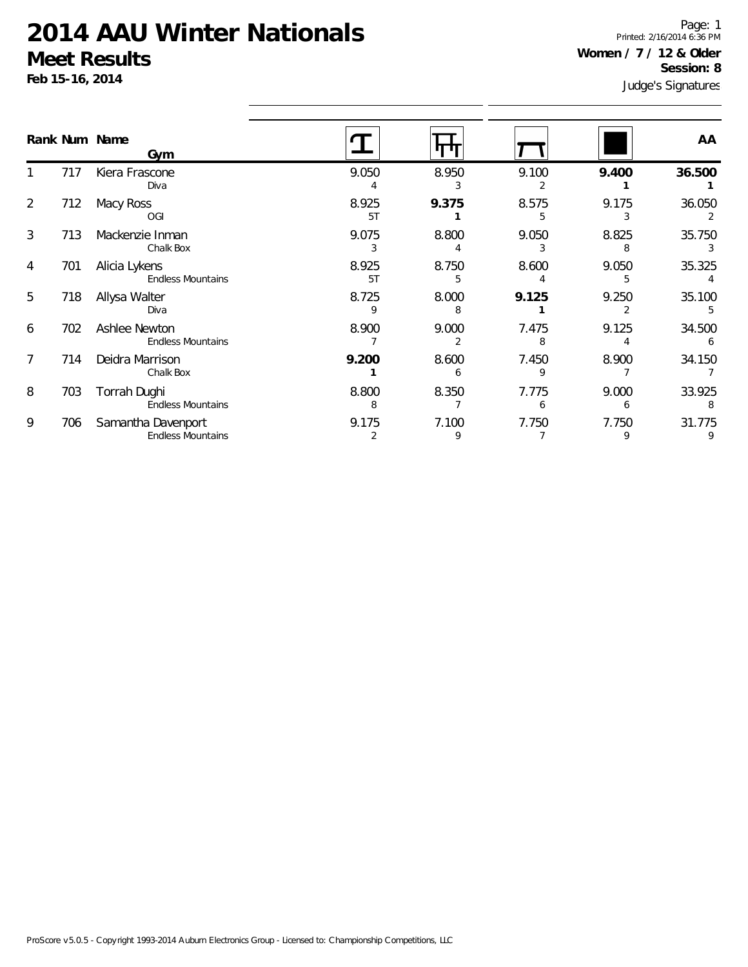**Feb 15-16, 2014**

Page: 1 Printed: 2/16/2014 6:36 PM **Women / 7 / 12 & Older Session: 8**

|                |     | Rank Num Name<br>Gym                           |             |            |            |            | AA          |
|----------------|-----|------------------------------------------------|-------------|------------|------------|------------|-------------|
|                | 717 | Kiera Frascone<br>Diva                         | 9.050       | 8.950      | 9.100      | 9.400      | 36.500      |
| $\overline{2}$ | 712 | Macy Ross<br>OGI                               | 8.925<br>5T | 9.375      | 8.575      | 9.175      | 36.050      |
| 3              | 713 | Mackenzie Inman<br>Chalk Box                   | 9.075<br>3  | 8.800      | 9.050      | 8.825<br>8 | 35.750      |
| 4              | 701 | Alicia Lykens<br><b>Endless Mountains</b>      | 8.925<br>5T | 8.750<br>5 | 8.600      | 9.050<br>5 | 35.325      |
| 5              | 718 | Allysa Walter<br>Diva                          | 8.725<br>9  | 8.000<br>ρ | 9.125      | 9.250      | 35.100      |
| 6              | 702 | Ashlee Newton<br><b>Endless Mountains</b>      | 8.900       | 9.000<br>2 | 7.475<br>8 | 9.125      | 34.500      |
| 7              | 714 | Deidra Marrison<br>Chalk Box                   | 9.200       | 8.600<br>h | 7.450<br>q | 8.900      | 34.150      |
| 8              | 703 | Torrah Dughi<br><b>Endless Mountains</b>       | 8.800<br>8  | 8.350      | 7.775<br>6 | 9.000<br>6 | 33.925<br>8 |
| 9              | 706 | Samantha Davenport<br><b>Endless Mountains</b> | 9.175       | 7.100<br>9 | 7.750      | 7.750<br>9 | 31.775<br>9 |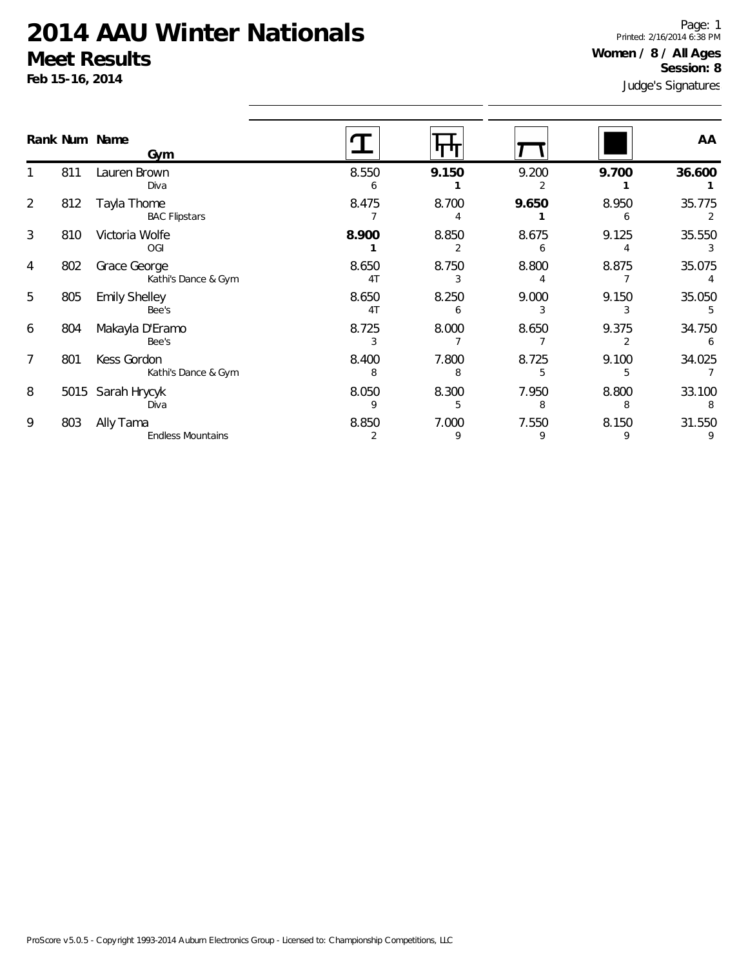Endless Mountains

**Feb 15-16, 2014**

1

2

3

4

5

6

7

8

9

Judge's Signatures Page: 1 Printed: 2/16/2014 6:38 PM **Women / 8 / All Ages Session: 8**

|                |      |                                     |             |            |            | Judge's Signature |             |  |  |
|----------------|------|-------------------------------------|-------------|------------|------------|-------------------|-------------|--|--|
|                |      | Rank Num Name<br>Gym                |             |            |            |                   | AA          |  |  |
|                | 811  | Lauren Brown<br>Diva                | 8.550<br>6  | 9.150      | 9.200      | 9.700             | 36.600      |  |  |
| $\overline{2}$ | 812  | Tayla Thome<br><b>BAC Flipstars</b> | 8.475       | 8.700      | 9.650      | 8.950<br>6        | 35.775      |  |  |
| 3              | 810  | Victoria Wolfe<br>OGI               | 8.900       | 8.850      | 8.675      | 9.125             | 35.550      |  |  |
| 4              | 802  | Grace George<br>Kathi's Dance & Gym | 8.650<br>4T | 8.750      | 8.800      | 8.875             | 35.075      |  |  |
| 5              | 805  | <b>Emily Shelley</b><br>Bee's       | 8.650<br>4T | 8.250<br>6 | 9.000      | 9.150<br>3        | 35.050      |  |  |
| 6              | 804  | Makayla D'Eramo<br>Bee's            | 8.725<br>3  | 8.000      | 8.650      | 9.375             | 34.750<br>6 |  |  |
| 7              | 801  | Kess Gordon<br>Kathi's Dance & Gym  | 8.400<br>8  | 7.800<br>8 | 8.725      | 9.100<br>5        | 34.025      |  |  |
| 8              | 5015 | Sarah Hrycyk<br>Diva                | 8.050       | 8.300<br>5 | 7.950<br>8 | 8.800<br>8        | 33.100<br>8 |  |  |
| 9              | 803  | Ally Tama                           | 8.850       | 7.000      | 7.550      | 8.150             | 31.550      |  |  |

2 9 9 9 9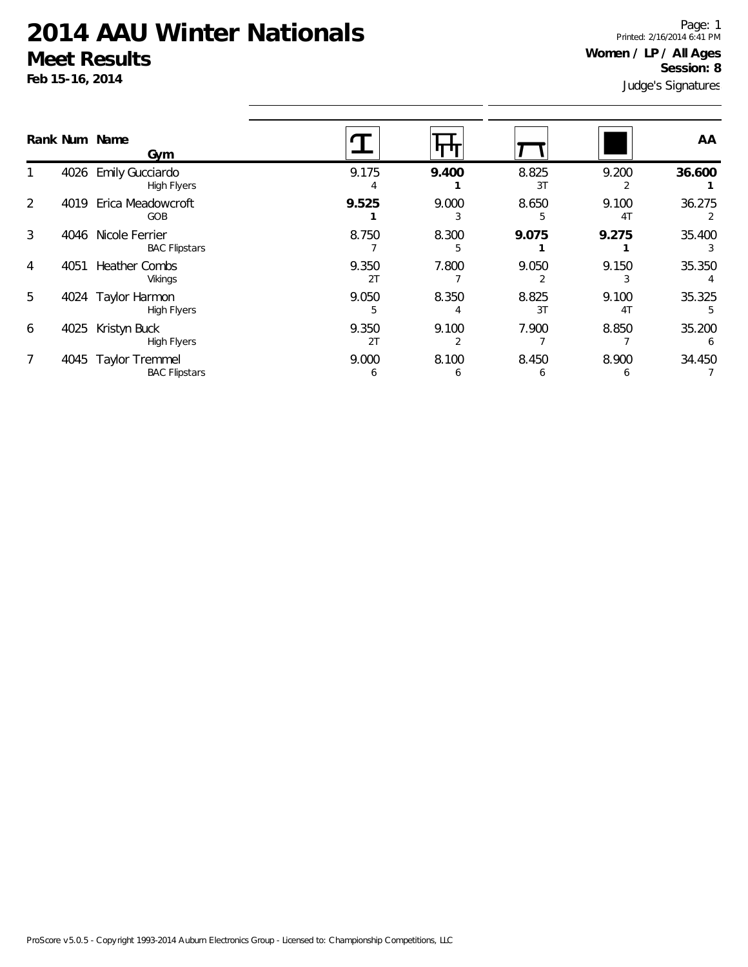**Feb 15-16, 2014**

Judge's Signatures Page: 1 Printed: 2/16/2014 6:41 PM **Women / LP / All Ages Session: 8**

| Rank Num Name | Gym                                           |             |            |             |                         | AA                     |
|---------------|-----------------------------------------------|-------------|------------|-------------|-------------------------|------------------------|
|               | 4026 Emily Gucciardo<br><b>High Flyers</b>    | 9.175       | 9.400      | 8.825<br>3T | 9.200                   | 36.600                 |
| 2<br>4019     | Erica Meadowcroft<br>GOB                      | 9.525       | 9.000<br>3 | 8.650<br>5  | 9.100<br>4 <sub>T</sub> | 36.275                 |
| 3<br>4046     | Nicole Ferrier<br><b>BAC Flipstars</b>        | 8.750       | 8.300      | 9.075       | 9.275                   | 35.400                 |
| 4051<br>4     | <b>Heather Combs</b><br>Vikings               | 9.350<br>2T | 7.800      | 9.050       | 9.150                   | 35.350                 |
| 5<br>4024     | Taylor Harmon<br><b>High Flyers</b>           | 9.050       | 8.350      | 8.825<br>3T | 9.100<br>4 <sub>1</sub> | 35.325                 |
| 4025<br>6     | Kristyn Buck<br><b>High Flyers</b>            | 9.350<br>2T | 9.100      | 7.900       | 8.850                   | 35.200<br><sub>6</sub> |
| 7<br>4045     | <b>Taylor Tremmel</b><br><b>BAC Flipstars</b> | 9.000<br>b  | 8.100<br>b | 8.450<br>b  | 8.900<br>b              | 34.450                 |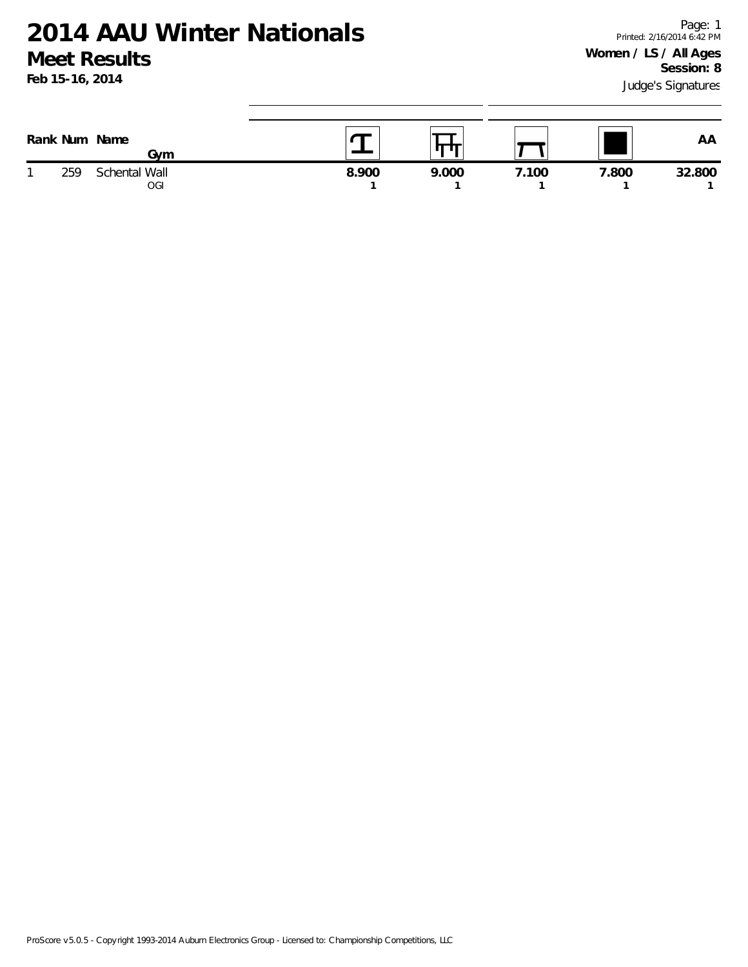| Rank Num | Name<br>Gvm                 |       | ш<br>H |       |       | ΑA     |
|----------|-----------------------------|-------|--------|-------|-------|--------|
| 259      | Schental Wall<br><b>OGI</b> | 8.900 | 9.000  | '.100 | 7.800 | 32.800 |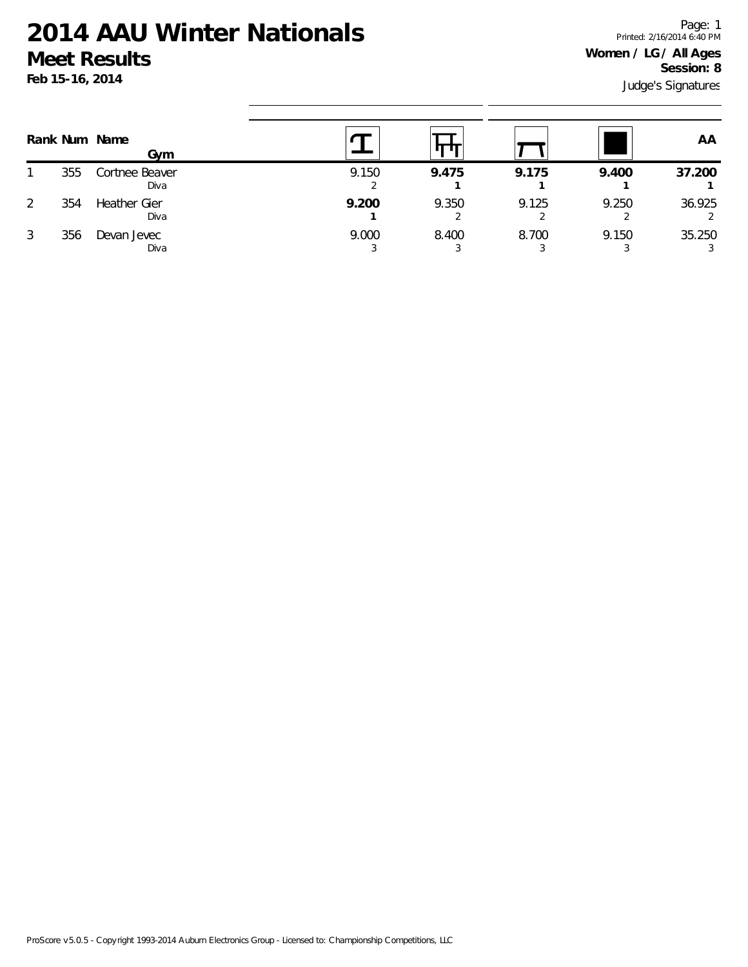Judge's Signatures Page: 1 Printed: 2/16/2014 6:40 PM **Women / LG / All Ages Session: 8**

|   |     | Rank Num Name<br>Gym        |       |       |       |       | AA     |
|---|-----|-----------------------------|-------|-------|-------|-------|--------|
|   | 355 | Cortnee Beaver<br>Diva      | 9.150 | 9.475 | 9.175 | 9.400 | 37.200 |
| 2 | 354 | <b>Heather Gier</b><br>Diva | 9.200 | 9.350 | 9.125 | 9.250 | 36.925 |
| 3 | 356 | Devan Jevec<br>Diva         | 9.000 | 8.400 | 8.700 | 9.150 | 35.250 |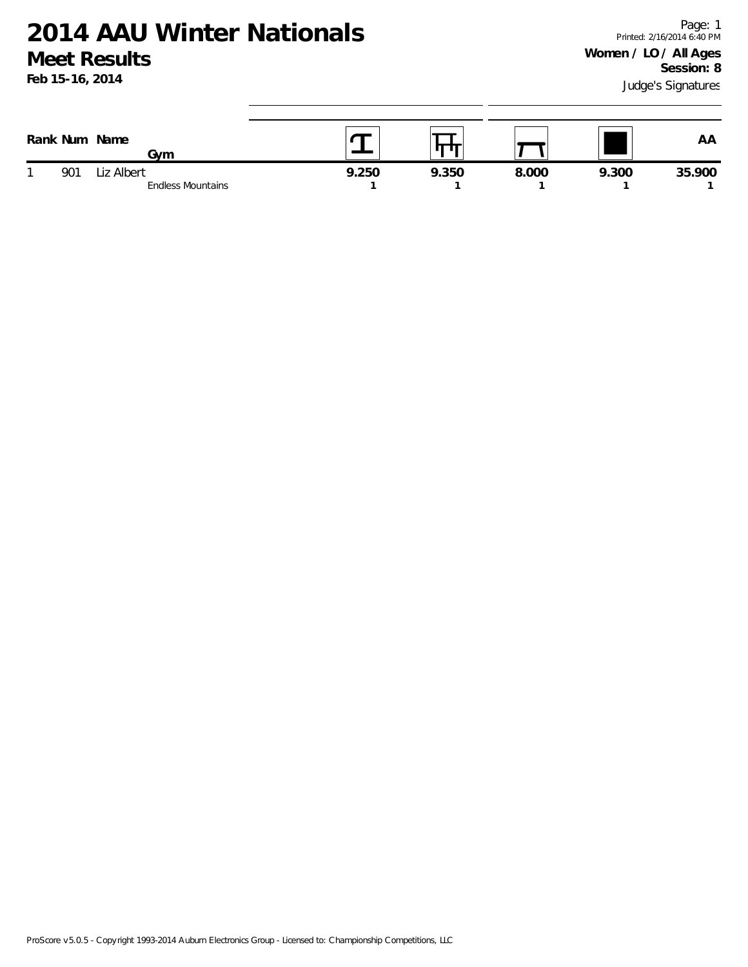**Feb 15-16, 2014**

| Rank Num Name | Gvm                                    |       | . .   |       |       | AF     |
|---------------|----------------------------------------|-------|-------|-------|-------|--------|
| 901           | Liz Albert<br><b>Endless Mountains</b> | 9.250 | 9.350 | 8.000 | 9.300 | 35.900 |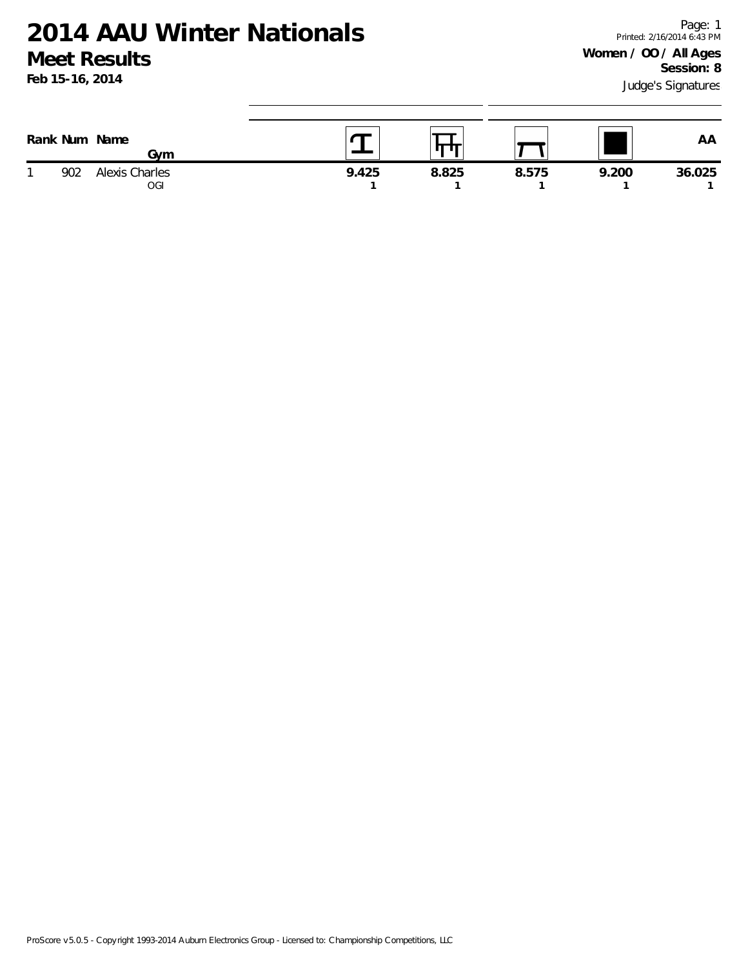| Rank Num Name | Gvm                   |       | ш     |       |       | ΑA     |
|---------------|-----------------------|-------|-------|-------|-------|--------|
| 902           | Alexis Charles<br>0GI | 9.425 | 8.825 | 8.575 | 9.200 | 36.025 |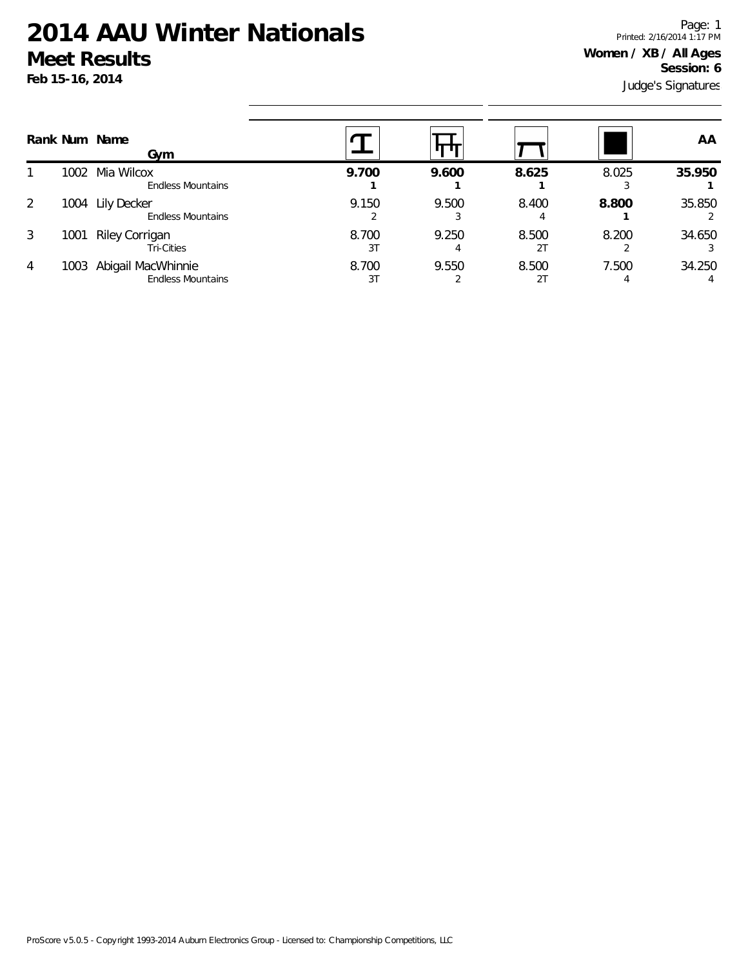Judge's Signatures Page: 1 Printed: 2/16/2014 1:17 PM **Women / XB / All Ages Session: 6**

|                | Rank Num Name | Gym                                            |             |            |             |            | AA     |
|----------------|---------------|------------------------------------------------|-------------|------------|-------------|------------|--------|
|                | 1002          | Mia Wilcox<br><b>Endless Mountains</b>         | 9.700       | 9.600      | 8.625       | 8.025      | 35.950 |
| 2              | 1004          | Lily Decker<br><b>Endless Mountains</b>        | 9.150       | 9.500      | 8.400       | 8.800      | 35.850 |
| 3              | 1001          | Riley Corrigan<br><b>Tri-Cities</b>            | 8.700<br>3T | 9.250<br>4 | 8.500<br>21 | 8.200      | 34.650 |
| $\overline{4}$ | 1003          | Abigail MacWhinnie<br><b>Endless Mountains</b> | 8.700<br>3T | 9.550      | 8.500<br>21 | 7.500<br>4 | 34.250 |

ProScore v5.0.5 - Copyright 1993-2014 Auburn Electronics Group - Licensed to: Championship Competitions, LLC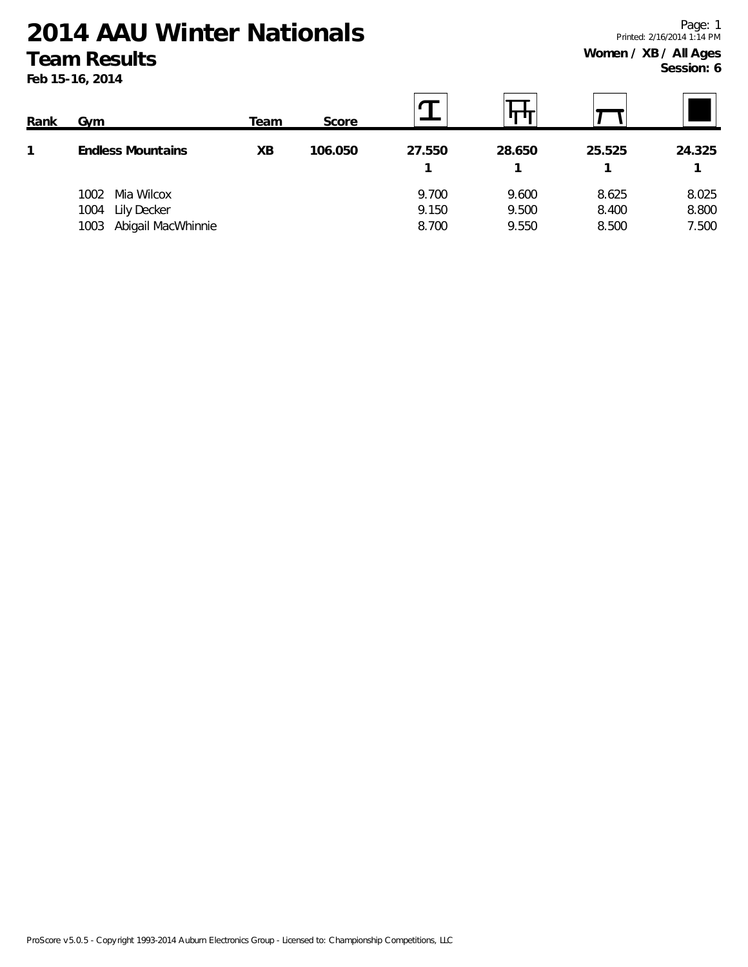**Feb 15-16, 2014**

Page: 1 Printed: 2/16/2014 1:14 PM **Women / XB / All Ages Session: 6**

| Rank | Gym                        | Team | Score   |        |        |        |        |
|------|----------------------------|------|---------|--------|--------|--------|--------|
|      | <b>Endless Mountains</b>   | XВ   | 106.050 | 27.550 | 28.650 | 25.525 | 24.325 |
|      |                            |      |         |        |        |        |        |
|      | Mia Wilcox<br>1002         |      |         | 9.700  | 9.600  | 8.625  | 8.025  |
|      | Lily Decker<br>1004        |      |         | 9.150  | 9.500  | 8.400  | 8.800  |
|      | Abigail MacWhinnie<br>1003 |      |         | 8.700  | 9.550  | 8.500  | 7.500  |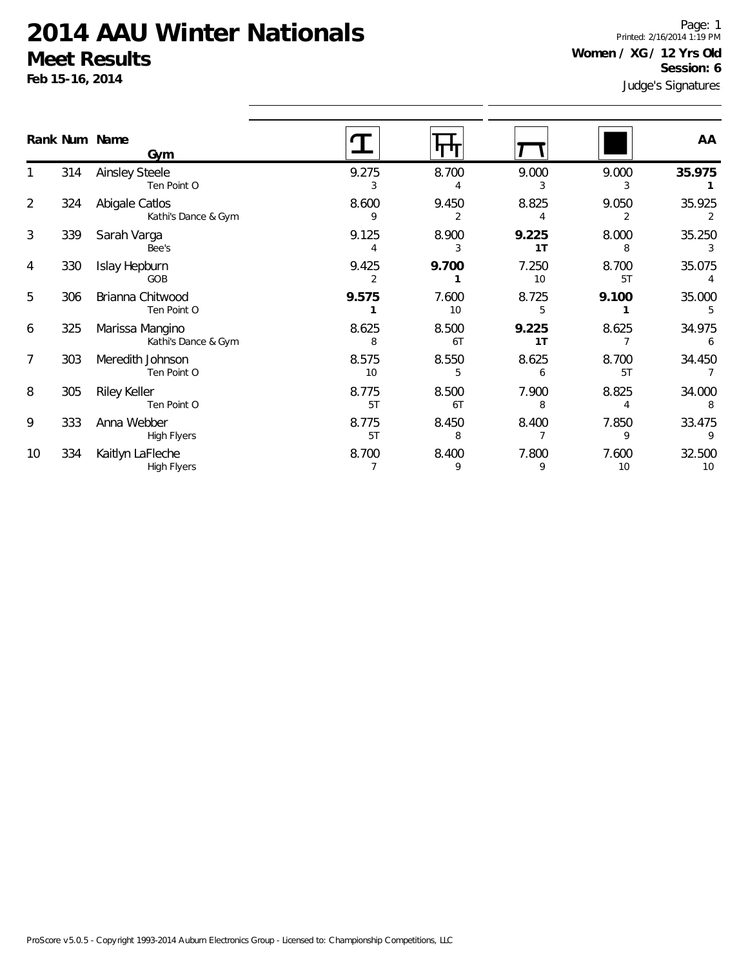**Feb 15-16, 2014**

Judge's Signatures Page: 1 Printed: 2/16/2014 1:19 PM **Women / XG / 12 Yrs Old Session: 6**

|                |     | Rank Num Name<br>Gym                   |                         |             |             |             | AA           |
|----------------|-----|----------------------------------------|-------------------------|-------------|-------------|-------------|--------------|
|                | 314 | <b>Ainsley Steele</b><br>Ten Point O   | 9.275<br>3              | 8.700       | 9.000       | 9.000       | 35.975       |
| $\overline{2}$ | 324 | Abigale Catlos<br>Kathi's Dance & Gym  | 8.600<br>9              | 9.450       | 8.825<br>4  | 9.050       | 35.925<br>2  |
| 3              | 339 | Sarah Varga<br>Bee's                   | 9.125<br>4              | 8.900       | 9.225<br>1T | 8.000<br>8  | 35.250<br>3  |
| $\overline{4}$ | 330 | Islay Hepburn<br>GOB                   | 9.425<br>$\overline{2}$ | 9.700       | 7.250<br>10 | 8.700<br>5T | 35.075       |
| 5              | 306 | Brianna Chitwood<br>Ten Point O        | 9.575                   | 7.600<br>10 | 8.725<br>5  | 9.100       | 35.000<br>5  |
| 6              | 325 | Marissa Mangino<br>Kathi's Dance & Gym | 8.625<br>8              | 8.500<br>6T | 9.225<br>1T | 8.625       | 34.975       |
| $\overline{7}$ | 303 | Meredith Johnson<br>Ten Point O        | 8.575<br>10             | 8.550<br>5  | 8.625<br>6  | 8.700<br>5T | 34.450       |
| 8              | 305 | Riley Keller<br>Ten Point O            | 8.775<br>5T             | 8.500<br>6T | 7.900<br>8  | 8.825       | 34.000       |
| 9              | 333 | Anna Webber<br><b>High Flyers</b>      | 8.775<br>5T             | 8.450<br>8  | 8.400       | 7.850<br>9  | 33.475       |
| 10             | 334 | Kaitlyn LaFleche<br><b>High Flyers</b> | 8.700                   | 8.400<br>9  | 7.800<br>9  | 7.600<br>10 | 32.500<br>10 |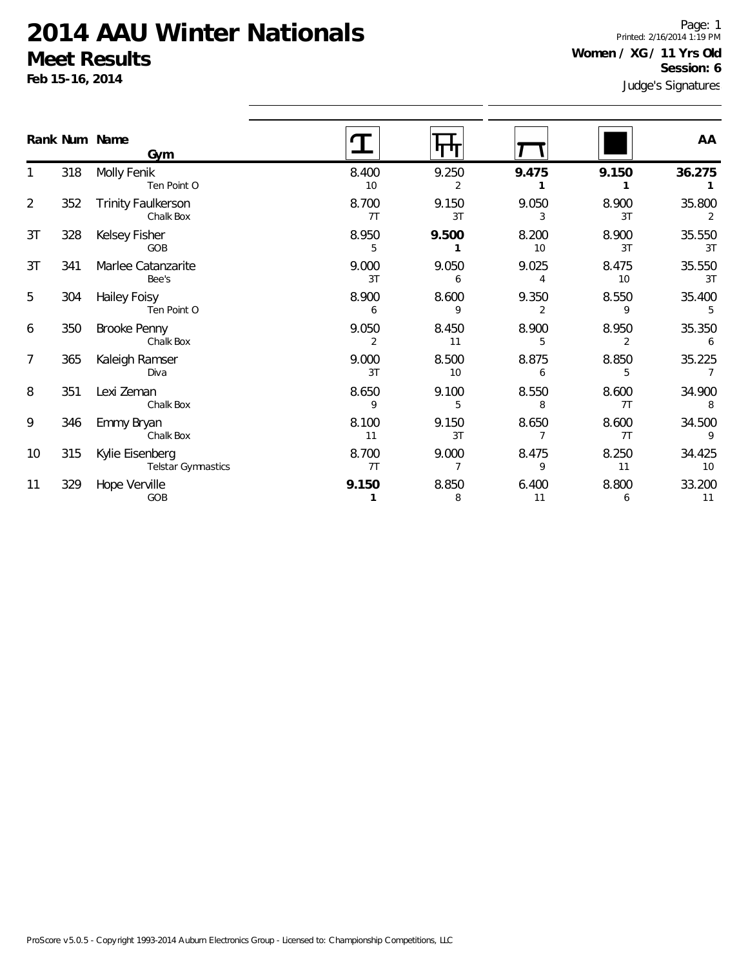**Feb 15-16, 2014**

Page: 1 Printed: 2/16/2014 1:19 PM **Women / XG / 11 Yrs Old Session: 6**

|                | Rank Num Name | Gym                                    |             |                         |             |             | AA                       |
|----------------|---------------|----------------------------------------|-------------|-------------------------|-------------|-------------|--------------------------|
|                | 318           | Molly Fenik<br>Ten Point O             | 8.400<br>10 | 9.250<br>$\overline{2}$ | 9.475       | 9.150       | 36.275                   |
| $\overline{2}$ | 352           | <b>Trinity Faulkerson</b><br>Chalk Box | 8.700<br>7T | 9.150<br>3T             | 9.050<br>3  | 8.900<br>3T | 35.800<br>2              |
| 3T             | 328           | Kelsey Fisher<br>GOB                   | 8.950<br>5  | 9.500<br>1              | 8.200<br>10 | 8.900<br>3T | 35.550<br>3T             |
| 3T             | 341           | Marlee Catanzarite<br>Bee's            | 9.000<br>3T | 9.050<br>6              | 9.025<br>4  | 8.475<br>10 | 35.550<br>3T             |
| 5              | 304           | Hailey Foisy<br>Ten Point O            | 8.900<br>6  | 8.600<br>9              | 9.350<br>2  | 8.550<br>9  | 35.400<br>5              |
| 6              | 350           | Brooke Penny<br>Chalk Box              | 9.050<br>2  | 8.450<br>11             | 8.900<br>5  | 8.950<br>2  | 35.350<br>6              |
| 7              | 365           | Kaleigh Ramser<br>Diva                 | 9.000<br>3T | 8.500<br>10             | 8.875<br>6  | 8.850<br>5  | 35.225<br>$\overline{7}$ |
| 8              | 351           | Lexi Zeman<br>Chalk Box                | 8.650<br>9  | 9.100<br>5              | 8.550<br>8  | 8.600<br>7T | 34.900<br>8              |
| 9              | 346           | Emmy Bryan<br>Chalk Box                | 8.100<br>11 | 9.150<br>3T             | 8.650<br>7  | 8.600<br>7T | 34.500<br>9              |
| 10             | 315           | Kylie Eisenberg<br>Telstar Gymnastics  | 8.700<br>7T | 9.000<br>$\overline{7}$ | 8.475<br>9  | 8.250<br>11 | 34.425<br>10             |
| 11             | 329           | Hope Verville<br>GOB                   | 9.150<br>1  | 8.850<br>8              | 6.400<br>11 | 8.800<br>6  | 33.200<br>11             |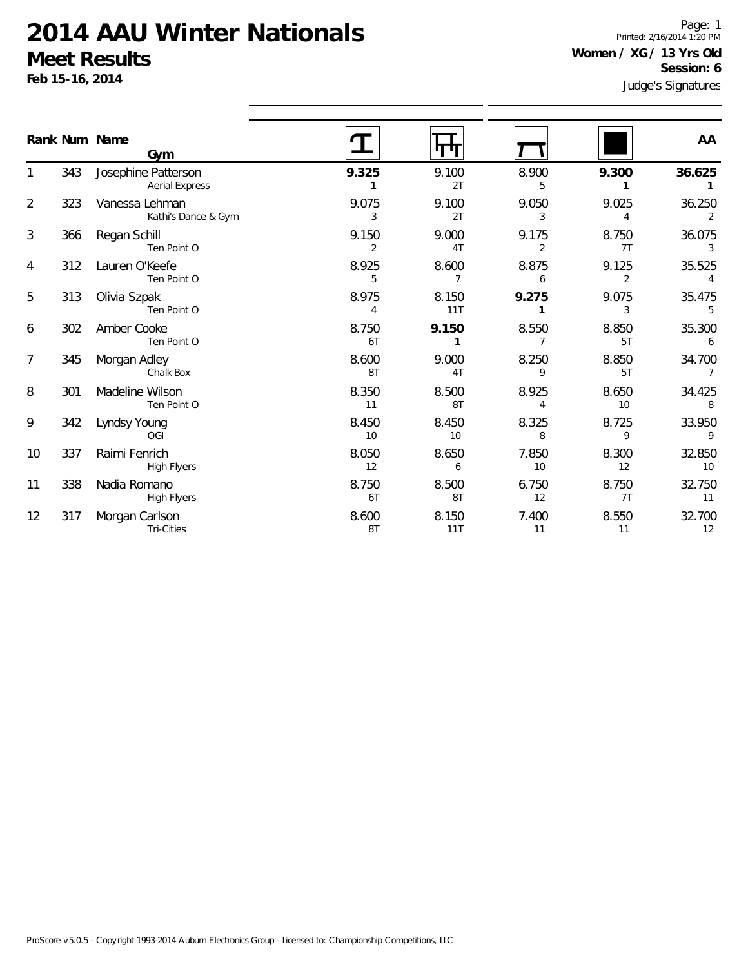**Feb 15-16, 2014**

1

2

3

4

5

6

7

8

9

10

11

12

Judge's Signatures Page: 1 Printed: 2/16/2014 1:20 PM **Women / XG / 13 Yrs Old Session: 6**

|    |     | Rank Num Name<br>Gym                         |             |              |                         |                         | AA                       |
|----|-----|----------------------------------------------|-------------|--------------|-------------------------|-------------------------|--------------------------|
| 1  | 343 | Josephine Patterson<br><b>Aerial Express</b> | 9.325       | 9.100<br>2T  | 8.900<br>5              | 9.300                   | 36.625                   |
| 2  | 323 | Vanessa Lehman<br>Kathi's Dance & Gym        | 9.075<br>3  | 9.100<br>2T  | 9.050<br>3              | 9.025<br>4              | 36.250                   |
| 3  | 366 | Regan Schill<br>Ten Point O                  | 9.150<br>2  | 9.000<br>4T  | 9.175<br>2              | 8.750<br>7T             | 36.075<br>3              |
| 4  | 312 | Lauren O'Keefe<br>Ten Point O                | 8.925<br>5  | 8.600<br>7   | 8.875<br>6              | 9.125<br>$\overline{2}$ | 35.525<br>4              |
| 5  | 313 | Olivia Szpak<br>Ten Point O                  | 8.975<br>4  | 8.150<br>11T | 9.275<br>1              | 9.075<br>3              | 35.475<br>5              |
| 6  | 302 | Amber Cooke<br>Ten Point O                   | 8.750<br>6T | 9.150        | 8.550<br>7              | 8.850<br>5T             | 35.300<br>6              |
| 7  | 345 | Morgan Adley<br>Chalk Box                    | 8.600<br>8T | 9.000<br>4T  | 8.250<br>9              | 8.850<br>5T             | 34.700<br>$\overline{7}$ |
| 8  | 301 | Madeline Wilson<br>Ten Point O               | 8.350<br>11 | 8.500<br>8T  | 8.925<br>$\overline{4}$ | 8.650<br>10             | 34.425<br>8              |
| 9  | 342 | Lyndsy Young<br>OGI                          | 8.450<br>10 | 8.450<br>10  | 8.325<br>8              | 8.725<br>9              | 33.950<br>9              |
| 10 | 337 | Raimi Fenrich<br><b>High Flyers</b>          | 8.050<br>12 | 8.650<br>6   | 7.850<br>10             | 8.300<br>12             | 32.850<br>10             |
| 11 | 338 | Nadia Romano<br><b>High Flyers</b>           | 8.750<br>6T | 8.500<br>8T  | 6.750<br>12             | 8.750<br>7T             | 32.750<br>11             |
| 12 | 317 | Morgan Carlson<br>Tri-Cities                 | 8.600<br>8T | 8.150<br>11T | 7.400<br>11             | 8.550<br>11             | 32.700<br>12             |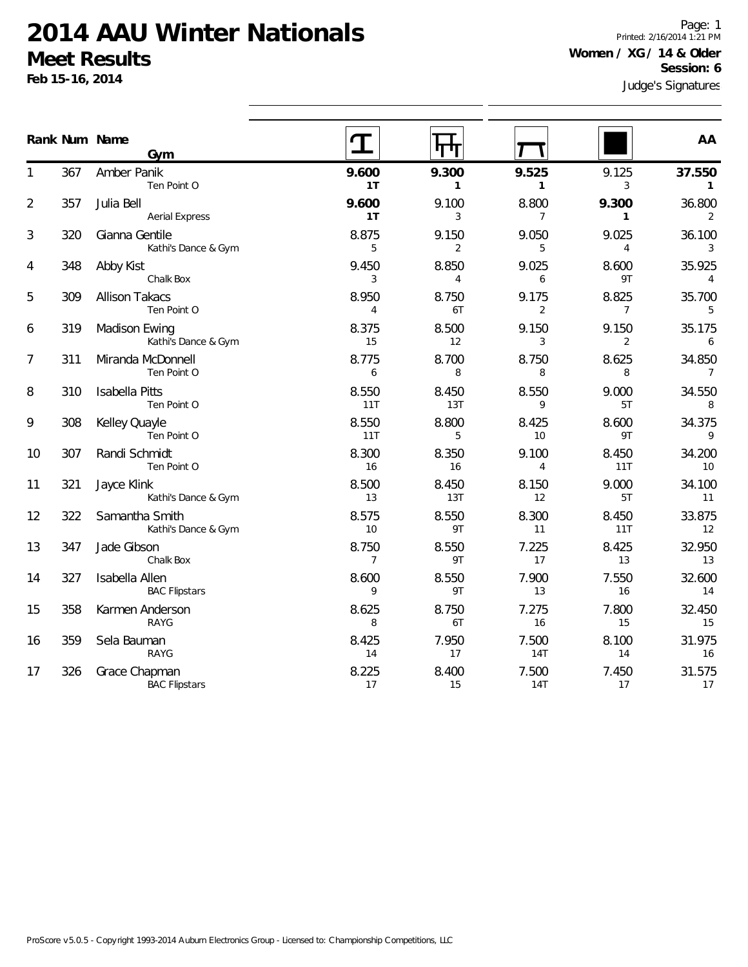**Feb 15-16, 2014**

Page: 1 Printed: 2/16/2014 1:21 PM **Women / XG / 14 & Older Session: 6**

|                |     | Rank Num Name<br>Gym                   |                         |                         |                         |                         | AA                       |
|----------------|-----|----------------------------------------|-------------------------|-------------------------|-------------------------|-------------------------|--------------------------|
|                | 367 | Amber Panik<br>Ten Point O             | 9.600<br>1T             | 9.300<br>$\mathbf{1}$   | 9.525<br>$\mathbf{1}$   | 9.125<br>3              | 37.550<br>$\mathbf{1}$   |
| $\overline{2}$ | 357 | Julia Bell<br><b>Aerial Express</b>    | 9.600<br>1T             | 9.100<br>3              | 8.800<br>$\overline{7}$ | 9.300<br>$\mathbf{1}$   | 36.800<br>2              |
| 3              | 320 | Gianna Gentile<br>Kathi's Dance & Gym  | 8.875<br>5              | 9.150<br>$\overline{2}$ | 9.050<br>5              | 9.025<br>4              | 36.100<br>3              |
| 4              | 348 | Abby Kist<br>Chalk Box                 | 9.450<br>3              | 8.850<br>4              | 9.025<br>6              | 8.600<br>9T             | 35.925<br>$\overline{4}$ |
| 5              | 309 | <b>Allison Takacs</b><br>Ten Point O   | 8.950<br>$\overline{4}$ | 8.750<br>6T             | 9.175<br>2              | 8.825<br>$\overline{7}$ | 35.700<br>5              |
| 6              | 319 | Madison Ewing<br>Kathi's Dance & Gym   | 8.375<br>15             | 8.500<br>12             | 9.150<br>3              | 9.150<br>2              | 35.175<br>6              |
| 7              | 311 | Miranda McDonnell<br>Ten Point O       | 8.775<br>6              | 8.700<br>8              | 8.750<br>8              | 8.625<br>8              | 34.850<br>$\overline{7}$ |
| 8              | 310 | <b>Isabella Pitts</b><br>Ten Point O   | 8.550<br>11T            | 8.450<br>13T            | 8.550<br>9              | 9.000<br>5T             | 34.550<br>8              |
| 9              | 308 | Kelley Quayle<br>Ten Point O           | 8.550<br>11T            | 8.800<br>5              | 8.425<br>10             | 8.600<br>9T             | 34.375<br>9              |
| 10             | 307 | Randi Schmidt<br>Ten Point O           | 8.300<br>16             | 8.350<br>16             | 9.100<br>$\overline{4}$ | 8.450<br>11T            | 34.200<br>10             |
| 11             | 321 | Jayce Klink<br>Kathi's Dance & Gym     | 8.500<br>13             | 8.450<br>13T            | 8.150<br>12             | 9.000<br>5T             | 34.100<br>11             |
| 12             | 322 | Samantha Smith<br>Kathi's Dance & Gym  | 8.575<br>10             | 8.550<br>9T             | 8.300<br>11             | 8.450<br>11T            | 33.875<br>12             |
| 13             | 347 | Jade Gibson<br>Chalk Box               | 8.750<br>7              | 8.550<br>9T             | 7.225<br>17             | 8.425<br>13             | 32.950<br>13             |
| 14             | 327 | Isabella Allen<br><b>BAC Flipstars</b> | 8.600<br>9              | 8.550<br>9T             | 7.900<br>13             | 7.550<br>16             | 32.600<br>14             |
| 15             | 358 | Karmen Anderson<br>RAYG                | 8.625<br>8              | 8.750<br>6T             | 7.275<br>16             | 7.800<br>15             | 32.450<br>15             |
| 16             | 359 | Sela Bauman<br>RAYG                    | 8.425<br>14             | 7.950<br>17             | 7.500<br><b>14T</b>     | 8.100<br>14             | 31.975<br>16             |
| 17             | 326 | Grace Chapman<br><b>BAC Flipstars</b>  | 8.225<br>17             | 8.400<br>15             | 7.500<br>14T            | 7.450<br>17             | 31.575<br>17             |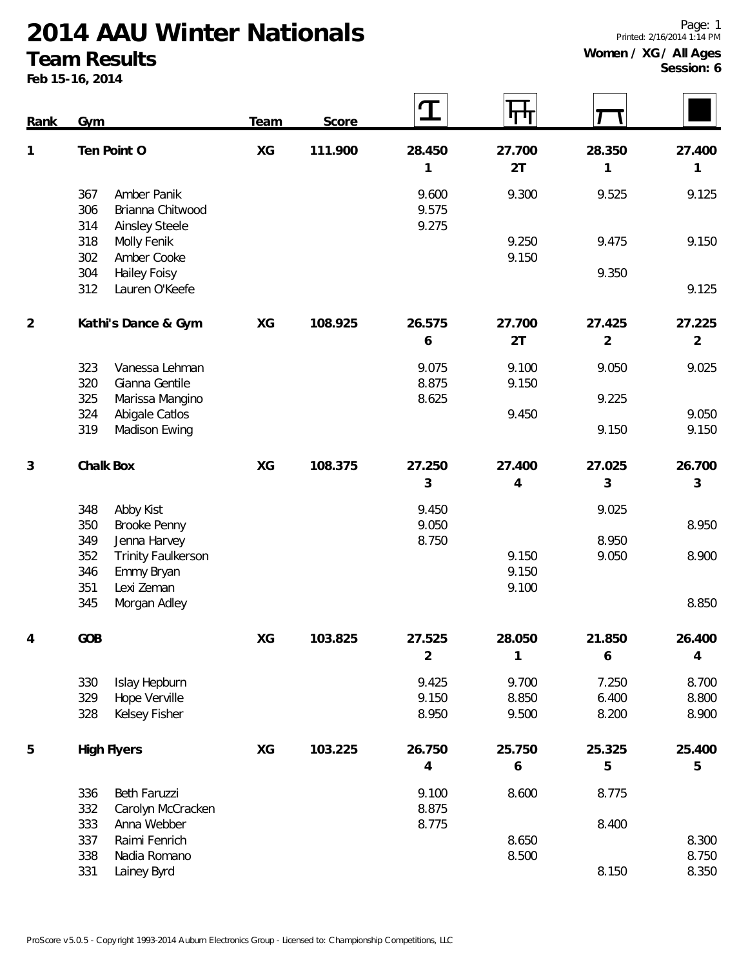#### **Team Results**

**Feb 15-16, 2014**

| Rank           | Gym                                                                      | Team | Score   | $\mathbf T$    | 4 H H          |                          |                |
|----------------|--------------------------------------------------------------------------|------|---------|----------------|----------------|--------------------------|----------------|
| 1              | Ten Point O                                                              | XG   | 111.900 | 28.450         | 27.700         | 28.350                   | 27.400         |
|                |                                                                          |      |         | 1              | 2T             | 1                        | 1              |
|                | Amber Panik<br>367<br>Brianna Chitwood<br>306                            |      |         | 9.600<br>9.575 | 9.300          | 9.525                    | 9.125          |
|                | <b>Ainsley Steele</b><br>314<br>318<br>Molly Fenik<br>302<br>Amber Cooke |      |         | 9.275          | 9.250<br>9.150 | 9.475                    | 9.150          |
|                | <b>Hailey Foisy</b><br>304<br>Lauren O'Keefe<br>312                      |      |         |                |                | 9.350                    | 9.125          |
| $\overline{2}$ | Kathi's Dance & Gym                                                      | XG   | 108.925 | 26.575         | 27.700<br>2T   | 27.425<br>$\overline{2}$ | 27.225<br>2    |
|                |                                                                          |      |         | 6              |                |                          |                |
|                | 323<br>Vanessa Lehman<br>320<br>Gianna Gentile                           |      |         | 9.075<br>8.875 | 9.100<br>9.150 | 9.050                    | 9.025          |
|                | 325<br>Marissa Mangino                                                   |      |         | 8.625          |                | 9.225                    |                |
|                | 324<br>Abigale Catlos<br>319<br>Madison Ewing                            |      |         |                | 9.450          | 9.150                    | 9.050<br>9.150 |
|                |                                                                          |      |         |                |                |                          |                |
| $\sqrt{3}$     | Chalk Box                                                                | XG   | 108.375 | 27.250         | 27.400         | 27.025                   | 26.700         |
|                |                                                                          |      |         | 3              | 4              | 3                        | 3              |
|                | 348<br>Abby Kist                                                         |      |         | 9.450          |                | 9.025                    |                |
|                | 350<br><b>Brooke Penny</b><br>349<br>Jenna Harvey                        |      |         | 9.050<br>8.750 |                | 8.950                    | 8.950          |
|                | 352<br><b>Trinity Faulkerson</b>                                         |      |         |                | 9.150          | 9.050                    | 8.900          |
|                | 346<br>Emmy Bryan                                                        |      |         |                | 9.150          |                          |                |
|                | 351<br>Lexi Zeman<br>345<br>Morgan Adley                                 |      |         |                | 9.100          |                          | 8.850          |
|                |                                                                          |      |         |                |                |                          |                |
|                | GOB                                                                      | XG   | 103.825 | 27.525         | 28.050         | 21.850                   | 26.400         |
|                |                                                                          |      |         | $\overline{2}$ | 1              | 6                        | 4              |
|                | 330<br>Islay Hepburn                                                     |      |         | 9.425          | 9.700          | 7.250                    | 8.700          |
|                | Hope Verville<br>329                                                     |      |         | 9.150          | 8.850          | 6.400                    | 8.800          |
|                | Kelsey Fisher<br>328                                                     |      |         | 8.950          | 9.500          | 8.200                    | 8.900          |
| 5              | <b>High Flyers</b>                                                       | XG   | 103.225 | 26.750         | 25.750         | 25.325                   | 25.400         |
|                |                                                                          |      |         | $\overline{4}$ | 6              | 5                        | 5              |
|                | Beth Faruzzi<br>336<br>332<br>Carolyn McCracken                          |      |         | 9.100<br>8.875 | 8.600          | 8.775                    |                |
|                | 333<br>Anna Webber                                                       |      |         | 8.775          |                | 8.400                    |                |
|                | 337<br>Raimi Fenrich                                                     |      |         |                | 8.650          |                          | 8.300          |
|                | 338<br>Nadia Romano<br>331<br>Lainey Byrd                                |      |         |                | 8.500          | 8.150                    | 8.750<br>8.350 |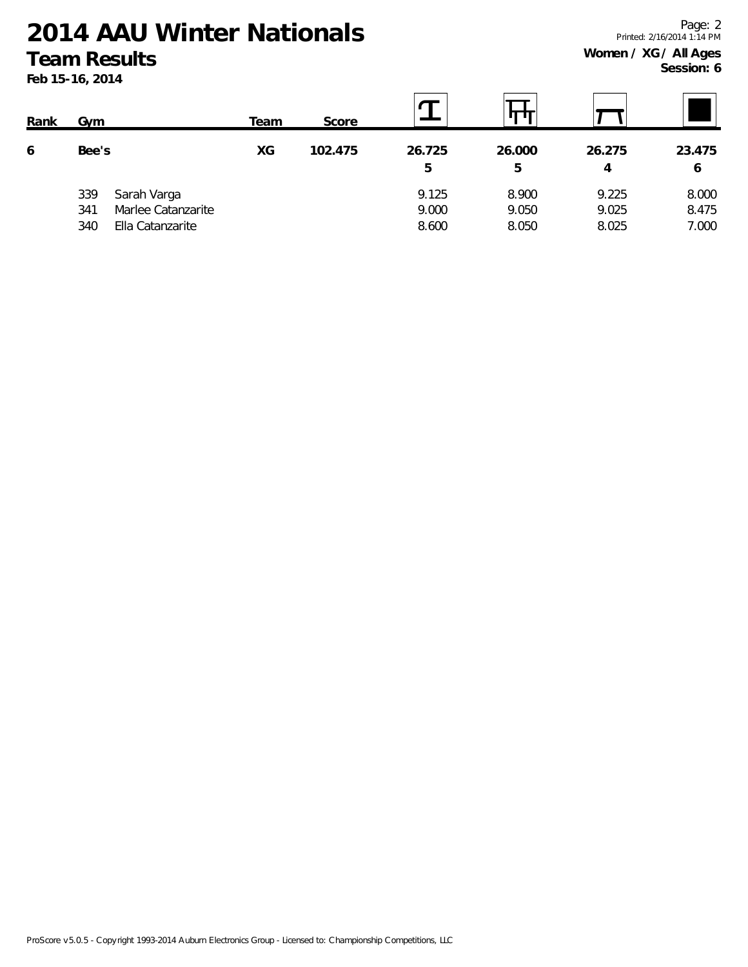**Feb 15-16, 2014**

| Rank | Gym               |                                                       | Team | Score   |                         |                         |                         |                         |
|------|-------------------|-------------------------------------------------------|------|---------|-------------------------|-------------------------|-------------------------|-------------------------|
| 6    | Bee's             |                                                       | XG   | 102.475 | 26.725<br>5             | 26.000<br>5             | 26.275<br>4             | 23.475<br>6             |
|      | 339<br>341<br>340 | Sarah Varga<br>Marlee Catanzarite<br>Ella Catanzarite |      |         | 9.125<br>9.000<br>8.600 | 8.900<br>9.050<br>8.050 | 9.225<br>9.025<br>8.025 | 8.000<br>8.475<br>7.000 |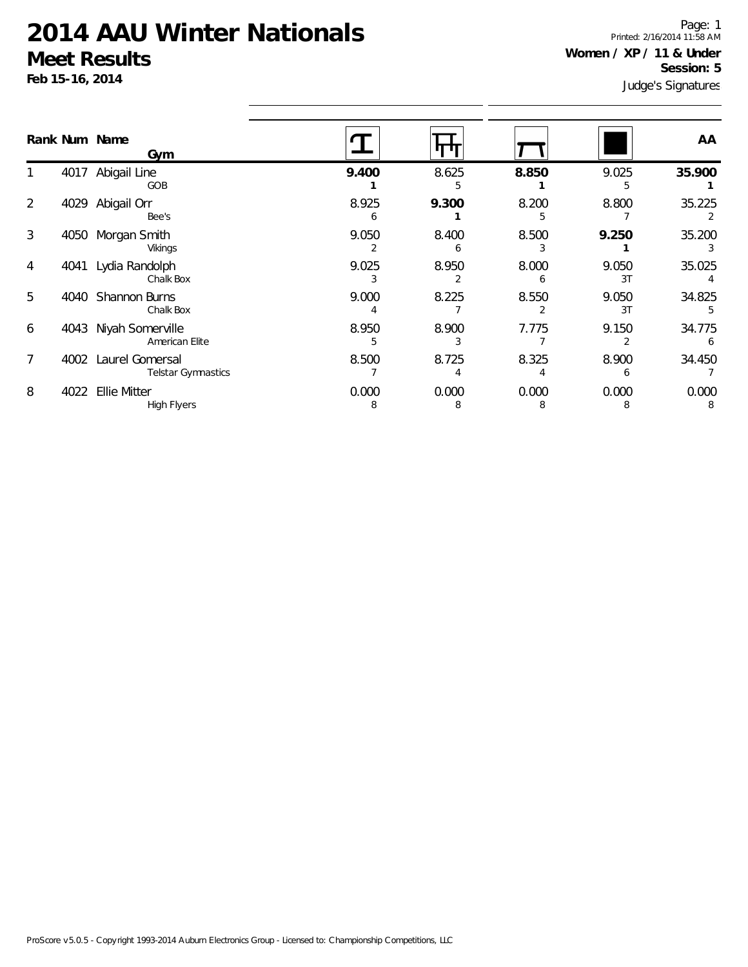**Feb 15-16, 2014**

Judge's Signatures Page: 1 Printed: 2/16/2014 11:58 AM **Women / XP / 11 & Under Session: 5**

| Rank Num Name          | Gym                                          |            |            |            |             | AA         |
|------------------------|----------------------------------------------|------------|------------|------------|-------------|------------|
| 4017                   | Abigail Line<br>GOB                          | 9.400      | 8.625<br>5 | 8.850      | 9.025       | 35.900     |
| 2<br>4029              | Abigail Orr<br>Bee's                         | 8.925<br>6 | 9.300      | 8.200      | 8.800       | 35.225     |
| 3<br>4050              | Morgan Smith<br>Vikings                      | 9.050      | 8.400<br>h | 8.500      | 9.250       | 35.200     |
| 4<br>4041              | Lydia Randolph<br>Chalk Box                  | 9.025      | 8.950      | 8.000      | 9.050<br>3T | 35.025     |
| 5<br>4040              | Shannon Burns<br>Chalk Box                   | 9.000      | 8.225      | 8.550      | 9.050<br>3T | 34.825     |
| 6<br>4043              | Niyah Somerville<br>American Elite           | 8.950<br>5 | 8.900      | 7.775      | 9.150       | 34.775     |
| $\overline{7}$<br>4002 | Laurel Gomersal<br><b>Telstar Gymnastics</b> | 8.500      | 8.725      | 8.325      | 8.900       | 34.450     |
| 8<br>4022              | <b>Ellie Mitter</b><br>High Flyers           | 0.000<br>8 | 0.000<br>8 | 0.000<br>8 | 0.000       | 0.000<br>8 |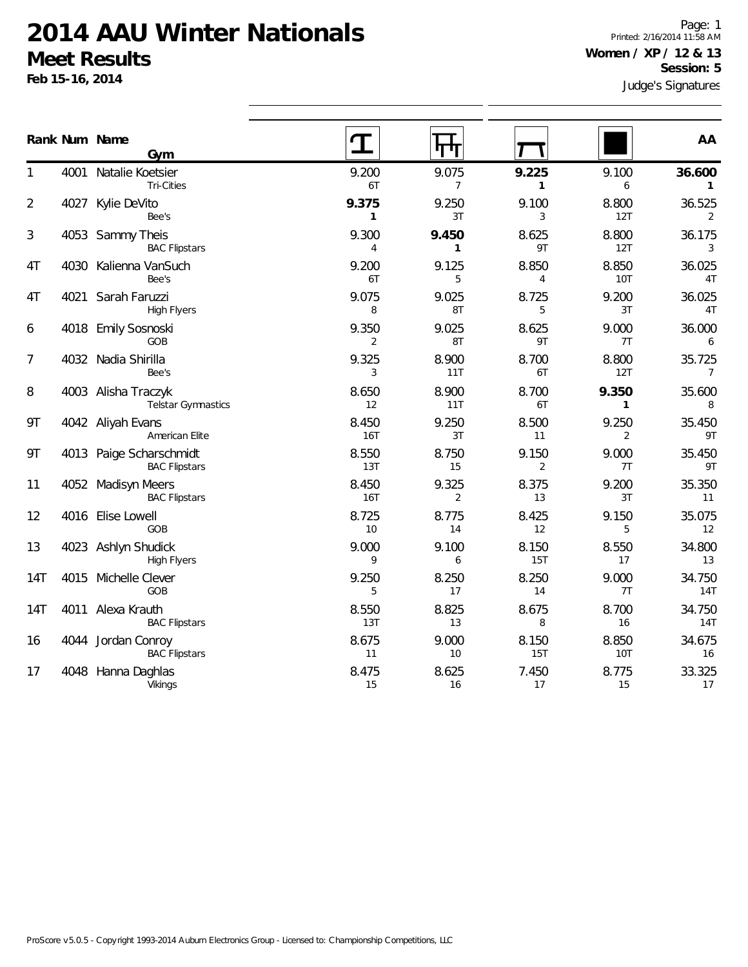**Feb 15-16, 2014**

Page: 1 Printed: 2/16/2014 11:58 AM **Women / XP / 12 & 13 Session: 5**

|                |      | Rank Num Name<br>Gym                            |                         |                         |                         |                     | AA                       |
|----------------|------|-------------------------------------------------|-------------------------|-------------------------|-------------------------|---------------------|--------------------------|
|                | 4001 | Natalie Koetsier<br>Tri-Cities                  | 9.200<br>6T             | 9.075<br>$\overline{7}$ | 9.225<br>$\mathbf{1}$   | 9.100<br>6          | 36.600<br>$\mathbf{1}$   |
| $\overline{2}$ | 4027 | Kylie DeVito<br>Bee's                           | 9.375<br>$\mathbf{1}$   | 9.250<br>3T             | 9.100<br>3              | 8.800<br>12T        | 36.525<br>2              |
| 3              |      | 4053 Sammy Theis<br><b>BAC Flipstars</b>        | 9.300<br>$\overline{4}$ | 9.450<br>1              | 8.625<br>9T             | 8.800<br>12T        | 36.175<br>3              |
| 4T             |      | 4030 Kalienna VanSuch<br>Bee's                  | 9.200<br>6T             | 9.125<br>5              | 8.850<br>4              | 8.850<br><b>10T</b> | 36.025<br>4T             |
| 4T             |      | 4021 Sarah Faruzzi<br><b>High Flyers</b>        | 9.075<br>8              | 9.025<br>8T             | 8.725<br>5              | 9.200<br>3T         | 36.025<br>4T             |
| 6              |      | 4018 Emily Sosnoski<br>GOB                      | 9.350<br>2              | 9.025<br>8T             | 8.625<br>9T             | 9.000<br>7T         | 36.000<br>6              |
| 7              |      | 4032 Nadia Shirilla<br>Bee's                    | 9.325<br>3              | 8.900<br>11T            | 8.700<br>6T             | 8.800<br>12T        | 35.725<br>$\overline{7}$ |
| 8              |      | 4003 Alisha Traczyk<br>Telstar Gymnastics       | 8.650<br>12             | 8.900<br>11T            | 8.700<br>6T             | 9.350<br>1          | 35.600<br>8              |
| 9T             |      | 4042 Aliyah Evans<br>American Elite             | 8.450<br><b>16T</b>     | 9.250<br>3T             | 8.500<br>11             | 9.250<br>2          | 35.450<br>9T             |
| 9Τ             |      | 4013 Paige Scharschmidt<br><b>BAC Flipstars</b> | 8.550<br>13T            | 8.750<br>15             | 9.150<br>$\overline{2}$ | 9.000<br>7T         | 35.450<br>9T             |
| 11             |      | 4052 Madisyn Meers<br><b>BAC Flipstars</b>      | 8.450<br>16T            | 9.325<br>$\overline{2}$ | 8.375<br>13             | 9.200<br>3T         | 35.350<br>11             |
| 12             |      | 4016 Elise Lowell<br>GOB                        | 8.725<br>10             | 8.775<br>14             | 8.425<br>12             | 9.150<br>5          | 35.075<br>12             |
| 13             |      | 4023 Ashlyn Shudick<br><b>High Flyers</b>       | 9.000<br>9              | 9.100<br>6              | 8.150<br>15T            | 8.550<br>17         | 34.800<br>13             |
| 14T            | 4015 | Michelle Clever<br>GOB                          | 9.250<br>5              | 8.250<br>17             | 8.250<br>14             | 9.000<br>7T         | 34.750<br>14T            |
| 14T            |      | 4011 Alexa Krauth<br><b>BAC Flipstars</b>       | 8.550<br>13T            | 8.825<br>13             | 8.675<br>8              | 8.700<br>16         | 34.750<br>14T            |
| 16             |      | 4044 Jordan Conroy<br><b>BAC Flipstars</b>      | 8.675<br>11             | 9.000<br>10             | 8.150<br>15T            | 8.850<br><b>10T</b> | 34.675<br>16             |
| 17             | 4048 | Hanna Daghlas<br>Vikings                        | 8.475<br>15             | 8.625<br>16             | 7.450<br>17             | 8.775<br>15         | 33.325<br>17             |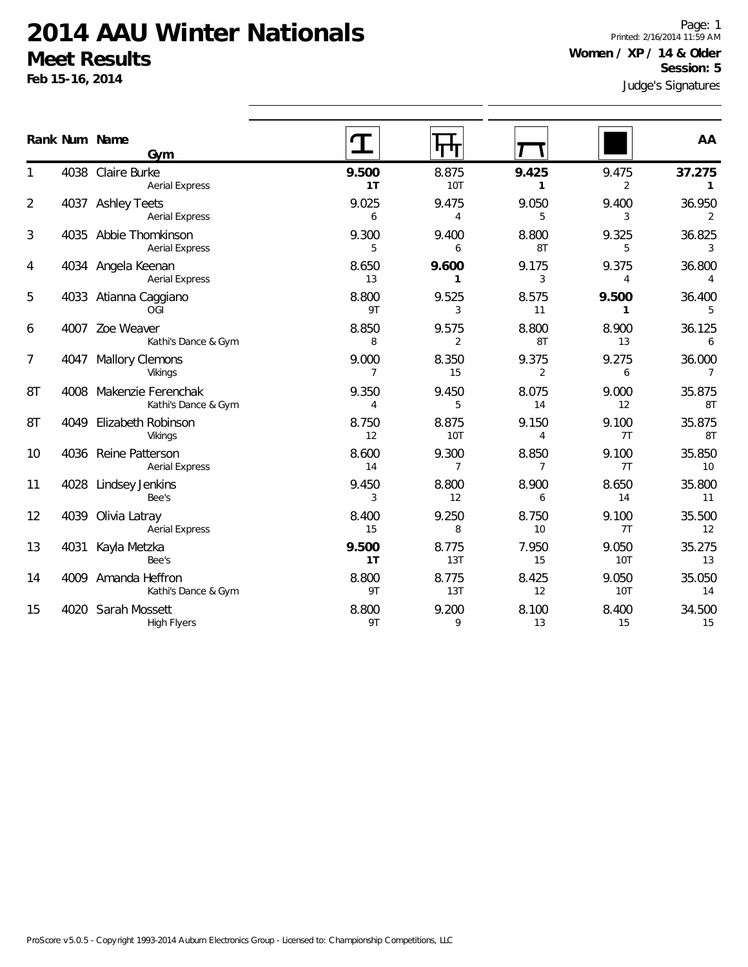**Feb 15-16, 2014**

Page: 1 Printed: 2/16/2014 11:59 AM **Women / XP / 14 & Older Session: 5**

|                |      | Rank Num Name<br>Gym                           |                         | पण                      |                         |                       | AA                        |
|----------------|------|------------------------------------------------|-------------------------|-------------------------|-------------------------|-----------------------|---------------------------|
|                |      | 4038 Claire Burke<br><b>Aerial Express</b>     | 9.500<br>1T             | 8.875<br><b>10T</b>     | 9.425<br>$\mathbf{1}$   | 9.475<br>2            | 37.275<br>$\mathbf{1}$    |
| $\overline{2}$ |      | 4037 Ashley Teets<br><b>Aerial Express</b>     | 9.025<br>6              | 9.475<br>$\overline{4}$ | 9.050<br>5              | 9.400<br>3            | 36.950<br>2               |
| 3              |      | 4035 Abbie Thomkinson<br><b>Aerial Express</b> | 9.300<br>5              | 9.400<br>6              | 8.800<br>8T             | 9.325<br>5            | 36.825<br>3               |
| 4              |      | 4034 Angela Keenan<br><b>Aerial Express</b>    | 8.650<br>13             | 9.600<br>$\mathbf{1}$   | 9.175<br>3              | 9.375<br>4            | 36.800<br>$\overline{4}$  |
| 5              |      | 4033 Atianna Caggiano<br>OGI                   | 8.800<br>9T             | 9.525<br>3              | 8.575<br>11             | 9.500<br>$\mathbf{1}$ | 36.400<br>5               |
| 6              |      | 4007 Zoe Weaver<br>Kathi's Dance & Gym         | 8.850<br>8              | 9.575<br>$\overline{2}$ | 8.800<br>8T             | 8.900<br>13           | 36.125<br>6               |
| 7              | 4047 | <b>Mallory Clemons</b><br>Vikings              | 9.000<br>$\overline{7}$ | 8.350<br>15             | 9.375<br>$\overline{2}$ | 9.275<br>6            | 36.000<br>$\overline{7}$  |
| 8T             |      | 4008 Makenzie Ferenchak<br>Kathi's Dance & Gym | 9.350<br>$\overline{4}$ | 9.450<br>5              | 8.075<br>14             | 9.000<br>12           | 35.875<br>8T              |
| 8T             |      | 4049 Elizabeth Robinson<br>Vikings             | 8.750<br>12             | 8.875<br><b>10T</b>     | 9.150<br>$\overline{4}$ | 9.100<br>7T           | 35.875<br>8T              |
| 10             |      | 4036 Reine Patterson<br><b>Aerial Express</b>  | 8.600<br>14             | 9.300<br>$\overline{7}$ | 8.850<br>$\overline{7}$ | 9.100<br>7T           | 35.850<br>10 <sup>°</sup> |
| 11             |      | 4028 Lindsey Jenkins<br>Bee's                  | 9.450<br>3              | 8.800<br>12             | 8.900<br>6              | 8.650<br>14           | 35.800<br>11              |
| 12             | 4039 | Olivia Latray<br><b>Aerial Express</b>         | 8.400<br>15             | 9.250<br>8              | 8.750<br>10             | 9.100<br>7T           | 35.500<br>12              |
| 13             | 4031 | Kayla Metzka<br>Bee's                          | 9.500<br>1T             | 8.775<br>13T            | 7.950<br>15             | 9.050<br>10T          | 35.275<br>13              |
| 14             |      | 4009 Amanda Heffron<br>Kathi's Dance & Gym     | 8.800<br>9T             | 8.775<br>13T            | 8.425<br>12             | 9.050<br>10T          | 35.050<br>14              |
| 15             |      | 4020 Sarah Mossett<br><b>High Flyers</b>       | 8.800<br>9T             | 9.200<br>9              | 8.100<br>13             | 8.400<br>15           | 34.500<br>15              |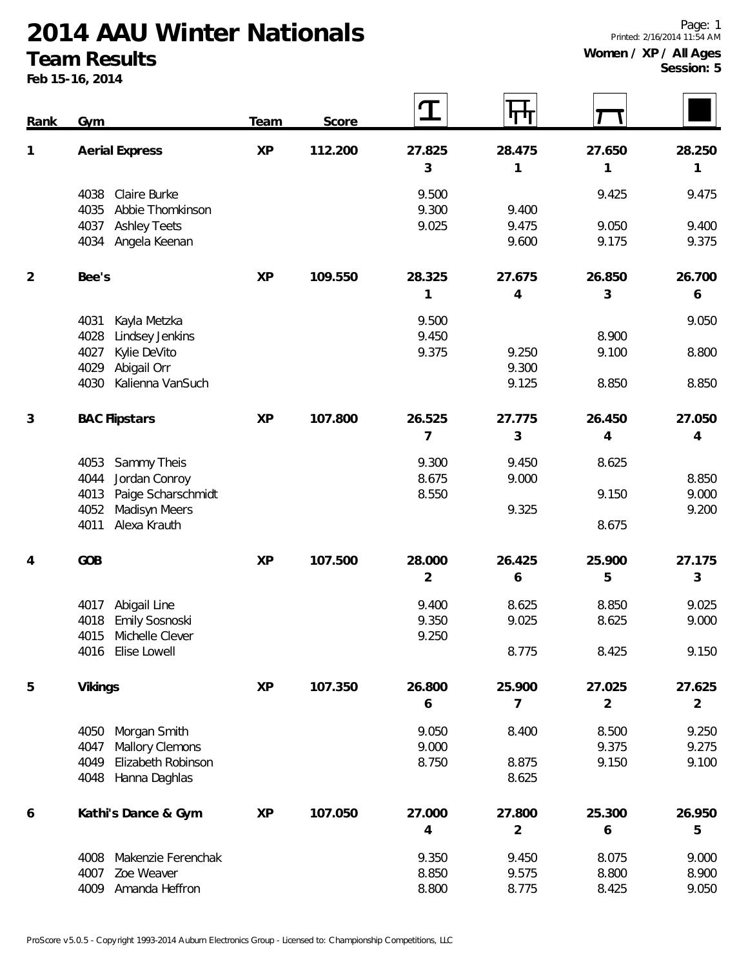### **Team Results**

**Feb 15-16, 2014**

| Rank           | Gym                         | Team      | Score   | ${\bf T}$      | पाग            |                |            |
|----------------|-----------------------------|-----------|---------|----------------|----------------|----------------|------------|
| 1              | <b>Aerial Express</b>       | <b>XP</b> | 112.200 | 27.825         | 28.475         | 27.650         | 28.250     |
|                |                             |           |         | 3              | 1              | 1              | 1          |
|                | Claire Burke<br>4038        |           |         | 9.500          |                | 9.425          | 9.475      |
|                | Abbie Thomkinson<br>4035    |           |         | 9.300          | 9.400          |                |            |
|                | 4037<br><b>Ashley Teets</b> |           |         | 9.025          | 9.475          | 9.050          | 9.400      |
|                | 4034<br>Angela Keenan       |           |         |                | 9.600          | 9.175          | 9.375      |
| $\overline{2}$ | Bee's                       | <b>XP</b> | 109.550 | 28.325         | 27.675         | 26.850         | 26.700     |
|                |                             |           |         | 1              | $\overline{4}$ | 3              | 6          |
|                | 4031<br>Kayla Metzka        |           |         | 9.500          |                |                | 9.050      |
|                | Lindsey Jenkins<br>4028     |           |         | 9.450          |                | 8.900          |            |
|                | 4027<br>Kylie DeVito        |           |         | 9.375          | 9.250          | 9.100          | 8.800      |
|                | Abigail Orr<br>4029         |           |         |                | 9.300          |                |            |
|                | Kalienna VanSuch<br>4030    |           |         |                | 9.125          | 8.850          | 8.850      |
| 3              | <b>BAC Flipstars</b>        | <b>XP</b> | 107.800 | 26.525         | 27.775         | 26.450         | 27.050     |
|                |                             |           |         | 7              | 3              | 4              | 4          |
|                | Sammy Theis<br>4053         |           |         | 9.300          | 9.450          | 8.625          |            |
|                | 4044<br>Jordan Conroy       |           |         | 8.675          | 9.000          |                | 8.850      |
|                | Paige Scharschmidt<br>4013  |           |         | 8.550          |                | 9.150          | 9.000      |
|                | Madisyn Meers<br>4052       |           |         |                | 9.325          |                | 9.200      |
|                | Alexa Krauth<br>4011        |           |         |                |                | 8.675          |            |
| 4              | GOB                         | <b>XP</b> | 107.500 | 28.000         | 26.425         | 25.900         | 27.175     |
|                |                             |           |         | $\overline{2}$ | 6              | 5              | 3          |
|                | Abigail Line<br>4017        |           |         | 9.400          | 8.625          | 8.850          | 9.025      |
|                | Emily Sosnoski<br>4018      |           |         | 9.350          | 9.025          | 8.625          | 9.000      |
|                | 4015<br>Michelle Clever     |           |         | 9.250          |                |                |            |
|                | 4016 Elise Lowell           |           |         |                | 8.775          | 8.425          | 9.150      |
| 5              | <b>Vikings</b>              | <b>XP</b> | 107.350 | 26.800         | 25.900         | 27.025         | 27.625     |
|                |                             |           |         | 6              | $\overline{7}$ | $\overline{2}$ | $\sqrt{2}$ |
|                | Morgan Smith<br>4050        |           |         | 9.050          | 8.400          | 8.500          | 9.250      |
|                | Mallory Clemons<br>4047     |           |         | 9.000          |                | 9.375          | 9.275      |
|                | Elizabeth Robinson<br>4049  |           |         | 8.750          | 8.875          | 9.150          | 9.100      |
|                | Hanna Daghlas<br>4048       |           |         |                | 8.625          |                |            |
| 6              | Kathi's Dance & Gym         | <b>XP</b> | 107.050 | 27.000         | 27.800         | 25.300         | 26.950     |
|                |                             |           |         | 4              | $\overline{2}$ | 6              | 5          |
|                | Makenzie Ferenchak<br>4008  |           |         | 9.350          | 9.450          | 8.075          | 9.000      |
|                | Zoe Weaver<br>4007          |           |         | 8.850          | 9.575          | 8.800          | 8.900      |
|                | 4009 Amanda Heffron         |           |         | 8.800          | 8.775          | 8.425          | 9.050      |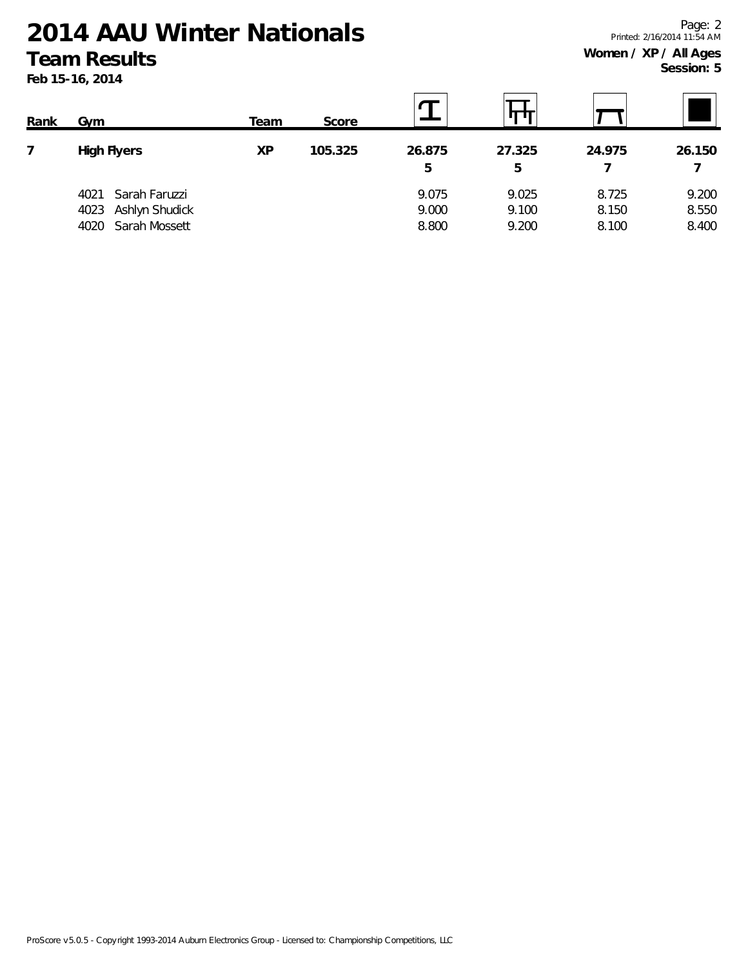**Feb 15-16, 2014**

| Rank | Gym                    | Team | Score   |        |        |        |        |
|------|------------------------|------|---------|--------|--------|--------|--------|
|      | <b>High Flyers</b>     | ΧP   | 105.325 | 26.875 | 27.325 | 24.975 | 26.150 |
|      |                        |      |         | 5      | 5      |        |        |
|      | Sarah Faruzzi<br>4021  |      |         | 9.075  | 9.025  | 8.725  | 9.200  |
|      | Ashlyn Shudick<br>4023 |      |         | 9.000  | 9.100  | 8.150  | 8.550  |
|      | Sarah Mossett<br>4020  |      |         | 8.800  | 9.200  | 8.100  | 8.400  |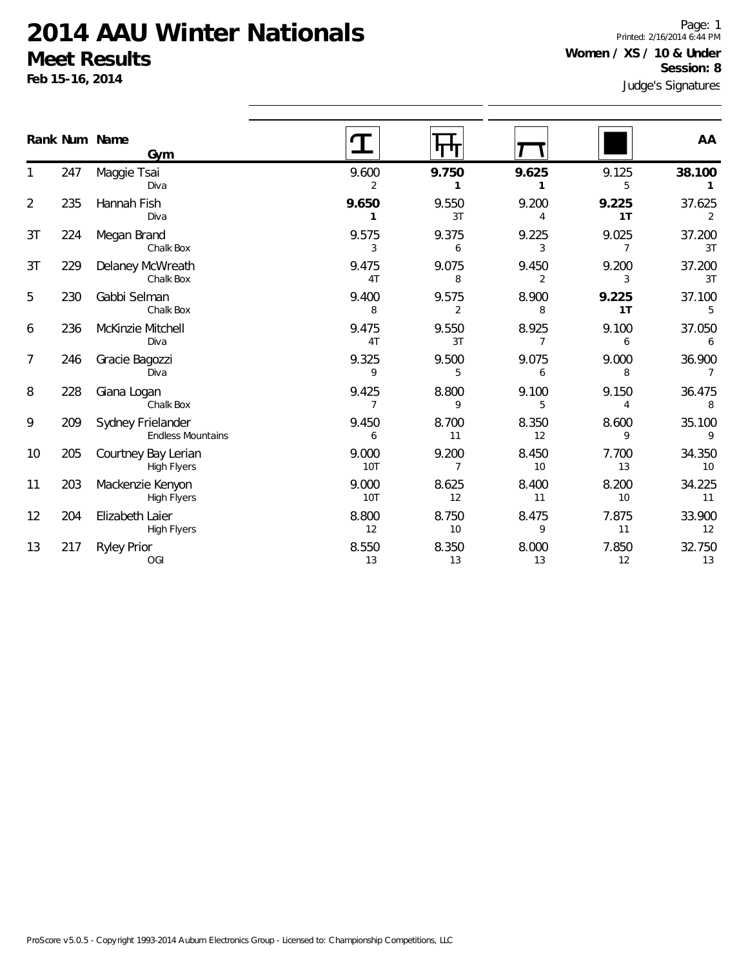**Feb 15-16, 2014**

Judge's Signatures Page: 1 Printed: 2/16/2014 6:44 PM **Women / XS / 10 & Under Session: 8**

|                | Rank Num Name | Gym                                           |                     |             |                         |             | AA                       |
|----------------|---------------|-----------------------------------------------|---------------------|-------------|-------------------------|-------------|--------------------------|
|                | 247           | Maggie Tsai<br>Diva                           | 9.600<br>2          | 9.750<br>1  | 9.625                   | 9.125<br>5  | 38.100<br>$\mathbf{1}$   |
| $\overline{2}$ | 235           | Hannah Fish<br>Diva                           | 9.650<br>1          | 9.550<br>3T | 9.200<br>4              | 9.225<br>1T | 37.625<br>$\overline{2}$ |
| 3T             | 224           | Megan Brand<br>Chalk Box                      | 9.575<br>3          | 9.375<br>6  | 9.225<br>3              | 9.025<br>7  | 37.200<br>3T             |
| 3T             | 229           | Delaney McWreath<br>Chalk Box                 | 9.475<br>4T         | 9.075<br>8  | 9.450<br>$\overline{2}$ | 9.200<br>3  | 37.200<br>3T             |
| 5              | 230           | Gabbi Selman<br>Chalk Box                     | 9.400<br>8          | 9.575<br>2  | 8.900<br>8              | 9.225<br>1T | 37.100<br>5              |
| 6              | 236           | McKinzie Mitchell<br>Diva                     | 9.475<br>4T         | 9.550<br>3T | 8.925<br>7              | 9.100<br>6  | 37.050<br>6              |
| 7              | 246           | Gracie Bagozzi<br>Diva                        | 9.325<br>9          | 9.500<br>5  | 9.075<br>6              | 9.000<br>8  | 36.900<br>$\overline{7}$ |
| 8              | 228           | Giana Logan<br>Chalk Box                      | 9.425<br>7          | 8.800<br>9  | 9.100<br>5              | 9.150<br>4  | 36.475<br>8              |
| 9              | 209           | Sydney Frielander<br><b>Endless Mountains</b> | 9.450<br>6          | 8.700<br>11 | 8.350<br>12             | 8.600<br>9  | 35.100<br>9              |
| 10             | 205           | Courtney Bay Lerian<br><b>High Flyers</b>     | 9.000<br><b>10T</b> | 9.200<br>7  | 8.450<br>10             | 7.700<br>13 | 34.350<br>10             |
| 11             | 203           | Mackenzie Kenyon<br><b>High Flyers</b>        | 9.000<br>10T        | 8.625<br>12 | 8.400<br>11             | 8.200<br>10 | 34.225<br>11             |
| 12             | 204           | Elizabeth Laier<br>High Flyers                | 8.800<br>12         | 8.750<br>10 | 8.475<br>9              | 7.875<br>11 | 33.900<br>12             |
| 13             | 217           | <b>Ryley Prior</b><br><b>OGI</b>              | 8.550<br>13         | 8.350<br>13 | 8.000<br>13             | 7.850<br>12 | 32.750<br>13             |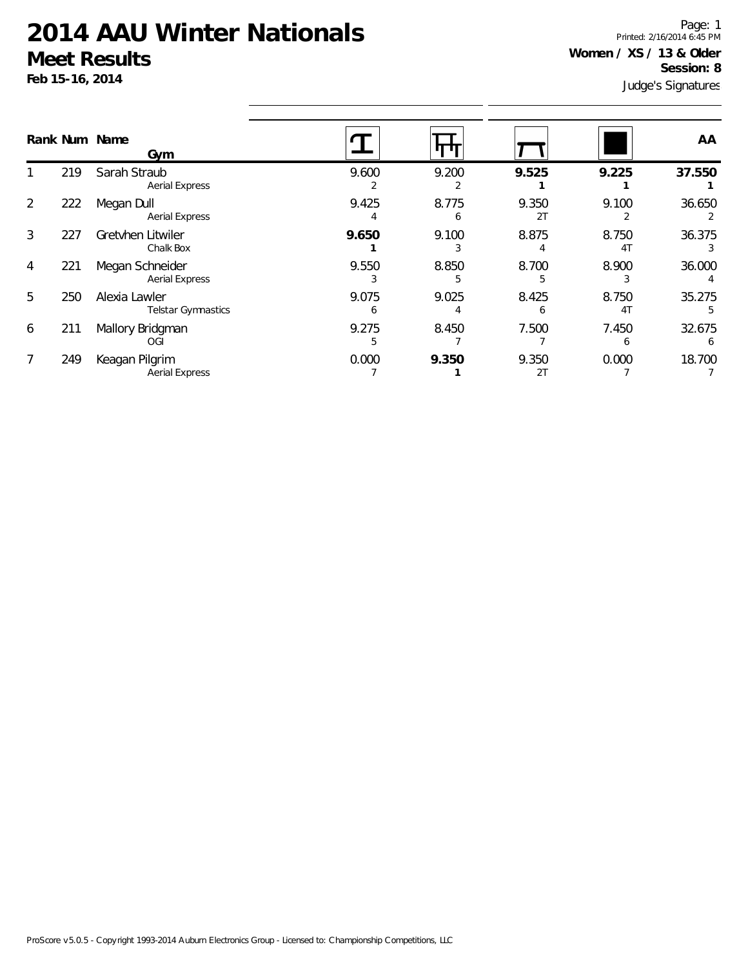**Feb 15-16, 2014**

Judge's Signatures Page: 1 Printed: 2/16/2014 6:45 PM **Women / XS / 13 & Older Session: 8**

|   |     | Rank Num Name<br>Gym                       |            |            |             |                         | AA          |
|---|-----|--------------------------------------------|------------|------------|-------------|-------------------------|-------------|
|   | 219 | Sarah Straub<br><b>Aerial Express</b>      | 9.600      | 9.200      | 9.525       | 9.225                   | 37.550      |
| 2 | 222 | Megan Dull<br><b>Aerial Express</b>        | 9.425<br>4 | 8.775<br>h | 9.350<br>2T | 9.100                   | 36.650      |
| 3 | 227 | Gretvhen Litwiler<br>Chalk Box             | 9.650      | 9.100      | 8.875       | 8.750<br>4 <sub>1</sub> | 36.375      |
| 4 | 221 | Megan Schneider<br><b>Aerial Express</b>   | 9.550<br>3 | 8.850<br>5 | 8.700<br>h  | 8.900<br>3              | 36.000      |
| 5 | 250 | Alexia Lawler<br><b>Telstar Gymnastics</b> | 9.075<br>h | 9.025      | 8.425       | 8.750<br>4 <sub>1</sub> | 35.275      |
| 6 | 211 | Mallory Bridgman<br>OGI                    | 9.275      | 8.450      | 7.500       | 7.450<br><sub>6</sub>   | 32.675<br>6 |
|   | 249 | Keagan Pilgrim<br><b>Aerial Express</b>    | 0.000      | 9.350      | 9.350<br>2T | 0.000                   | 18.700      |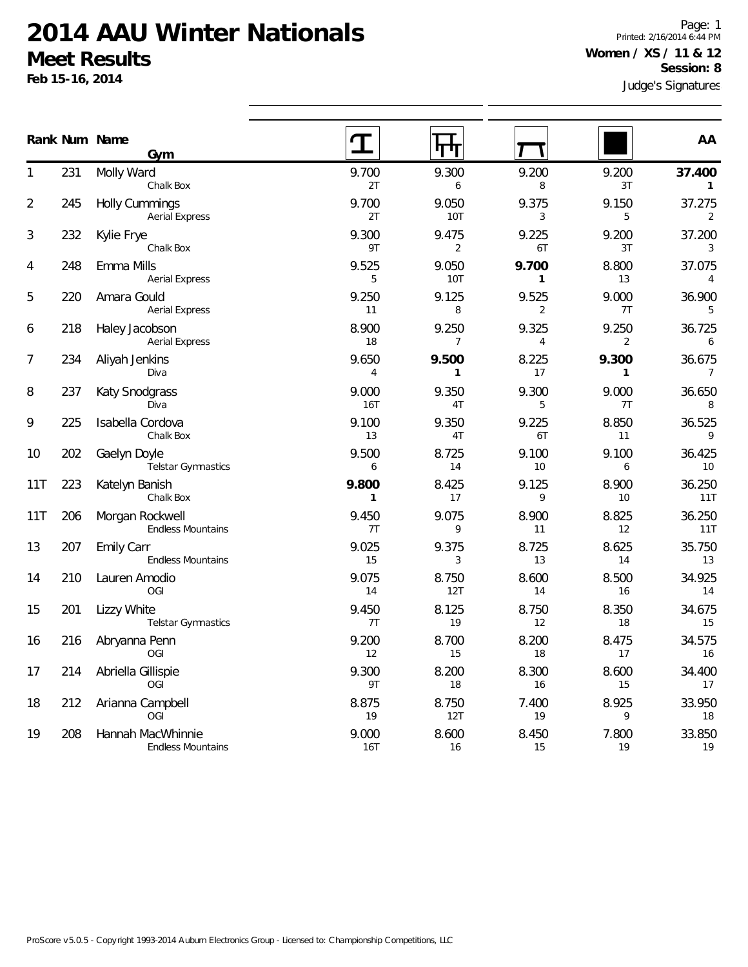**Feb 15-16, 2014**

Page: 1 Printed: 2/16/2014 6:44 PM **Women / XS / 11 & 12 Session: 8**

|     |     | Rank Num Name<br>Gym                           |                       |                         |                         |                         | AA                       |
|-----|-----|------------------------------------------------|-----------------------|-------------------------|-------------------------|-------------------------|--------------------------|
|     | 231 | Molly Ward<br>Chalk Box                        | 9.700<br>2T           | 9.300<br>6              | 9.200<br>8              | 9.200<br>3T             | 37.400<br>1              |
| 2   | 245 | <b>Holly Cummings</b><br><b>Aerial Express</b> | 9.700<br>2T           | 9.050<br><b>10T</b>     | 9.375<br>3              | 9.150<br>5              | 37.275<br>2              |
| 3   | 232 | Kylie Frye<br>Chalk Box                        | 9.300<br>9T           | 9.475<br>2              | 9.225<br>6T             | 9.200<br>3T             | 37.200<br>3              |
| 4   | 248 | Emma Mills<br><b>Aerial Express</b>            | 9.525<br>5            | 9.050<br><b>10T</b>     | 9.700<br>$\mathbf{1}$   | 8.800<br>13             | 37.075<br>4              |
| 5   | 220 | Amara Gould<br><b>Aerial Express</b>           | 9.250<br>11           | 9.125<br>8              | 9.525<br>$\overline{2}$ | 9.000<br>7T             | 36.900<br>5              |
| 6   | 218 | Haley Jacobson<br><b>Aerial Express</b>        | 8.900<br>18           | 9.250<br>$\overline{7}$ | 9.325<br>$\overline{4}$ | 9.250<br>$\overline{2}$ | 36.725<br>6              |
| 7   | 234 | Aliyah Jenkins<br>Diva                         | 9.650<br>4            | 9.500<br>$\mathbf{1}$   | 8.225<br>17             | 9.300<br>$\mathbf{1}$   | 36.675<br>$\overline{7}$ |
| 8   | 237 | Katy Snodgrass<br>Diva                         | 9.000<br><b>16T</b>   | 9.350<br>4T             | 9.300<br>5              | 9.000<br>7T             | 36.650<br>8              |
| 9   | 225 | Isabella Cordova<br>Chalk Box                  | 9.100<br>13           | 9.350<br>4T             | 9.225<br>6T             | 8.850<br>11             | 36.525<br>9              |
| 10  | 202 | Gaelyn Doyle<br>Telstar Gymnastics             | 9.500<br>6            | 8.725<br>14             | 9.100<br>10             | 9.100<br>6              | 36.425<br>10             |
| 11T | 223 | Katelyn Banish<br>Chalk Box                    | 9.800<br>$\mathbf{1}$ | 8.425<br>17             | 9.125<br>9              | 8.900<br>10             | 36.250<br>11T            |
| 11T | 206 | Morgan Rockwell<br><b>Endless Mountains</b>    | 9.450<br>7T           | 9.075<br>9              | 8.900<br>11             | 8.825<br>12             | 36.250<br>11T            |
| 13  | 207 | Emily Carr<br><b>Endless Mountains</b>         | 9.025<br>15           | 9.375<br>3              | 8.725<br>13             | 8.625<br>14             | 35.750<br>13             |
| 14  | 210 | Lauren Amodio<br>OGI                           | 9.075<br>14           | 8.750<br>12T            | 8.600<br>14             | 8.500<br>16             | 34.925<br>14             |
| 15  | 201 | Lizzy White<br>Telstar Gymnastics              | 9.450<br>7T           | 8.125<br>19             | 8.750<br>12             | 8.350<br>18             | 34.675<br>15             |
| 16  | 216 | Abryanna Penn<br>OGI                           | 9.200<br>12           | 8.700<br>15             | 8.200<br>18             | 8.475<br>17             | 34.575<br>16             |
| 17  | 214 | Abriella Gillispie<br><b>OGI</b>               | 9.300<br>9T           | 8.200<br>18             | 8.300<br>16             | 8.600<br>15             | 34.400<br>17             |
| 18  | 212 | Arianna Campbell<br>OGI                        | 8.875<br>19           | 8.750<br>12T            | 7.400<br>19             | 8.925<br>9              | 33.950<br>18             |
| 19  | 208 | Hannah MacWhinnie<br><b>Endless Mountains</b>  | 9.000<br>16T          | 8.600<br>16             | 8.450<br>15             | 7.800<br>19             | 33.850<br>19             |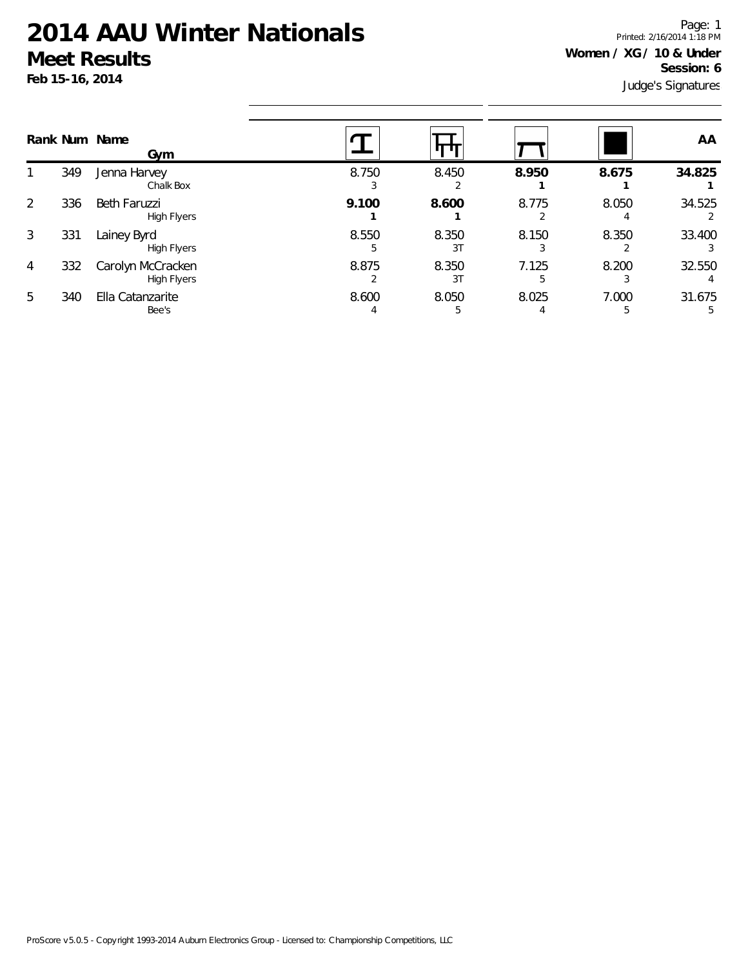**Feb 15-16, 2014**

Judge's Signatures Page: 1 Printed: 2/16/2014 1:18 PM **Women / XG / 10 & Under Session: 6**

|                |     | Rank Num Name<br>Gym                    |            |             |       |            | AA          |
|----------------|-----|-----------------------------------------|------------|-------------|-------|------------|-------------|
|                | 349 | Jenna Harvey<br>Chalk Box               | 8.750      | 8.450       | 8.950 | 8.675      | 34.825      |
| 2              | 336 | Beth Faruzzi<br><b>High Flyers</b>      | 9.100      | 8.600       | 8.775 | 8.050      | 34.525      |
| 3              | 331 | Lainey Byrd<br><b>High Flyers</b>       | 8.550<br>5 | 8.350<br>3T | 8.150 | 8.350      | 33.400      |
| $\overline{4}$ | 332 | Carolyn McCracken<br><b>High Flyers</b> | 8.875      | 8.350<br>3T | 7.125 | 8.200      | 32.550      |
| 5              | 340 | Ella Catanzarite<br>Bee's               | 8.600<br>4 | 8.050<br>5  | 8.025 | 7.000<br>5 | 31.675<br>5 |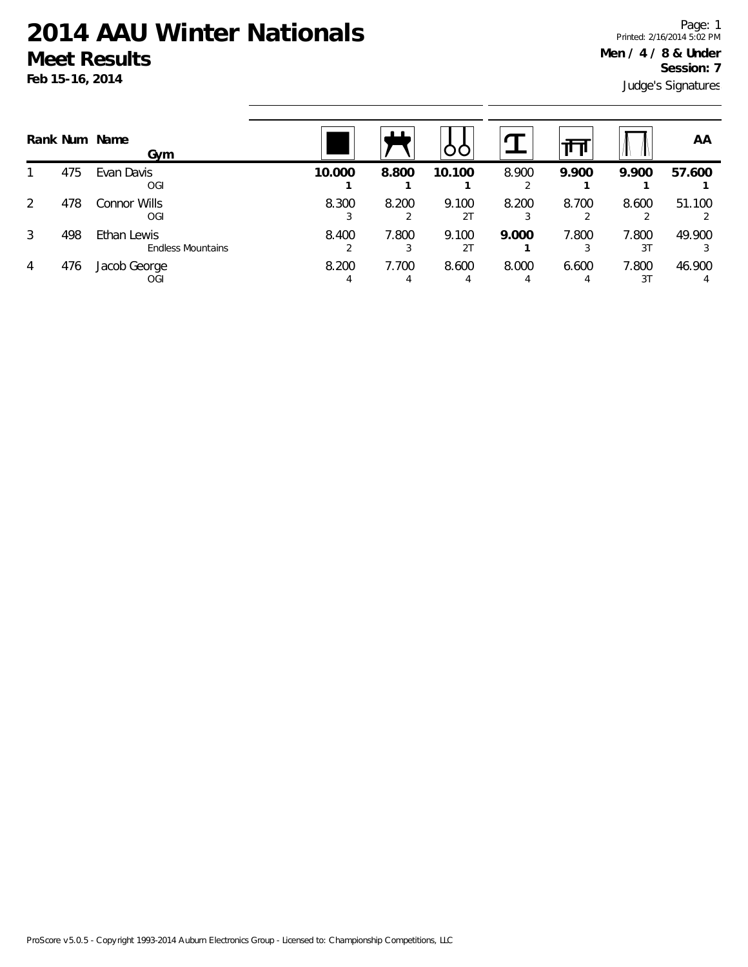Judge's Signatures Page: 1 Printed: 2/16/2014 5:02 PM **Men / 4 / 8 & Under Session: 7**

|   |     | Rank Num Name<br>Gym                    |        |            |                         |            | Ш          |                         | ΑA     |
|---|-----|-----------------------------------------|--------|------------|-------------------------|------------|------------|-------------------------|--------|
|   | 475 | Evan Davis<br>OGI                       | 10.000 | 8.800      | 10.100                  | 8.900      | 9.900      | 9.900                   | 57.600 |
| 2 | 478 | Connor Wills<br>OGI                     | 8.300  | 8.200      | 9.100<br>2 <sub>T</sub> | 8.200      | 8.700      | 8.600                   | 51.100 |
| 3 | 498 | Ethan Lewis<br><b>Endless Mountains</b> | 8.400  | 7.800      | 9.100<br>2 <sub>T</sub> | 9.000      | 7.800      | 7.800<br>3 <sup>T</sup> | 49.900 |
| 4 | 476 | Jacob George<br>OGI                     | 8.200  | 7.700<br>4 | 8.600                   | 8.000<br>4 | 6.600<br>4 | 7.800<br>31             | 46.900 |

ProScore v5.0.5 - Copyright 1993-2014 Auburn Electronics Group - Licensed to: Championship Competitions, LLC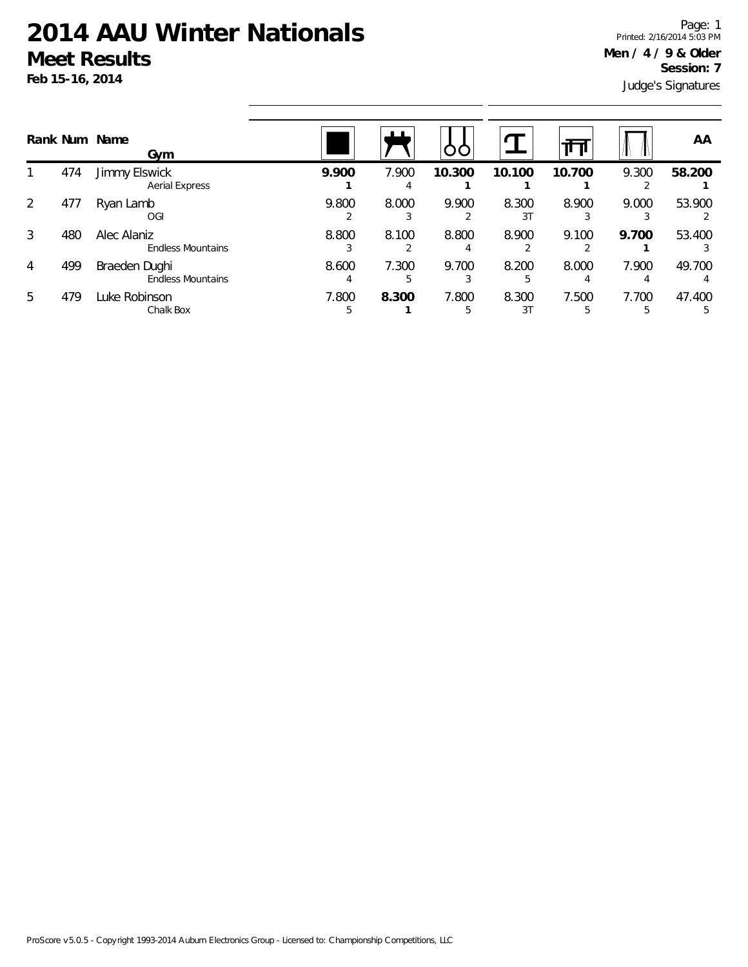**Feb 15-16, 2014**

Judge's Signatures Page: 1 Printed: 2/16/2014 5:03 PM **Men / 4 / 9 & Older Session: 7**

|   |     | Rank Num Name<br>Gym                      |            |             | OC     |             |            |       | AA          |
|---|-----|-------------------------------------------|------------|-------------|--------|-------------|------------|-------|-------------|
|   | 474 | Jimmy Elswick<br><b>Aerial Express</b>    | 9.900      | 7.900<br>4  | 10.300 | 10.100      | 10.700     | 9.300 | 58.200      |
| 2 | 477 | Ryan Lamb<br>OGI                          | 9.800      | 8.000       | 9.900  | 8.300<br>31 | 8.900      | 9.000 | 53.900      |
| 3 | 480 | Alec Alaniz<br><b>Endless Mountains</b>   | 8.800      | 8.100       | 8.800  | 8.900       | 9.100      | 9.700 | 53.400      |
| 4 | 499 | Braeden Dughi<br><b>Endless Mountains</b> | 8.600      | 7.300<br>.h | 9.700  | 8.200<br>5  | 8.000<br>4 | 7.900 | 49.700<br>4 |
| 5 | 479 | Luke Robinson<br>Chalk Box                | 7.800<br>5 | 8.300       | 7.800  | 8.300<br>31 | 7.500<br>5 | 7.700 | 47.400      |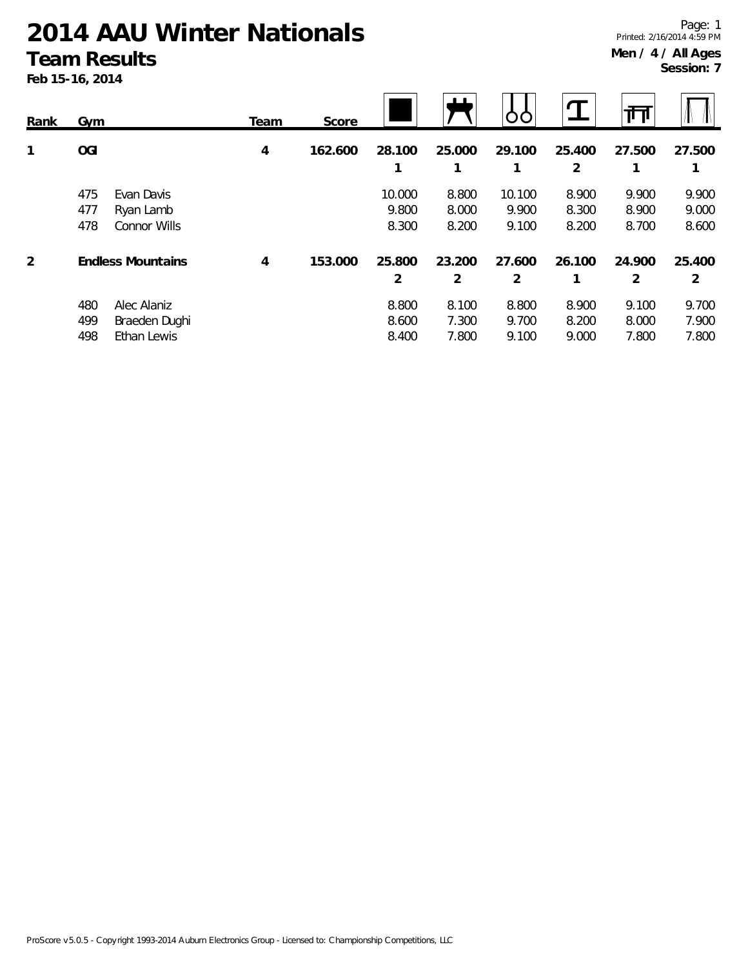#### **Team Results**

**Feb 15-16, 2014**

| Rank | Gym                                                              | Team | Score   |                          | <u> 1 1 </u>            |                          |                         | 祕                       |                         |
|------|------------------------------------------------------------------|------|---------|--------------------------|-------------------------|--------------------------|-------------------------|-------------------------|-------------------------|
| 1    | <b>OGI</b>                                                       | 4    | 162.600 | 28.100<br>1              | 25.000<br>1             | 29.100                   | 25.400<br>2             | 27.500<br>1             | 27.500<br>1             |
|      | 475<br>Evan Davis<br>477<br>Ryan Lamb<br>478<br>Connor Wills     |      |         | 10.000<br>9.800<br>8.300 | 8.800<br>8.000<br>8.200 | 10.100<br>9.900<br>9.100 | 8.900<br>8.300<br>8.200 | 9.900<br>8.900<br>8.700 | 9.900<br>9.000<br>8.600 |
| 2    | <b>Endless Mountains</b>                                         | 4    | 153.000 | 25.800<br>$\overline{2}$ | 23.200<br>2             | 27.600<br>2              | 26.100                  | 24.900<br>2             | 25.400<br>2             |
|      | 480<br>Alec Alaniz<br>499<br>Braeden Dughi<br>498<br>Ethan Lewis |      |         | 8.800<br>8.600<br>8.400  | 8.100<br>7.300<br>7.800 | 8.800<br>9.700<br>9.100  | 8.900<br>8.200<br>9.000 | 9.100<br>8.000<br>7.800 | 9.700<br>7.900<br>7.800 |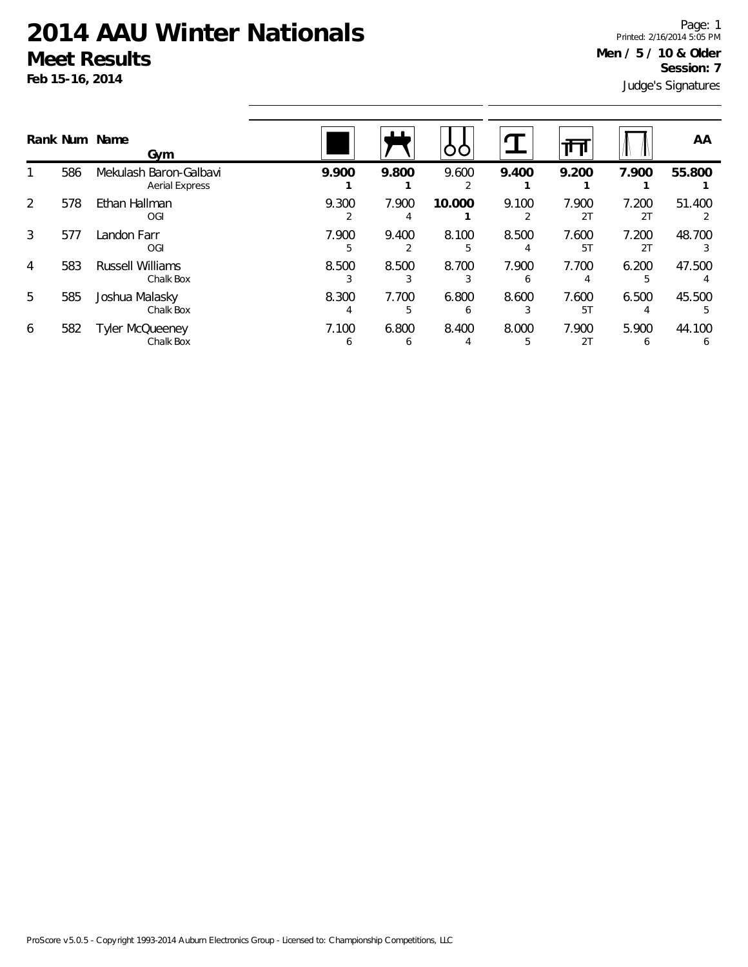**Feb 15-16, 2014**

Judge's Signatures Page: 1 Printed: 2/16/2014 5:05 PM **Men / 5 / 10 & Older Session: 7**

|   |     | Rank Num Name<br>Gym                            |                       | ட          |        |       |             |                       | AA                     |
|---|-----|-------------------------------------------------|-----------------------|------------|--------|-------|-------------|-----------------------|------------------------|
|   | 586 | Mekulash Baron-Galbavi<br><b>Aerial Express</b> | 9.900                 | 9.800      | 9.600  | 9.400 | 9.200       | 7.900                 | 55.800                 |
| 2 | 578 | Ethan Hallman<br>OGI                            | 9.300                 | 7.900      | 10.000 | 9.100 | 7.900<br>2T | 7.200<br>2T           | 51.400                 |
| 3 | 577 | Landon Farr<br>OGI                              | 7.900                 | 9.400      | 8.100  | 8.500 | 7.600<br>5T | 7.200<br>2T           | 48.700                 |
| 4 | 583 | <b>Russell Williams</b><br>Chalk Box            | 8.500                 | 8.500      | 8.700  | 7.900 | 7.700       | 6.200                 | 47.500                 |
| 5 | 585 | Joshua Malasky<br>Chalk Box                     | 8.300                 | 7.700<br>5 | 6.800  | 8.600 | 7.600<br>5T | 6.500                 | 45.500                 |
| 6 | 582 | <b>Tyler McQueeney</b><br>Chalk Box             | 7.100<br><sub>6</sub> | 6.800<br>O | 8.400  | 8.000 | 7.900<br>2T | 5.900<br><sub>6</sub> | 44.100<br><sub>6</sub> |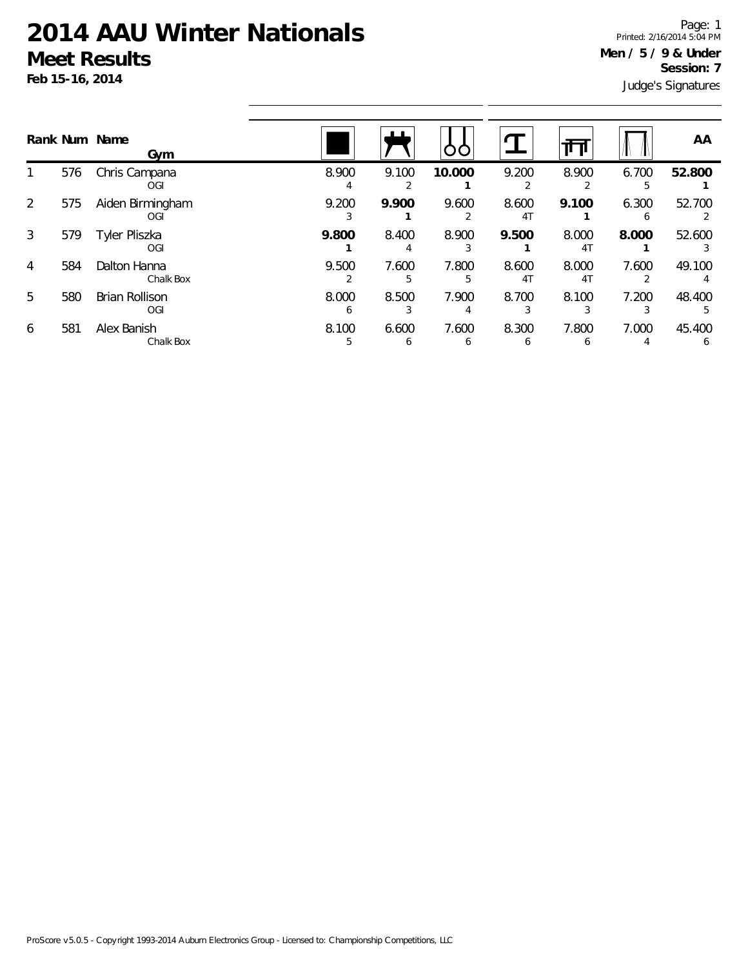Judge's Signatures Page: 1 Printed: 2/16/2014 5:04 PM **Men / 5 / 9 & Under Session: 7**

|   |     | Rank Num Name<br>Gym         |                       | ப                     | OO         |                         | ш                       |            | AA                     |
|---|-----|------------------------------|-----------------------|-----------------------|------------|-------------------------|-------------------------|------------|------------------------|
|   | 576 | Chris Campana<br>OGI         | 8.900                 | 9.100                 | 10.000     | 9.200                   | 8.900                   | 6.700<br>5 | 52.800                 |
| 2 | 575 | Aiden Birmingham<br>OGI      | 9.200                 | 9.900                 | 9.600      | 8.600<br>4 <sub>T</sub> | 9.100                   | 6.300<br>h | 52.700                 |
| 3 | 579 | Tyler Pliszka<br>OGI         | 9.800                 | 8.400                 | 8.900      | 9.500                   | 8.000<br>4 <sub>T</sub> | 8.000      | 52.600                 |
| 4 | 584 | Dalton Hanna<br>Chalk Box    | 9.500                 | 7.600<br>5            | 7.800<br>5 | 8.600<br>4 <sub>T</sub> | 8.000<br>4 <sub>T</sub> | 7.600      | 49.100                 |
| 5 | 580 | <b>Brian Rollison</b><br>OGI | 8.000<br><sub>6</sub> | 8.500                 | 7.900      | 8.700                   | 8.100                   | 7.200      | 48.400                 |
| 6 | 581 | Alex Banish<br>Chalk Box     | 8.100<br>5.           | 6.600<br><sub>6</sub> | 7.600<br>6 | 8.300<br>h              | 7.800<br>b              | 7.000      | 45.400<br><sub>6</sub> |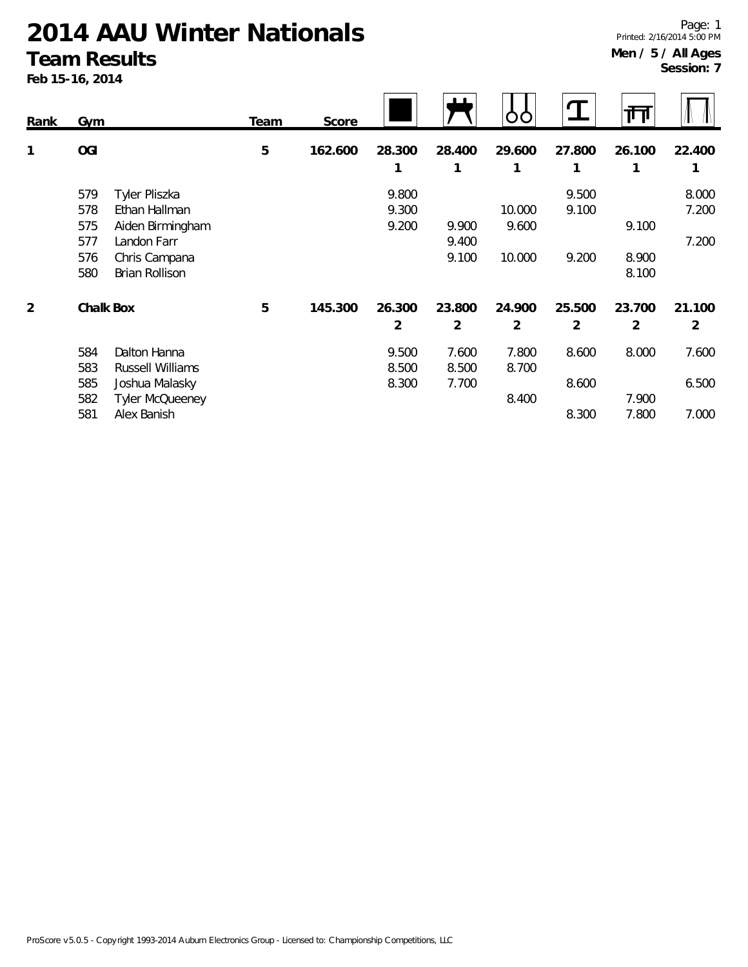#### **Team Results**

**Feb 15-16, 2014**

| Rank           | Gym                                                                                                                                                   | Team | Score   |                         |                          |                           | $\mathbf{J}$             | गा                       |                          |
|----------------|-------------------------------------------------------------------------------------------------------------------------------------------------------|------|---------|-------------------------|--------------------------|---------------------------|--------------------------|--------------------------|--------------------------|
| 1              | <b>OGI</b>                                                                                                                                            | 5    | 162.600 | 28.300<br>1             | 28.400<br>1              | 29.600<br>1               | 27.800                   | 26.100<br>1              | 22.400<br>1              |
|                | Tyler Pliszka<br>579<br>578<br>Ethan Hallman<br>575<br>Aiden Birmingham<br>577<br>Landon Farr<br>Chris Campana<br>576<br><b>Brian Rollison</b><br>580 |      |         | 9.800<br>9.300<br>9.200 | 9.900<br>9.400<br>9.100  | 10.000<br>9.600<br>10.000 | 9.500<br>9.100<br>9.200  | 9.100<br>8.900<br>8.100  | 8.000<br>7.200<br>7.200  |
| $\overline{2}$ | Chalk Box                                                                                                                                             | 5    | 145.300 | 26.300<br>2             | 23.800<br>$\overline{2}$ | 24.900<br>2               | 25.500<br>$\overline{2}$ | 23.700<br>$\overline{2}$ | 21.100<br>$\overline{2}$ |
|                | 584<br>Dalton Hanna<br>583<br>Russell Williams                                                                                                        |      |         | 9.500<br>8.500          | 7.600<br>8.500           | 7.800<br>8.700            | 8.600                    | 8.000                    | 7.600                    |
|                | 585<br>Joshua Malasky<br>Tyler McQueeney<br>582<br>Alex Banish<br>581                                                                                 |      |         | 8.300                   | 7.700                    | 8.400                     | 8.600<br>8.300           | 7.900<br>7.800           | 6.500<br>7.000           |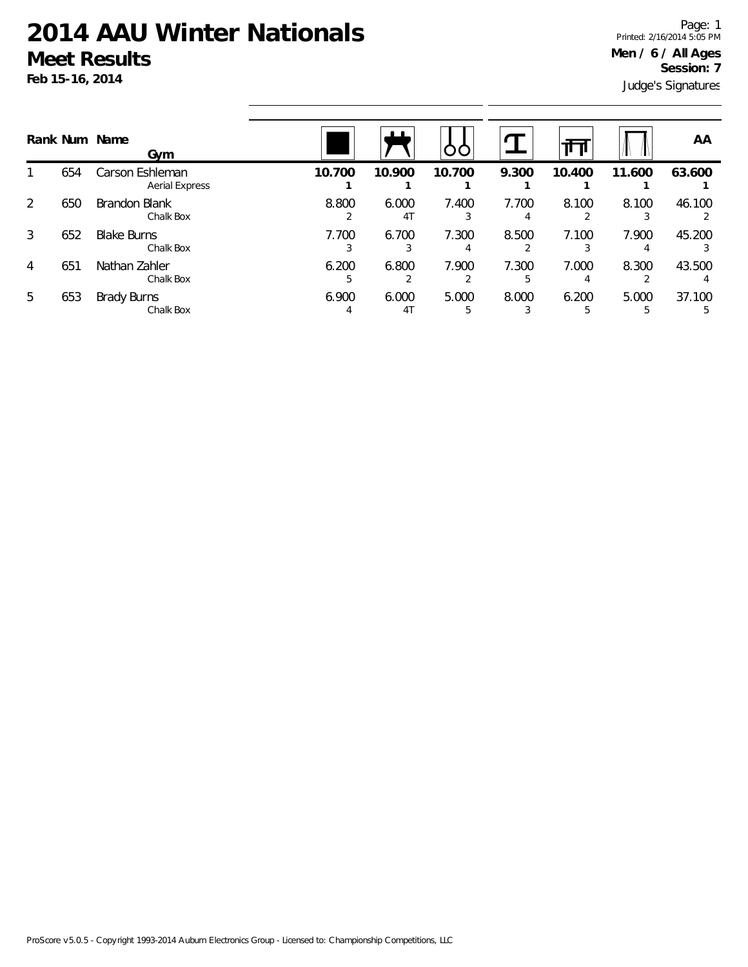|                |     | Rank Num Name<br>Gym                     |            | ட                       | ပပ         |            |            |            | AA           |
|----------------|-----|------------------------------------------|------------|-------------------------|------------|------------|------------|------------|--------------|
|                | 654 | Carson Eshleman<br><b>Aerial Express</b> | 10.700     | 10.900                  | 10.700     | 9.300      | 10.400     | 11.600     | 63.600       |
| $\overline{2}$ | 650 | Brandon Blank<br>Chalk Box               | 8.800      | 6.000<br>41             | 7.400      | 7.700<br>4 | 8.100      | 8.100      | 46.100       |
| 3              | 652 | <b>Blake Burns</b><br>Chalk Box          | 7.700      | 6.700                   | 7.300      | 8.500      | 7.100      | 7.900      | 45.200       |
| 4              | 651 | Nathan Zahler<br>Chalk Box               | 6.200<br>5 | 6.800                   | 7.900      | 7.300<br>5 | 7.000      | 8.300      | 43.500       |
| 5              | 653 | <b>Brady Burns</b><br>Chalk Box          | 6.900      | 6.000<br>4 <sub>1</sub> | 5.000<br>5 | 8.000      | 6.200<br>5 | 5.000<br>5 | 37.100<br>.5 |